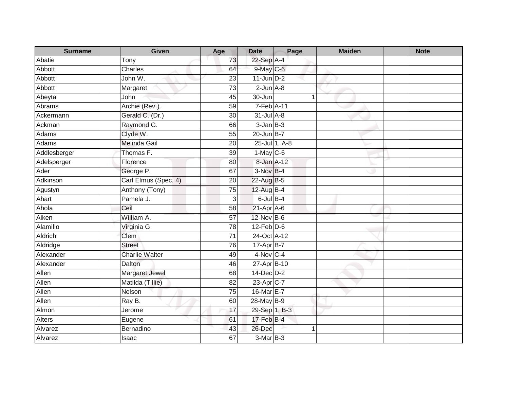| <b>Surname</b> | <b>Given</b>          | Age             | <b>Date</b>               | Page          | <b>Maiden</b> | <b>Note</b> |
|----------------|-----------------------|-----------------|---------------------------|---------------|---------------|-------------|
| Abatie         | Tony                  | 73              | 22-Sep A-4                |               |               |             |
| Abbott         | Charles               | 64              | 9-May C-6                 |               |               |             |
| Abbott         | John W.               | 23              | $11$ -Jun $D-2$           |               |               |             |
| Abbott         | Margaret              | 73              | $2$ -Jun $A-8$            |               |               |             |
| Abeyta         | John                  | 45              | 30-Jun                    | $\mathbf 1$   |               |             |
| Abrams         | Archie (Rev.)         | 59              | 7-Feb A-11                |               |               |             |
| Ackermann      | Gerald C. (Dr.)       | 30              | $31$ -Jul $A-8$           |               |               |             |
| Ackman         | Raymond G.            | 66              | $3 - Jan$ $B-3$           |               |               |             |
| Adams          | Clyde W.              | 55              | 20-Jun B-7                |               |               |             |
| Adams          | <b>Melinda Gail</b>   | 20              |                           | 25-Jul 1, A-8 |               |             |
| Addlesberger   | Thomas F.             | 39              | $1-May$ C-6               |               |               |             |
| Adelsperger    | Florence              | 80              | 8-Jan A-12                |               |               |             |
| Ader           | George P.             | 67              | $3-NovB-4$                |               |               |             |
| Adkinson       | Carl Elmus (Spec. 4)  | 20              | 22-Aug B-5                |               |               |             |
| Agustyn        | Anthony (Tony)        | 75              | 12-Aug B-4                |               |               |             |
| Ahart          | Pamela J.             | $\overline{3}$  | $6$ -Jul $B-4$            |               |               |             |
| Ahola          | Ceil                  | 58              | $21-AprA-6$               |               |               |             |
| Aiken          | William A.            | 57              | 12-Nov B-6                |               |               |             |
| Alamillo       | Virginia G.           | $\overline{78}$ | $12$ -Feb $D-6$           |               |               |             |
| <b>Aldrich</b> | Clem                  | $\overline{71}$ | 24-Oct A-12               |               |               |             |
| Aldridge       | <b>Street</b>         | 76              | 17-Apr B-7                |               |               |             |
| Alexander      | <b>Charlie Walter</b> | 49              | $4-Nov$ C-4               |               |               |             |
| Alexander      | Dalton                | 46              | 27-Apr B-10               |               |               |             |
| Allen          | <b>Margaret Jewel</b> | 68              | $14$ -Dec $D-2$           |               |               |             |
| Allen          | Matilda (Tillie)      | 82              | $23 - \overline{Apr}$ C-7 |               |               |             |
| Allen          | Nelson                | $\overline{75}$ | 16-Mar E-7                |               |               |             |
| Allen          | Ray B.                | 60              | 28-May B-9                |               |               |             |
| Almon          | Jerome                | 17              | 29-Sep <sup>1</sup> , B-3 |               |               |             |
| <b>Alters</b>  | Eugene                | 61              | 17-Feb B-4                |               |               |             |
| Alvarez        | Bernadino             | 43              | 26-Dec                    | -1            |               |             |
| Alvarez        | Isaac                 | 67              | $3-MarB-3$                |               |               |             |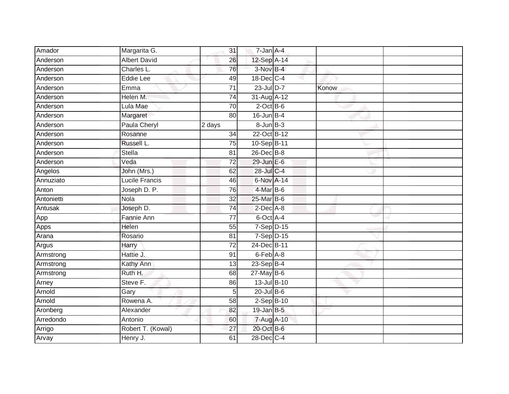| Amador     | Margarita G.        | 31              | 7-Jan A-4       |       |  |
|------------|---------------------|-----------------|-----------------|-------|--|
| Anderson   | <b>Albert David</b> | 26              | 12-Sep A-14     |       |  |
| Anderson   | Charles L.          | 76              | 3-Nov B-4       |       |  |
| Anderson   | <b>Eddie Lee</b>    | 49              | 18-Dec C-4      |       |  |
| Anderson   | Emma                | $\overline{71}$ | 23-Jul D-7      | Konow |  |
| Anderson   | Helen M.            | $\overline{74}$ | 31-Aug A-12     |       |  |
| Anderson   | Lula Mae            | 70              | $2$ -Oct $B-6$  |       |  |
| Anderson   | Margaret            | 80              | $16$ -Jun $B-4$ |       |  |
| Anderson   | Paula Cheryl        | 2 days          | $8 - Jun$ $B-3$ |       |  |
| Anderson   | Rosanne             | 34              | 22-Oct B-12     |       |  |
| Anderson   | Russell L.          | 75              | 10-Sep B-11     |       |  |
| Anderson   | <b>Stella</b>       | 81              | 26-Dec B-8      |       |  |
| Anderson   | Veda                | 72              | 29-Jun E-6      |       |  |
| Angelos    | John (Mrs.)         | 62              | 28-Jul C-4      |       |  |
| Annuziato  | Lucile Francis      | 46              | 6-Nov A-14      |       |  |
| Anton      | Joseph D. P.        | 76              | 4-Mar B-6       |       |  |
| Antonietti | <b>Nola</b>         | $\overline{32}$ | 25-Mar B-6      |       |  |
| Antusak    | Joseph D.           | 74              | $2$ -Dec $A$ -8 |       |  |
| App        | Fannie Ann          | 77              | 6-Oct A-4       |       |  |
| Apps       | Helen               | 55              | $7-Sep$ $D-15$  |       |  |
| Arana      | Rosario             | 81              | $7-Sep$ D-15    |       |  |
| Argus      | Harry               | $\overline{72}$ | 24-Dec B-11     |       |  |
| Armstrong  | Hattie J.           | 91              | 6-Feb A-8       |       |  |
| Armstrong  | Kathy Ann           | 13              | $23-Sep$ B-4    |       |  |
| Armstrong  | Ruth H.             | 68              | 27-May B-6      |       |  |
| Arney      | Steve F.            | 86              | 13-Jul B-10     |       |  |
| Arnold     | Gary                | 5               | $20$ -Jul $B-6$ |       |  |
| Arnold     | Rowena A.           | 58              | $2-Sep$ B-10    |       |  |
| Aronberg   | Alexander           | 82              | $19$ -Jan B-5   |       |  |
| Arredondo  | Antonio             | 60              | 7-Aug A-10      |       |  |
| Arrigo     | Robert T. (Kowal)   | 27              | 20-Oct B-6      |       |  |
| Arvay      | Henry J.            | 61              | 28-Dec C-4      |       |  |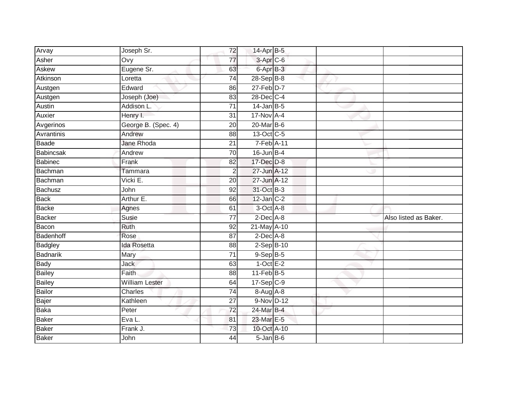| Arvay           | Joseph Sr.            | 72              | 14-Apr B-5           |  |                       |
|-----------------|-----------------------|-----------------|----------------------|--|-----------------------|
| Asher           | Ovy                   | 77              | 3-Apr <sub>C-6</sub> |  |                       |
| Askew           | Eugene Sr.            | 63              | 6-Apr B-3            |  |                       |
| Atkinson        | Loretta               | 74              | 28-Sep B-8           |  |                       |
| Austgen         | Edward                | 86              | $27$ -Feb $D-7$      |  |                       |
| Austgen         | Joseph (Joe)          | 83              | 28-Dec C-4           |  |                       |
| Austin          | Addison L.            | $\overline{71}$ | $14$ -Jan B-5        |  |                       |
| Auxier          | Henry I.              | 31              | 17-Nov A-4           |  |                       |
| Avgerinos       | George B. (Spec. 4)   | 20              | $20$ -Mar $B-6$      |  |                       |
| Avrantinis      | Andrew                | 88              | 13-Oct C-5           |  |                       |
| Baade           | <b>Jane Rhoda</b>     | 21              | 7-Feb A-11           |  |                       |
| Babincsak       | Andrew                | 70              | $16$ -Jun $B-4$      |  |                       |
| <b>Babinec</b>  | Frank                 | 82              | 17-Dec D-8           |  |                       |
| Bachman         | Tammara               | $\overline{2}$  | 27-Jun A-12          |  |                       |
| Bachman         | Vicki E.              | 20              | 27-Jun A-12          |  |                       |
| Bachusz         | John                  | 92              | 31-Oct B-3           |  |                       |
| <b>Back</b>     | Arthur E.             | 66              | $12$ -Jan $C-2$      |  |                       |
| <b>Backe</b>    | Agnes                 | 61              | 3-Oct A-8            |  |                       |
| <b>Backer</b>   | Susie                 | $\overline{77}$ | $2$ -Dec $A$ -8      |  | Also listed as Baker. |
| Bacon           | Ruth                  | $\overline{92}$ | 21-May A-10          |  |                       |
| Badenhoff       | Rose                  | 87              | $2$ -Dec $A$ -8      |  |                       |
| Badgley         | <b>Ida Rosetta</b>    | 88              | $2-Sep$ B-10         |  |                       |
| <b>Badnarik</b> | Mary                  | 71              | $9-$ Sep $B-5$       |  |                       |
| <b>Bady</b>     | Jack                  | 63              | $1$ -Oct E-2         |  |                       |
| <b>Bailey</b>   | Faith                 | 88              | $11-Feb$ B-5         |  |                       |
| <b>Bailey</b>   | <b>William Lester</b> | 64              | $17-Sep$ C-9         |  |                       |
| <b>Bailor</b>   | Charles               | $\overline{74}$ | 8-Aug A-8            |  |                       |
| Bajer           | Kathleen              | 27              | 9-Nov D-12           |  |                       |
| <b>Baka</b>     | Peter                 | 72              | 24-Mar B-4           |  |                       |
| <b>Baker</b>    | Eva L.                | 81              | 23-Mar E-5           |  |                       |
| <b>Baker</b>    | Frank J.              | $\overline{73}$ | 10-Oct A-10          |  |                       |
| <b>Baker</b>    | John                  | $\overline{44}$ | $5 - Jan$ $B - 6$    |  |                       |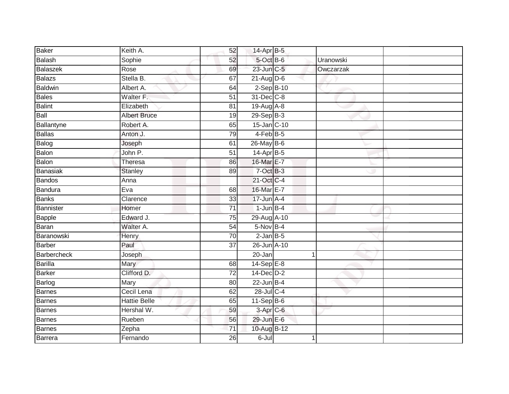| Baker              | Keith A.            | 52              | 14-Apr B-5       |           |  |
|--------------------|---------------------|-----------------|------------------|-----------|--|
| Balash             | Sophie              | 52              | 5-Oct B-6        | Uranowski |  |
| <b>Balaszek</b>    | Rose                | 69              | 23-Jun C-5       | Owczarzak |  |
| <b>Balazs</b>      | Stella B.           | 67              | 21-Aug D-6       |           |  |
| <b>Baldwin</b>     | Albert A.           | 64              | $2-$ Sep $B-10$  |           |  |
| <b>Bales</b>       | Walter F.           | 51              | 31-Dec C-8       |           |  |
| <b>Balint</b>      | Elizabeth           | 81              | $19$ -Aug $A$ -8 |           |  |
| Ball               | <b>Albert Bruce</b> | 19              | $29-SepB-3$      |           |  |
| Ballantyne         | Robert A.           | 65              | 15-Jan C-10      |           |  |
| <b>Ballas</b>      | Anton J.            | $\overline{79}$ | $4-FebB-5$       |           |  |
| Balog              | Joseph              | 61              | 26-May B-6       |           |  |
| <b>Balon</b>       | John P.             | $\overline{51}$ | $14-Apr$ B-5     |           |  |
| Balon              | <b>Theresa</b>      | 86              | 16-Mar E-7       |           |  |
| <b>Banasiak</b>    | <b>Stanley</b>      | 89              | $7$ -Oct $B-3$   |           |  |
| <b>Bandos</b>      | Anna                |                 | 21-Oct C-4       |           |  |
| Bandura            | Eva                 | 68              | 16-Mar E-7       |           |  |
| <b>Banks</b>       | Clarence            | $\overline{33}$ | $17 - Jun$ A-4   |           |  |
| Bannister          | Homer               | $\overline{71}$ | $1$ -Jun $B-4$   |           |  |
| Bapple             | Edward J.           | $\overline{75}$ | 29-Aug A-10      |           |  |
| <b>Baran</b>       | Walter A.           | 54              | $5-Nov$ B-4      |           |  |
| Baranowski         | Henry               | 70              | $2$ -Jan $B-5$   |           |  |
| <b>Barber</b>      | Paul                | $\overline{37}$ | 26-Jun A-10      |           |  |
| <b>Barbercheck</b> | Joseph              |                 | 20-Jan           | 1         |  |
| <b>Barilla</b>     | Mary                | 68              | $14-SepE-8$      |           |  |
| <b>Barker</b>      | Clifford D.         | $\overline{72}$ | $14$ -Dec $D-2$  |           |  |
| Barlog             | Mary                | 80              | $22$ -Jun B-4    |           |  |
| <b>Barnes</b>      | Cecil Lena          | 62              | $28$ -Jul C-4    |           |  |
| <b>Barnes</b>      | <b>Hattie Belle</b> | 65              | $11-Sep$ B-6     |           |  |
| Barnes             | Hershal W.          | 59              | $3-Apr$ $C-6$    |           |  |
| <b>Barnes</b>      | Rueben              | 56              | 29-Jun E-6       |           |  |
| <b>Barnes</b>      | Zepha               | 71              | 10-Aug B-12      |           |  |
| Barrera            | Fernando            | $\overline{26}$ | $6 -$ Jul        | 1         |  |
|                    |                     |                 |                  |           |  |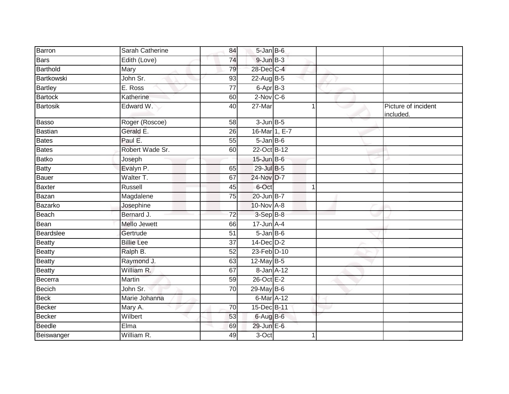| Barron         | Sarah Catherine   | 84              | $5 - Jan$ $B - 6$ |             |                                  |
|----------------|-------------------|-----------------|-------------------|-------------|----------------------------------|
| <b>Bars</b>    | Edith (Love)      | 74              | $9$ -Jun $B$ -3   |             |                                  |
| Barthold       | Mary              | 79              | 28-Dec C-4        |             |                                  |
| Bartkowski     | John Sr.          | 93              | $22$ -AugB-5      |             |                                  |
| <b>Bartley</b> | E. Ross           | $\overline{77}$ | 6-Apr B-3         |             |                                  |
| <b>Bartock</b> | Katherine         | 60              | $2$ -Nov $C$ -6   |             |                                  |
| Bartosik       | Edward W.         | 40              | 27-Mar            |             | Picture of incident<br>included. |
| Basso          | Roger (Roscoe)    | 58              | $3$ -Jun $B$ -5   |             |                                  |
| <b>Bastian</b> | Gerald E.         | 26              | 16-Mar 1, E-7     |             |                                  |
| Bates          | Paul E.           | 55              | $5$ -Jan B-6      |             |                                  |
| <b>Bates</b>   | Robert Wade Sr.   | 60              | 22-Oct B-12       |             |                                  |
| <b>Batko</b>   | Joseph            |                 | $15$ -Jun B-6     |             |                                  |
| <b>Batty</b>   | Evalyn P.         | 65              | 29-Jul B-5        |             |                                  |
| Bauer          | Walter T.         | 67              | 24-Nov D-7        |             |                                  |
| <b>Baxter</b>  | Russell           | 45              | 6-Oct             | $\mathbf 1$ |                                  |
| Bazan          | Magdalene         | 75              | 20-Jun B-7        |             |                                  |
| Bazarko        | Josephine         |                 | 10-Nov A-8        |             |                                  |
| Beach          | Bernard J.        | $\overline{72}$ | $3-SepB-8$        |             |                                  |
| Bean           | Mello Jewett      | 66              | $17$ -Jun $A$ -4  |             |                                  |
| Beardslee      | Gertrude          | 51              | $5 - Jan$ $B - 6$ |             |                                  |
| <b>Beatty</b>  | <b>Billie Lee</b> | 37              | 14-Dec D-2        |             |                                  |
| <b>Beatty</b>  | Ralph B.          | 52              | 23-Feb D-10       |             |                                  |
| <b>Beatty</b>  | Raymond J.        | 63              | 12-May B-5        |             |                                  |
| <b>Beatty</b>  | William R.        | 67              | 8-Jan A-12        |             |                                  |
| Becerra        | Martin            | $\overline{59}$ | 26-Oct E-2        |             |                                  |
| <b>Becich</b>  | John Sr.          | 70              | 29-May B-6        |             |                                  |
| <b>Beck</b>    | Marie Johanna     |                 | 6-Mar A-12        |             |                                  |
| Becker         | Mary A.           | 70              | 15-Dec B-11       |             |                                  |
| <b>Becker</b>  | Wilbert           | 53              | 6-Aug B-6         |             |                                  |
| <b>Beedle</b>  | Elma              | 69              | 29-Jun E-6        |             |                                  |
| Beiswanger     | William R.        | 49              | $3-Oct$           |             |                                  |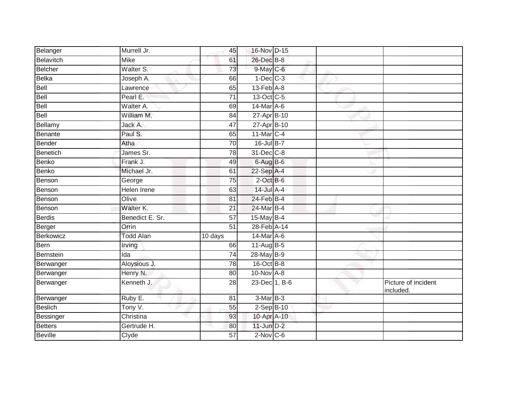| Belanger       | Murrell Jr.        | 45              | 16-Nov D-15                 |  |                                  |
|----------------|--------------------|-----------------|-----------------------------|--|----------------------------------|
| Belavitch      | <b>Mike</b>        | 61              | 26-Dec B-8                  |  |                                  |
| Belcher        | Walter S.          | 73              | 9-May C-6                   |  |                                  |
| Belka          | Joseph A.          | 66              | $1-Dec$ $C-3$               |  |                                  |
| Bell           | Lawrence           | 65              | $13$ -Feb $\overline{A}$ -8 |  |                                  |
| Bell           | Pearl E:           | 71              | 13-Oct C-5                  |  |                                  |
| Bell           | Walter A.          | 69              | 14-Mar A-6                  |  |                                  |
| Bell           | William M.         | 84              | 27-Apr B-10                 |  |                                  |
| Bellamy        | Jack A.            | 47              | 27-Apr B-10                 |  |                                  |
| Benante        | Paul S.            | 65              | 11-Mar C-4                  |  |                                  |
| Bender         | Atha               | 70              | 16-Jul B-7                  |  |                                  |
| Benetich       | James Sr.          | 78              | 31-Dec C-8                  |  |                                  |
| Benko          | Frank J.           | 49              | $6$ -Aug $B$ -6             |  |                                  |
| Benko          | Michael Jr.        | 61              | 22-Sep A-4                  |  |                                  |
| Benson         | George             | 75              | $2$ -Oct $B$ -6             |  |                                  |
| Benson         | <b>Helen Irene</b> | 63              | 14-Jul A-4                  |  |                                  |
| Benson         | Olive              | 81              | 24-Feb B-4                  |  |                                  |
| Benson         | Walter K.          | 21              | 24-Mar B-4                  |  |                                  |
| Berdis         | Benedict E. Sr.    | 57              | 15-May B-4                  |  |                                  |
| Berger         | Orrin              | 51              | 28-Feb A-14                 |  |                                  |
| Berkowicz      | <b>Todd Alan</b>   | 10 days         | 14-Mar A-6                  |  |                                  |
| Bern           | Irving             | 66              | 11-Aug B-5                  |  |                                  |
| Bernstein      | Ida                | 74              | 28-May B-9                  |  |                                  |
| Berwanger      | Aloysious J.       | 78              | $16$ -Oct $B$ -8            |  |                                  |
| Berwanger      | Henry N.           | 80              | $10$ -Nov $A-8$             |  |                                  |
| Berwanger      | Kenneth J.         | 28              | 23-Dec 1, B-6               |  | Picture of incident<br>included. |
| Berwanger      | Ruby E.            | 81              | 3-Mar B-3                   |  |                                  |
| <b>Beslich</b> | Tony V.            | $\overline{55}$ | 2-Sep B-10                  |  |                                  |
| Bessinger      | Christina          | 93              | 10-Apr A-10                 |  |                                  |
| Betters        | Gertrude H.        | 80              | $11$ -Jun $D-2$             |  |                                  |
| <b>Beville</b> | Clyde              | 57              | $2$ -Nov $C$ -6             |  |                                  |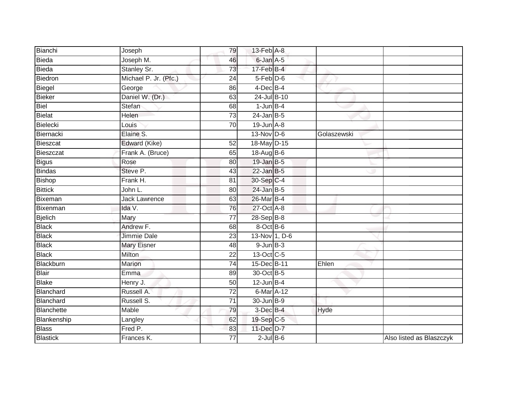| Bianchi         | Joseph                | 79              | 13-Feb A-8      |             |                          |
|-----------------|-----------------------|-----------------|-----------------|-------------|--------------------------|
| Bieda           | Joseph M.             | 46              | 6-Jan A-5       |             |                          |
| Bieda           | Stanley Sr.           | 73              | 17-Feb B-4      |             |                          |
| Biedron         | Michael P. Jr. (Pfc.) | $\overline{24}$ | 5-Feb D-6       |             |                          |
| Biegel          | George                | 86              | $4$ -Dec $B$ -4 |             |                          |
| Bieker          | Daniel W. (Dr.)       | 63              | 24-Jul B-10     |             |                          |
| Biel            | Stefan                | 68              | $1$ -Jun $B-4$  |             |                          |
| Bielat          | Helen                 | $\overline{73}$ | $24$ -Jan B-5   |             |                          |
| Bielecki        | Louis                 | 70              | $19$ -Jun $A-8$ |             |                          |
| Biernacki       | Elaine S.             |                 | $13-Nov$ D-6    | Golaszewski |                          |
| Bieszcat        | Edward (Kike)         | 52              | 18-May D-15     |             |                          |
| Bieszczat       | Frank A. (Bruce)      | 65              | 18-Aug B-6      |             |                          |
| <b>Bigus</b>    | Rose                  | 80              | $19$ -Jan B-5   |             |                          |
| <b>Bindas</b>   | Steve P.              | 43              | $22$ -Jan B-5   |             |                          |
| Bishop          | Frank H.              | 81              | 30-Sep C-4      |             |                          |
| <b>Bittick</b>  | John L.               | 80              | $24$ -Jan B-5   |             |                          |
| Bixeman         | <b>Jack Lawrence</b>  | 63              | 26-Mar B-4      |             |                          |
| Bixenman        | Ida V.                | 76              | 27-Oct A-8      |             |                          |
| <b>Bjelich</b>  | Mary                  | 77              | 28-Sep B-8      |             |                          |
| <b>Black</b>    | Andrew F.             | 68              | 8-Oct B-6       |             |                          |
| <b>Black</b>    | Jimmie Dale           | 23              | 13-Nov 1, D-6   |             |                          |
| <b>Black</b>    | <b>Mary Eisner</b>    | 48              | $9$ -Jun $B-3$  |             |                          |
| <b>Black</b>    | <b>Milton</b>         | 22              | 13-Oct C-5      |             |                          |
| Blackburn       | Marion                | 74              | 15-Dec B-11     | Ehlen       |                          |
| <b>Blair</b>    | Emma                  | 89              | 30-Oct B-5      |             |                          |
| <b>Blake</b>    | Henry J.              | 50              | $12$ -Jun B-4   |             |                          |
| Blanchard       | Russell A.            | $\overline{72}$ | 6-Mar A-12      |             |                          |
| Blanchard       | Russell S.            | $\overline{71}$ | 30-Jun B-9      |             |                          |
| Blanchette      | Mable                 | 79              | 3-Dec B-4       | Hyde        |                          |
| Blankenship     | Langley               | 62              | 19-Sep C-5      |             |                          |
| <b>Blass</b>    | Fred P.               | 83              | 11-Dec D-7      |             |                          |
| <b>Blastick</b> | Frances K.            | 77              | $2$ -Jul $B$ -6 |             | Also listed as Blaszczyk |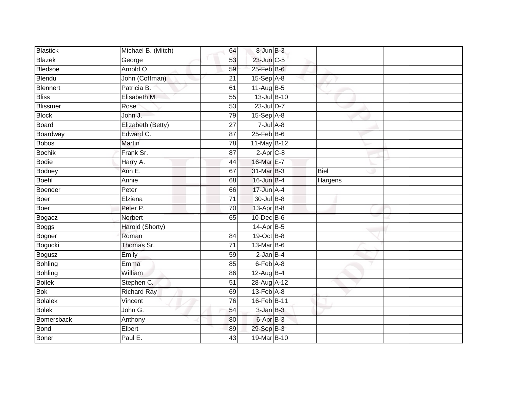| Blastick      | Michael B. (Mitch) | 64              | 8-Jun B-3        |             |  |
|---------------|--------------------|-----------------|------------------|-------------|--|
| Blazek        | George             | 53              | 23-Jun C-5       |             |  |
| Bledsoe       | Arnold O.          | 59              | 25-Feb B-6       |             |  |
| Blendu        | John (Coffman)     | 21              | 15-Sep A-8       |             |  |
| Blennert      | Patricia B.        | 61              | $11-Aug$ B-5     |             |  |
| <b>Bliss</b>  | Elisabeth M.       | 55              | 13-Jul B-10      |             |  |
| Blissmer      | Rose               | $\overline{53}$ | 23-Jul D-7       |             |  |
| <b>Block</b>  | John J.            | 79              | $15-Sep$ A-8     |             |  |
| Board         | Elizabeth (Betty)  | 27              | $7 -$ Jul A-8    |             |  |
| Boardway      | Edward C.          | 87              | $25$ -Feb $B$ -6 |             |  |
| <b>Bobos</b>  | <b>Martin</b>      | 78              | 11-May B-12      |             |  |
| <b>Bochik</b> | Frank Sr.          | 87              | $2-Apr$ $C-8$    |             |  |
| Bodie         | Harry A.           | 44              | 16-Mar E-7       |             |  |
| <b>Bodney</b> | Ann E.             | 67              | 31-Mar B-3       | <b>Biel</b> |  |
| Boehl         | Annie              | 68              | 16-Jun B-4       | Hargens     |  |
| Boender       | Peter              | 66              | $17$ -Jun $A-4$  |             |  |
| Boer          | Elziena            | $\overline{71}$ | 30-Jul B-8       |             |  |
| Boer          | Peter P.           | 70              | 13-Apr B-8       |             |  |
| Bogacz        | Norbert            | 65              | $10$ -Dec $B$ -6 |             |  |
| Boggs         | Harold (Shorty)    |                 | $14-Apr$ B-5     |             |  |
| Bogner        | Roman              | 84              | 19-Oct B-8       |             |  |
| Bogucki       | Thomas Sr.         | $\overline{71}$ | 13-Mar B-6       |             |  |
| Bogusz        | Emily              | 59              | $2$ -Jan $B-4$   |             |  |
| Bohling       | Emma               | 85              | 6-Feb A-8        |             |  |
| Bohling       | William            | 86              | $12$ -Aug $B-4$  |             |  |
| <b>Boilek</b> | Stephen C.         | 51              | 28-Aug A-12      |             |  |
| <b>Bok</b>    | <b>Richard Ray</b> | 69              | $13$ -Feb $A$ -8 |             |  |
| Bolalek       | Vincent            | 76              | 16-Feb B-11      |             |  |
| <b>Bolek</b>  | John G.            | 54              | $3$ -Jan $B-3$   |             |  |
| Bomersback    | Anthony            | 80              | 6-Apr B-3        |             |  |
| Bond          | Elbert             | 89              | 29-Sep B-3       |             |  |
| Boner         | Paul E.            | $\overline{43}$ | 19-Mar B-10      |             |  |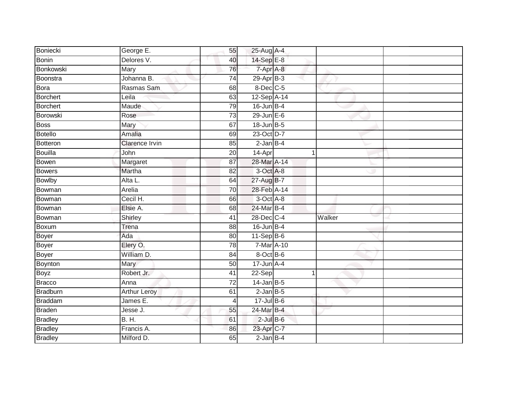| Boniecki        | George E.             | 55 | 25-Aug A-4      |             |  |
|-----------------|-----------------------|----|-----------------|-------------|--|
| Bonin           | Delores V.            | 40 | 14-Sep E-8      |             |  |
| Bonkowski       | <b>Mary</b>           | 76 | 7-Apr A-8       |             |  |
| Boonstra        | Johanna B.            | 74 | 29-Apr B-3      |             |  |
| Bora            | Rasmas Sam            | 68 | 8-Dec C-5       |             |  |
| Borchert        | Leila                 | 63 | 12-Sep A-14     |             |  |
| Borchert        | Maude                 | 79 | $16$ -Jun B-4   |             |  |
| Borowski        | Rose                  | 73 | $29$ -Jun $E-6$ |             |  |
| <b>Boss</b>     | Mary                  | 67 | 18-Jun B-5      |             |  |
| Botello         | Amalia                | 69 | 23-Oct D-7      |             |  |
| Botteron        | <b>Clarence Irvin</b> | 85 | $2$ -Jan $B-4$  |             |  |
| Bouilla         | John                  | 20 | 14-Apr          | $\mathbf 1$ |  |
| Bowen           | Margaret              | 87 | 28-Mar A-14     |             |  |
| <b>Bowers</b>   | Martha                | 82 | 3-Oct A-8       |             |  |
| <b>Bowlby</b>   | Alta L.               | 64 | 27-Aug B-7      |             |  |
| Bowman          | Arelia                | 70 | 28-Feb A-14     |             |  |
| Bowman          | Cecil H.              | 66 | 3-Oct A-8       |             |  |
| Bowman          | Elsie A.              | 68 | 24-Mar B-4      |             |  |
| Bowman          | Shirley               | 41 | 28-Dec C-4      | Walker      |  |
| Boxum           | Trena                 | 88 | $16$ -Jun B-4   |             |  |
| Boyer           | Ada                   | 80 | $11-Sep$ B-6    |             |  |
| Boyer           | Elery O.              | 78 | 7-Mar A-10      |             |  |
| Boyer           | William D.            | 84 | 8-Oct B-6       |             |  |
| Boynton         | Mary                  | 50 | $17 - Jun$ A-4  |             |  |
| Boyz            | Robert Jr.            | 41 | $22-Sep$        |             |  |
| <b>Bracco</b>   | Anna                  | 72 | $14$ -Jan B-5   |             |  |
| <b>Bradburn</b> | <b>Arthur Leroy</b>   | 61 | $2$ -Jan $B$ -5 |             |  |
| Braddam         | James E.              | 4  | 17-Jul B-6      |             |  |
| <b>Braden</b>   | Jesse J.              | 55 | 24-Mar B-4      |             |  |
| <b>Bradley</b>  | <b>B. H.</b>          | 61 | $2$ -Jul $B$ -6 |             |  |
| <b>Bradley</b>  | Francis A.            | 86 | 23-Apr C-7      |             |  |
| <b>Bradley</b>  | Milford D.            | 65 | $2$ -Jan $B-4$  |             |  |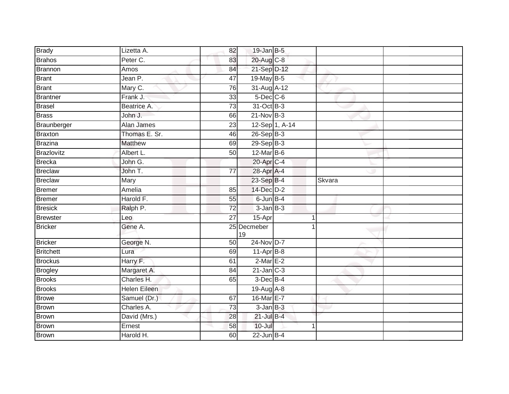| <b>Brady</b>     | Lizetta A.          | 82              | $19$ -Jan B-5     |        |  |
|------------------|---------------------|-----------------|-------------------|--------|--|
| <b>Brahos</b>    | Peter C.            | 83              | 20-Aug C-8        |        |  |
| Brannon          | Amos                | 84              | 21-Sep D-12       |        |  |
| <b>Brant</b>     | Jean P.             | 47              | 19-May B-5        |        |  |
| <b>Brant</b>     | Mary C.             | 76              | 31-Aug A-12       |        |  |
| <b>Brantner</b>  | Frank J.            | 33              | $5$ -Dec $C$ -6   |        |  |
| <b>Brasel</b>    | Beatrice A.         | 73              | 31-Oct B-3        |        |  |
| <b>Brass</b>     | John J.             | 66              | $21-Nov$ B-3      |        |  |
| Braunberger      | Alan James          | 23              | 12-Sep 1, A-14    |        |  |
| <b>Braxton</b>   | Thomas E. Sr.       | 46              | 26-Sep B-3        |        |  |
| <b>Brazina</b>   | <b>Matthew</b>      | 69              | $29-Sep$ B-3      |        |  |
| Brazlovitz       | Albert L.           | 50              | 12-Mar B-6        |        |  |
| <b>Brecka</b>    | John G.             |                 | 20-Apr C-4        |        |  |
| <b>Breclaw</b>   | John T.             | $\overline{77}$ | 28-Apr A-4        |        |  |
| <b>Breclaw</b>   | <b>Mary</b>         |                 | 23-Sep B-4        | Skvara |  |
| <b>Bremer</b>    | <b>Amelia</b>       | 85              | 14-Dec D-2        |        |  |
| <b>Bremer</b>    | Harold F.           | 55              | 6-Jun B-4         |        |  |
| <b>Bresick</b>   | Ralph P.            | 72              | $3$ -Jan $B-3$    |        |  |
| <b>Brewster</b>  | Leo                 | 27              | 15-Apr            |        |  |
| <b>Bricker</b>   | Gene A.             |                 | 25 Decmeber<br>19 |        |  |
| <b>Bricker</b>   | George N.           | 50              | 24-Nov D-7        |        |  |
| <b>Britchett</b> | Lura                | 69              | $11-Apr$ B-8      |        |  |
| <b>Brockus</b>   | Harry F.            | 61              | $2$ -Mar $E-2$    |        |  |
| <b>Brogley</b>   | Margaret A.         | 84              | $21$ -Jan $C-3$   |        |  |
| <b>Brooks</b>    | Charles H.          | 65              | $3$ -Dec $B-4$    |        |  |
| <b>Brooks</b>    | <b>Helen Eileen</b> |                 | 19-Aug A-8        |        |  |
| <b>Browe</b>     | Samuel (Dr.)        | 67              | 16-Mar E-7        |        |  |
| <b>Brown</b>     | Charles A.          | 73              | $3$ -Jan $B-3$    |        |  |
| <b>Brown</b>     | David (Mrs.)        | 28              | $21$ -Jul $B-4$   |        |  |
| <b>Brown</b>     | Ernest              | 58              | $10 -$ Jul        |        |  |
| Brown            | Harold H.           | 60              | $22$ -Jun B-4     |        |  |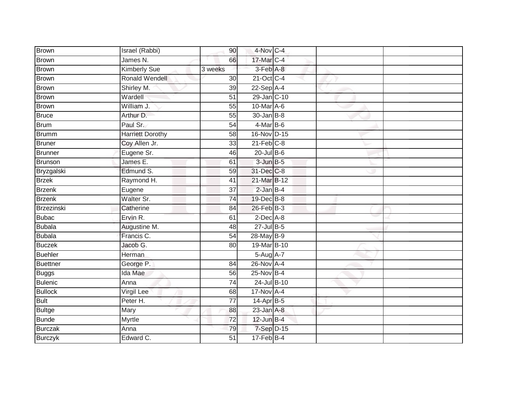| <b>Brown</b>    | Israel (Rabbi)          | 90              | 4-Nov C-4             |  |  |
|-----------------|-------------------------|-----------------|-----------------------|--|--|
| <b>Brown</b>    | James N.                | 66              | 17-Mar C-4            |  |  |
| Brown           | <b>Kimberly Sue</b>     | 3 weeks         | 3-Feb A-8             |  |  |
| Brown           | Ronald Wendell          | 30 <sub>0</sub> | 21-Oct C-4            |  |  |
| Brown           | Shirley M.              | 39              | $22-Sep$ A-4          |  |  |
| Brown           | Wardell                 | $\overline{51}$ | 29-Jan C-10           |  |  |
| Brown           | William J.              | 55              | 10-Mar A-6            |  |  |
| <b>Bruce</b>    | Arthur D.               | 55              | 30-Jan B-8            |  |  |
| <b>Brum</b>     | Paul Sr.                | 54              | $4-MarB-6$            |  |  |
| Brumm           | <b>Harriett Dorothy</b> | 58              | 16-Nov D-15           |  |  |
| <b>Bruner</b>   | Coy Allen Jr.           | 33              | $21$ -Feb $C-8$       |  |  |
| Brunner         | Eugene Sr.              | 46              | $20$ -Jul B-6         |  |  |
| Brunson         | James E.                | 61              | $3 - Jun$ $B - 5$     |  |  |
| Bryzgalski      | Edmund S.               | 59              | 31-Dec C-8            |  |  |
| <b>Brzek</b>    | Raymond H.              | $\overline{41}$ | 21-Mar B-12           |  |  |
| <b>Brzenk</b>   | Eugene                  | 37              | $2$ -Jan $B-4$        |  |  |
| <b>Brzenk</b>   | Walter Sr.              | $\overline{74}$ | 19-Dec B-8            |  |  |
| Brzezinski      | Catherine               | 84              | $26$ -Feb $B-3$       |  |  |
| <b>Bubac</b>    | Ervin R.                | 61              | $2$ -Dec $A$ -8       |  |  |
| Bubala          | Augustine M.            | 48              | 27-Jul B-5            |  |  |
| <b>Bubala</b>   | Francis C.              | 54              | 28-May B-9            |  |  |
| <b>Buczek</b>   | Jacob G.                | 80              | 19-Mar B-10           |  |  |
| <b>Buehler</b>  | Herman                  |                 | 5-Aug A-7             |  |  |
| <b>Buettner</b> | George P.               | 84              | 26-Nov A-4            |  |  |
| Buggs           | Ida Mae                 | 56              | $25$ -Nov B-4         |  |  |
| <b>Bulenic</b>  | Anna                    | $\overline{74}$ | 24-Jul B-10           |  |  |
| <b>Bullock</b>  | <b>Virgil Lee</b>       | 68              | $17-Nov1 + 4$         |  |  |
| <b>Bult</b>     | Peter H.                | 77              | 14-Apr B-5            |  |  |
| <b>Bultge</b>   | Mary                    | 88              | $23$ -Jan $A-8$       |  |  |
| <b>Bunde</b>    | Myrtle                  | 72              | $12$ -Jun $B-4$       |  |  |
| <b>Burczak</b>  | Anna                    | 79              | 7-Sep D-15            |  |  |
| <b>Burczyk</b>  | Edward C.               | 51              | $17 - \text{Feb}$ B-4 |  |  |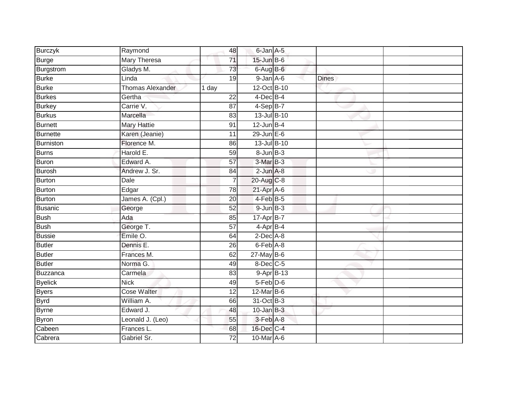| <b>Burczyk</b>  | Raymond                 | 48              | 6-Jan A-5         |            |              |  |
|-----------------|-------------------------|-----------------|-------------------|------------|--------------|--|
| <b>Burge</b>    | <b>Mary Theresa</b>     | $\overline{71}$ | 15-Jun B-6        |            |              |  |
| Burgstrom       | Gladys M.               | 73              | 6-Aug B-6         |            |              |  |
| <b>Burke</b>    | Linda                   | 19              | $9$ -Jan $A$ -6   |            | <b>Dines</b> |  |
| <b>Burke</b>    | <b>Thomas Alexander</b> | 1 day           | 12-Oct B-10       |            |              |  |
| <b>Burkes</b>   | Gertha                  | $\overline{22}$ | $4$ -Dec $B$ -4   |            |              |  |
| <b>Burkey</b>   | Carrie V.               | $\overline{87}$ | $4-SepB-7$        |            |              |  |
| <b>Burkus</b>   | Marcella                | 83              | 13-Jul B-10       |            |              |  |
| <b>Burnett</b>  | <b>Mary Hattie</b>      | 91              | $12$ -Jun B-4     |            |              |  |
| <b>Burnette</b> | Karen (Jeanie)          | 11              | 29-Jun E-6        |            |              |  |
| Burniston       | Florence M.             | 86              | 13-Jul B-10       |            |              |  |
| <b>Burns</b>    | Harold E.               | 59              | $8 - Jun$ $B - 3$ |            |              |  |
| <b>Buron</b>    | Edward A.               | 57              | 3-Mar B-3         |            |              |  |
| Burosh          | Andrew J. Sr.           | 84              | $2$ -Jun $A-8$    |            |              |  |
| Burton          | <b>Dale</b>             | $\overline{7}$  | 20-Aug C-8        |            |              |  |
| Burton          | Edgar                   | 78              | 21-Apr A-6        |            |              |  |
| Burton          | James A. (Cpl.)         | $\overline{20}$ | $4-FebB-5$        |            |              |  |
| Busanic         | George                  | 52              | $9$ -Jun $B-3$    |            |              |  |
| <b>Bush</b>     | Ada                     | 85              | 17-Apr B-7        |            |              |  |
| <b>Bush</b>     | George T.               | $\overline{57}$ | $4 - AprB - 4$    |            |              |  |
| <b>Bussie</b>   | Emile O.                | 64              | $2$ -Dec $A$ -8   |            |              |  |
| <b>Butler</b>   | Dennis E.               | $\overline{26}$ | 6-Feb A-8         |            |              |  |
| <b>Butler</b>   | Frances M.              | 62              | $27$ -May $B-6$   |            |              |  |
| <b>Butler</b>   | Norma G.                | 49              | $8$ -Dec $C$ -5   |            |              |  |
| Buzzanca        | Carmela                 | 83              |                   | 9-Apr B-13 |              |  |
| <b>Byelick</b>  | <b>Nick</b>             | 49              | $5-Feb$ $D-6$     |            |              |  |
| <b>Byers</b>    | <b>Cose Walter</b>      | $\overline{12}$ | 12-Mar B-6        |            |              |  |
| <b>Byrd</b>     | William A.              | 66              | 31-Oct B-3        |            |              |  |
| <b>Byrne</b>    | Edward J.               | 48              | $10$ -Jan $B-3$   |            |              |  |
| <b>Byron</b>    | Leonald J. (Leo)        | 55              | 3-Feb A-8         |            |              |  |
| Cabeen          | Frances L.              | 68              | 16-Dec C-4        |            |              |  |
| Cabrera         | Gabriel Sr.             | $\overline{72}$ | 10-Mar A-6        |            |              |  |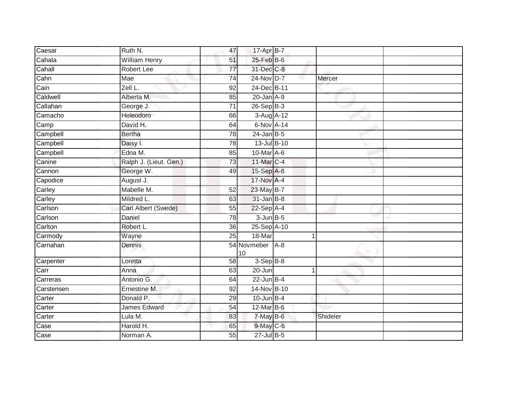| Caesar                   | Ruth N.                | 47              | 17-Apr B-7        |       |             |  |
|--------------------------|------------------------|-----------------|-------------------|-------|-------------|--|
| Cahala                   | <b>William Henry</b>   | 51              | 25-Feb B-6        |       |             |  |
| Cahall                   | <b>Robert Lee</b>      | 77              | 31-Dec C-8        |       |             |  |
| Cahn                     | Mae                    | 74              | 24-Nov D-7        |       | Mercer      |  |
| Cain                     | Zell L.                | $\overline{92}$ | 24-Dec B-11       |       |             |  |
| Caldwell                 | Alberta M.             | 85              | $20$ -Jan $A-9$   |       |             |  |
| Callahan                 | George J.              | 71              | 26-Sep B-3        |       |             |  |
| Camacho                  | Heleodoro              | 66              | 3-Aug A-12        |       |             |  |
| $\overline{\text{Camp}}$ | David H.               | 64              | 6-Nov A-14        |       |             |  |
| Campbell                 | <b>Bertha</b>          | 78              | $24$ -Jan B-5     |       |             |  |
| Campbell                 | Daisy I.               | 78              | 13-Jul B-10       |       |             |  |
| Campbell                 | Edna M.                | 85              | 10-Mar A-6        |       |             |  |
| Canine                   | Ralph J. (Lieut. Gen.) | 73              | 11-Mar C-4        |       |             |  |
| Cannon                   | George W.              | 49              | 15-Sep A-8        |       |             |  |
| Capodice                 | August J.              |                 | 17-Nov A-4        |       |             |  |
| Carley                   | Mabelle M.             | 52              | 23-May B-7        |       |             |  |
| Carley                   | Mildred L.             | 63              | $31$ -Jan B-8     |       |             |  |
| Carlson                  | Carl Albert (Swede)    | 55              | $22-Sep$ A-4      |       |             |  |
| Carlson                  | Daniel                 | 78              | $3$ -Jun $B$ -5   |       |             |  |
| Carlton                  | Robert L.              | 36              | 25-Sep A-10       |       |             |  |
| Carmody                  | Wayne                  | 25              | 18-Mar            |       | $\mathbf 1$ |  |
| Carnahan                 | Dennis                 |                 | 54 Novmeber<br>10 | $A-8$ |             |  |
| Carpenter                | Loretta                | $\overline{58}$ | $3-SepB-8$        |       |             |  |
| $\overline{\text{Carr}}$ | Anna                   | 63              | 20-Jun            |       | 1           |  |
| Carreras                 | Antonio G.             | 64              | $22$ -Jun B-4     |       |             |  |
| Carstensen               | Ernestine M.           | 92              | 14-Nov B-10       |       |             |  |
| Carter                   | Donald P.              | 29              | $10$ -Jun $B-4$   |       |             |  |
| Carter                   | <b>James Edward</b>    | $\overline{54}$ | 12-Mar B-6        |       |             |  |
| Carter                   | Lula M.                | 83              | 7-May B-6         |       | Shideler    |  |
| $\overline{\text{Case}}$ | Harold H.              | 65              | $9$ -May $C$ -6   |       |             |  |
| Case                     | Norman A.              | 55              | $27$ -Jul B-5     |       |             |  |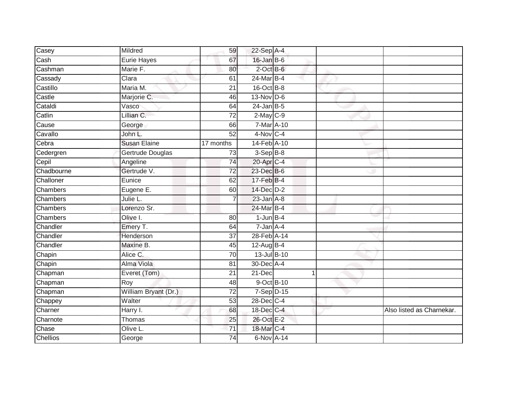| Casey           | Mildred              | 59              | 22-Sep A-4       |  |                           |
|-----------------|----------------------|-----------------|------------------|--|---------------------------|
| Cash            | <b>Eurie Hayes</b>   | 67              | 16-Jan B-6       |  |                           |
| Cashman         | Marie F.             | 80              | $2$ -Oct $B$ -6  |  |                           |
| Cassady         | Clara                | 61              | 24-Mar B-4       |  |                           |
| Castillo        | Maria M.             | $\overline{21}$ | 16-Oct B-8       |  |                           |
| Castle          | Marjorie C.          | 46              | $13-Nov$ D-6     |  |                           |
| Cataldi         | Vasco                | 64              | $24$ -Jan B-5    |  |                           |
| Catlin          | Lillian C.           | 72              | $2$ -May $C$ -9  |  |                           |
| Cause           | George               | 66              | 7-Mar A-10       |  |                           |
| Cavallo         | John L.              | 52              | $4-Nov$ C-4      |  |                           |
| Cebra           | <b>Susan Elaine</b>  | 17 months       | 14-Feb A-10      |  |                           |
| Cedergren       | Gertrude Douglas     | 73              | 3-Sep B-8        |  |                           |
| Cepil           | Angeline             | 74              | 20-Apr C-4       |  |                           |
| Chadbourne      | Gertrude V.          | 72              | 23-Dec B-6       |  |                           |
| Challoner       | Eunice               | 62              | $17$ -Feb $B$ -4 |  |                           |
| Chambers        | Eugene E.            | 60              | 14-Dec D-2       |  |                           |
| <b>Chambers</b> | Julie L.             | $\overline{7}$  | $23$ -Jan $A-8$  |  |                           |
| Chambers        | Lorenzo Sr.          |                 | 24-Mar B-4       |  |                           |
| Chambers        | Olive I.             | 80              | $1$ -Jun $B-4$   |  |                           |
| Chandler        | Emery T.             | 64              | $7 - Jan A - 4$  |  |                           |
| Chandler        | Henderson            | 37              | 28-Feb A-14      |  |                           |
| Chandler        | Maxine B.            | 45              | 12-Aug B-4       |  |                           |
| Chapin          | Alice C.             | 70              | 13-Jul B-10      |  |                           |
| Chapin          | Alma Viola           | 81              | 30-Dec A-4       |  |                           |
| Chapman         | Everet (Tom)         | 21              | 21-Dec           |  |                           |
| Chapman         | Roy                  | 48              | 9-Oct B-10       |  |                           |
| Chapman         | William Bryant (Dr.) | 72              | 7-Sep D-15       |  |                           |
| Chappey         | Walter               | 53              | 28-Dec C-4       |  |                           |
| Charner         | Harry I.             | 68              | 18-Dec C-4       |  | Also listed as Charnekar. |
| Charnote        | Thomas               | 25              | 26-Oct E-2       |  |                           |
| Chase           | Olive L.             | 71              | 18-Mar C-4       |  |                           |
| <b>Chellios</b> | George               | $\overline{74}$ | 6-Nov A-14       |  |                           |
|                 |                      |                 |                  |  |                           |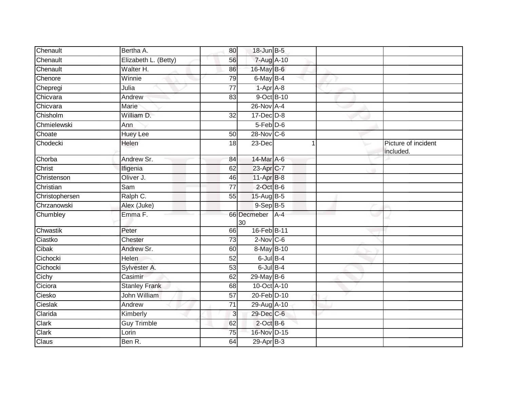| Chenault       | Bertha A.            | 80              | 18-Jun B-5              |  |                                  |
|----------------|----------------------|-----------------|-------------------------|--|----------------------------------|
| Chenault       | Elizabeth L. (Betty) | 56              | 7-Aug A-10              |  |                                  |
| Chenault       | Walter H.            | 86              | 16-May B-6              |  |                                  |
| Chenore        | Winnie               | 79              | 6-May B-4               |  |                                  |
| Chepregi       | Julia                | $\overline{77}$ | $1-AprA-8$              |  |                                  |
| Chicvara       | Andrew               | 83              | 9-Oct B-10              |  |                                  |
| Chicvara       | Marie                |                 | 26-Nov A-4              |  |                                  |
| Chisholm       | William D.           | $\overline{32}$ | 17-Dec D-8              |  |                                  |
| Chmielewski    | Ann                  |                 | $5-Feb$ $D-6$           |  |                                  |
| Choate         | <b>Huey Lee</b>      | 50              | 28-Nov C-6              |  |                                  |
| Chodecki       | <b>Helen</b>         | 18              | 23-Dec                  |  | Picture of incident<br>included. |
| Chorba         | Andrew Sr.           | 84              | 14-Mar A-6              |  |                                  |
| <b>Christ</b>  | Ifigenia             | 62              | 23-Apr <sub>C-7</sub>   |  |                                  |
| Christenson    | Oliver J.            | 46              | 11-Apr B-8              |  |                                  |
| Christian      | Sam                  | $\overline{77}$ | $2$ -Oct $B$ -6         |  |                                  |
| Christophersen | Ralph C.             | $\overline{55}$ | 15-Aug B-5              |  |                                  |
| Chrzanowski    | Alex (Juke)          |                 | $9-Sep$ $B-5$           |  |                                  |
| Chumbley       | Emma F.              |                 | 66 Decmeber   A-4<br>30 |  |                                  |
| Chwastik       | Peter                | 66              | 16-Feb B-11             |  |                                  |
| Ciastko        | Chester              | $\overline{73}$ | $2$ -Nov $ C-6 $        |  |                                  |
| Cibak          | Andrew Sr.           | 60              | 8-May B-10              |  |                                  |
| Cichocki       | <b>Helen</b>         | 52              | $6$ -Jul $B-4$          |  |                                  |
| Cichocki       | Sylvester A.         | 53              | $6$ -Jul $B-4$          |  |                                  |
| Cichy          | Casimir              | 62              | 29-May B-6              |  |                                  |
| Ciciora        | <b>Stanley Frank</b> | 68              | 10-Oct A-10             |  |                                  |
| Ciesko         | John William         | 57              | 20-Feb D-10             |  |                                  |
| Cieslak        | Andrew               | $\overline{71}$ | 29-Aug A-10             |  |                                  |
| Clarida        | Kimberly             | 3               | 29-Dec C-6              |  |                                  |
| Clark          | <b>Guy Trimble</b>   | 62              | $2$ -Oct B-6            |  |                                  |
| Clark          | Lorin                | 75              | 16-Nov D-15             |  |                                  |
| Claus          | Ben R.               | 64              | $29-Apr$ B-3            |  |                                  |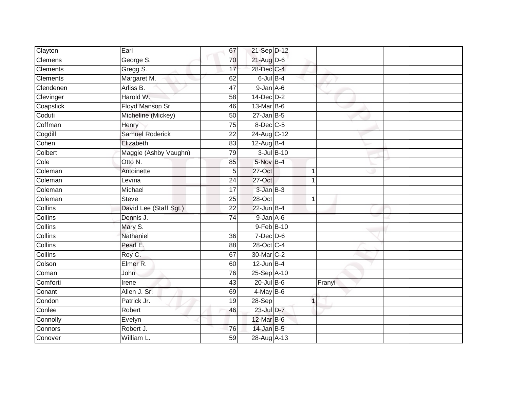| Clayton         | Earl                   | 67              | 21-Sep D-12     |            |        |  |
|-----------------|------------------------|-----------------|-----------------|------------|--------|--|
| <b>Clemens</b>  | George S.              | 70              | $21$ -Aug D-6   |            |        |  |
| <b>Clements</b> | Gregg S.               | 17              | 28-Dec C-4      |            |        |  |
| Clements        | Margaret M.            | 62              | $6$ -Jul $B-4$  |            |        |  |
| Clendenen       | Arliss B.              | $\overline{47}$ | $9 - Jan A - 6$ |            |        |  |
| Clevinger       | Harold W.              | 58              | 14-Dec D-2      |            |        |  |
| Coapstick       | Floyd Manson Sr.       | 46              | 13-Mar B-6      |            |        |  |
| Coduti          | Micheline (Mickey)     | 50              | $27$ -Jan B-5   |            |        |  |
| Coffman         | Henry                  | $\overline{75}$ | 8-Dec C-5       |            |        |  |
| Cogdill         | <b>Samuel Roderick</b> | $\overline{22}$ | 24-Aug C-12     |            |        |  |
| Cohen           | Elizabeth              | $\overline{83}$ | $12$ -Aug B-4   |            |        |  |
| Colbert         | Maggie (Ashby Vaughn)  | 79              |                 | 3-Jul B-10 |        |  |
| Cole            | Otto N.                | 85              | 5-Nov B-4       |            |        |  |
| Coleman         | Antoinette             | 5 <sub>5</sub>  | 27-Oct          |            | 1      |  |
| Coleman         | Levina                 | $\overline{24}$ | 27-Oct          |            |        |  |
| Coleman         | Michael                | 17              | $3-JanB-3$      |            |        |  |
| Coleman         | <b>Steve</b>           | 25              | $28 - Oct$      |            | 1      |  |
| Collins         | David Lee (Staff Sgt.) | 22              | $22$ -Jun B-4   |            |        |  |
| <b>Collins</b>  | Dennis J.              | 74              | $9$ -Jan $A$ -6 |            |        |  |
| Collins         | Mary S.                |                 | 9-Feb B-10      |            |        |  |
| Collins         | Nathaniel              | 36              | $7$ -Dec $D$ -6 |            |        |  |
| <b>Collins</b>  | Pearl E.               | $\overline{88}$ | 28-Oct C-4      |            |        |  |
| <b>Collins</b>  | Roy C.                 | 67              | 30-Mar C-2      |            |        |  |
| Colson          | Elmer R.               | 60              | $12$ -Jun B-4   |            |        |  |
| Coman           | John                   | 76              | 25-Sep A-10     |            |        |  |
| Comforti        | Irene                  | 43              | 20-Jul B-6      |            | Franyi |  |
| Conant          | Allen J. Sr.           | 69              | $4$ -May B-6    |            |        |  |
| Condon          | Patrick Jr.            | 19              | 28-Sep          |            | 1      |  |
| Conlee          | Robert                 | 46              | 23-Jul D-7      |            |        |  |
| Connolly        | Evelyn                 |                 | 12-Mar B-6      |            |        |  |
| Connors         | Robert J.              | 76              | $14$ -Jan B-5   |            |        |  |
| Conover         | William L.             | 59              | 28-Aug A-13     |            |        |  |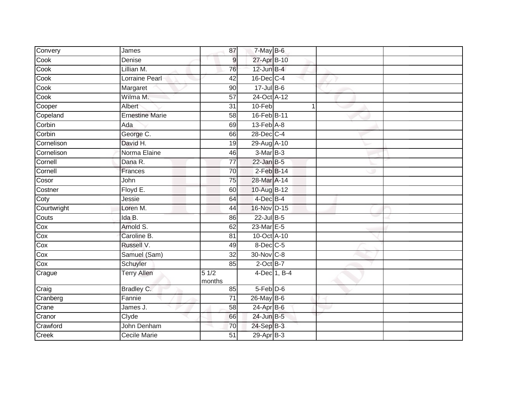| Convery     | James                  | 87              | 7-May B-6                  |              |  |
|-------------|------------------------|-----------------|----------------------------|--------------|--|
| Cook        | Denise                 | $\overline{9}$  | 27-Apr B-10                |              |  |
| Cook        | Lillian M.             | 76              | $12$ -Jun $B-4$            |              |  |
| Cook        | Lorraine Pearl         | 42              | $16$ -Dec $C-4$            |              |  |
| Cook        | Margaret               | 90              | $17$ -Jul B-6              |              |  |
| Cook        | Wilma M.               | 57              | 24-Oct A-12                |              |  |
| Cooper      | Albert                 | 31              | 10-Feb                     | 1            |  |
| Copeland    | <b>Ernestine Marie</b> | 58              | 16-Feb B-11                |              |  |
| Corbin      | Ada                    | 69              | $13$ -Feb $\overline{A-8}$ |              |  |
| Corbin      | George C.              | 66              | 28-Dec C-4                 |              |  |
| Cornelison  | David H.               | 19              | 29-Aug A-10                |              |  |
| Cornelison  | Norma Elaine           | 46              | 3-Mar B-3                  |              |  |
| Cornell     | Dana R.                | 77              | $22$ -Jan B-5              |              |  |
| Cornell     | Frances                | 70              | $2$ -Feb $B$ -14           |              |  |
| Cosor       | John                   | $\overline{75}$ | 28-Mar A-14                |              |  |
| Costner     | Floyd E.               | 60              | 10-Aug B-12                |              |  |
| Coty        | Jessie                 | 64              | $4$ -Dec $B-4$             |              |  |
| Courtwright | Loren M.               | 44              | 16-Nov D-15                |              |  |
| Couts       | Ida B.                 | 86              | 22-Jul B-5                 |              |  |
| Cox         | Arnold S.              | 62              | $23$ -Mar $E-5$            |              |  |
| Cox         | Caroline B.            | 81              | 10-Oct A-10                |              |  |
| Cox         | Russell V.             | 49              | 8-Dec C-5                  |              |  |
| Cox         | Samuel (Sam)           | 32              | 30-Nov C-8                 |              |  |
| Cox         | Schuyler               | 85              | $2$ -Oct B-7               |              |  |
| Crague      | <b>Terry Allen</b>     | 51/2<br>months  |                            | 4-Dec 1, B-4 |  |
| Craig       | Bradley C.             | 85              | $5-Feb$ $D-6$              |              |  |
| Cranberg    | Fannie                 | 71              | 26-May B-6                 |              |  |
| Crane       | James J.               | 58              | 24-Apr B-6                 |              |  |
| Cranor      | Clyde                  | 66              | 24-Jun B-5                 |              |  |
| Crawford    | John Denham            | 70              | 24-Sep B-3                 |              |  |
| Creek       | Cecile Marie           | 51              | $29-Apr$ B-3               |              |  |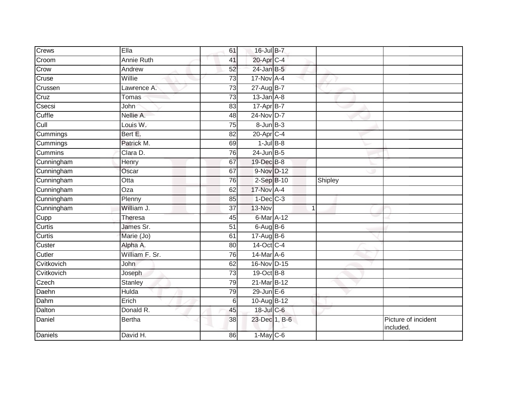| Crews          | Ella               | 61              | 16-Jul B-7      |                |         |                                 |
|----------------|--------------------|-----------------|-----------------|----------------|---------|---------------------------------|
| Croom          | <b>Annie Ruth</b>  | 41              | 20-Apr C-4      |                |         |                                 |
| Crow           | Andrew             | 52              | 24-Jan B-5      |                |         |                                 |
| Cruse          | Willie             | 73              | 17-Nov A-4      |                |         |                                 |
| Crussen        | Lawrence A.        | 73              | 27-Aug B-7      |                |         |                                 |
| Cruz           | Tomas              | 73              | $13$ -Jan $A-8$ |                |         |                                 |
| Csecsi         | John               | 83              | 17-Apr B-7      |                |         |                                 |
| Cuffle         | Nellie A.          | 48              | $24$ -Nov D-7   |                |         |                                 |
| Cull           | Louis W.           | 75              | $8 - Jun$ $B-3$ |                |         |                                 |
| Cummings       | Bert E.            | 82              | 20-Apr C-4      |                |         |                                 |
| Cummings       | Patrick M.         | 69              | $1$ -Jul $B-8$  |                |         |                                 |
| Cummins        | Clara D.           | 76              | $24$ -Jun $B-5$ |                |         |                                 |
| Cunningham     | Henry              | 67              | 19-Dec B-8      |                |         |                                 |
| Cunningham     | Oscar              | 67              | 9-Nov D-12      |                |         |                                 |
| Cunningham     | $\overline{O}t$ ta | 76              | $2-Sep$ B-10    |                | Shipley |                                 |
| Cunningham     | $\overline{Oza}$   | 62              | 17-Nov A-4      |                |         |                                 |
| Cunningham     | Plenny             | 85              | $1-Dec$ $C-3$   |                |         |                                 |
| Cunningham     | William J.         | 37              | 13-Nov          | $\overline{1}$ |         |                                 |
| Cupp           | Theresa            | 45              | 6-Mar A-12      |                |         |                                 |
| Curtis         | James Sr.          | 51              | $6$ -Aug $B$ -6 |                |         |                                 |
| Curtis         | Marie (Jo)         | 61              | $17-Aug$ B-6    |                |         |                                 |
| Custer         | Alpha A.           | $\overline{80}$ | 14-Oct C-4      |                |         |                                 |
| Cutler         | William F. Sr.     | 76              | 14-Mar A-6      |                |         |                                 |
| Cvitkovich     | John               | 62              | 16-Nov D-15     |                |         |                                 |
| Cvitkovich     | Joseph             | 73              | 19-Oct B-8      |                |         |                                 |
| Czech          | Stanley            | 79              | 21-Mar B-12     |                |         |                                 |
| Daehn          | <b>Hulda</b>       | 79              | $29$ -Jun $E-6$ |                |         |                                 |
| Dahm           | Erich              | 6               | 10-Aug B-12     |                |         |                                 |
| Dalton         | Donald R.          | 45              | 18-Jul C-6      |                |         |                                 |
| Daniel         | <b>Bertha</b>      | 38              | 23-Dec 1, B-6   |                |         | Picture of incident<br>included |
| <b>Daniels</b> | David H.           | 86              | $1-May$ C-6     |                |         |                                 |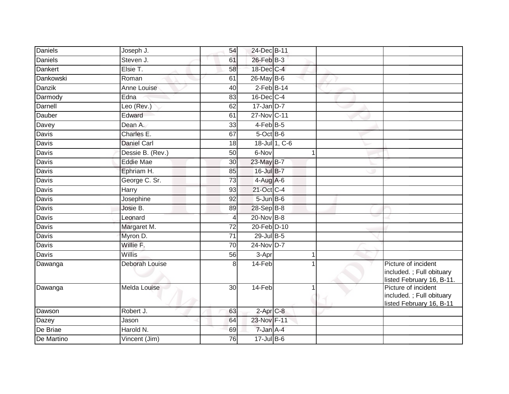| Daniels      | Joseph J.          | 54              | 24-Dec B-11       |               |   |                                                                              |
|--------------|--------------------|-----------------|-------------------|---------------|---|------------------------------------------------------------------------------|
| Daniels      | Steven J.          | 61              | 26-Feb B-3        |               |   |                                                                              |
| Dankert      | Elsie T.           | 58              | 18-Dec C-4        |               |   |                                                                              |
| Dankowski    | Roman              | 61              | $26$ -May B-6     |               |   |                                                                              |
| Danzik       | Anne Louise        | 40              | $2$ -Feb $B$ -14  |               |   |                                                                              |
| Darmody      | Edna               | 83              | 16-Dec C-4        |               |   |                                                                              |
| Darnell      | Leo (Rev.)         | 62              | $17$ -Jan D-7     |               |   |                                                                              |
| Dauber       | Edward             | 61              | 27-Nov C-11       |               |   |                                                                              |
| Davey        | Dean A.            | 33              | 4-Feb B-5         |               |   |                                                                              |
| Davis        | Charles E.         | 67              | 5-Oct B-6         |               |   |                                                                              |
| Davis        | <b>Daniel Carl</b> | 18              |                   | 18-Jul 1, C-6 |   |                                                                              |
| Davis        | Dessie B. (Rev.)   | 50              | 6-Nov             |               | 1 |                                                                              |
| Davis        | <b>Eddie Mae</b>   | 30              | 23-May B-7        |               |   |                                                                              |
| Davis        | Ephriam H.         | 85              | 16-Jul B-7        |               |   |                                                                              |
| <b>Davis</b> | George C. Sr.      | $\overline{73}$ | $4-Aug$ A-6       |               |   |                                                                              |
| Davis        | Harry              | 93              | 21-Oct C-4        |               |   |                                                                              |
| Davis        | Josephine          | 92              | $5 - Jun$ $B - 6$ |               |   |                                                                              |
| Davis        | Josie B.           | 89              | 28-Sep B-8        |               |   |                                                                              |
| Davis        | Leonard            | 4               | 20-Nov B-8        |               |   |                                                                              |
| Davis        | Margaret M.        | $\overline{72}$ | 20-Feb D-10       |               |   |                                                                              |
| Davis        | Myron D.           | 71              | 29-Jul B-5        |               |   |                                                                              |
| <b>Davis</b> | Willie F.          | 70              | $24$ -Nov D-7     |               |   |                                                                              |
| Davis        | Willis             | 56              | 3-Apr             |               | 1 |                                                                              |
| Dawanga      | Deborah Louise     | 8               | 14-Feb            |               |   | Picture of incident<br>included.; Full obituary<br>listed February 16, B-11. |
| Dawanga      | Melda Louise       | $\overline{30}$ | 14-Feb            |               |   | Picture of incident<br>included.; Full obituary<br>listed February 16, B-11  |
| Dawson       | Robert J.          | 63              | $2-AprC-8$        |               |   |                                                                              |
| Dazey        | Jason              | 64              | 23-Nov F-11       |               |   |                                                                              |
| De Briae     | Harold N.          | 69              | $7$ -Jan $A-4$    |               |   |                                                                              |
| De Martino   | Vincent (Jim)      | 76              | $17$ -Jul $B-6$   |               |   |                                                                              |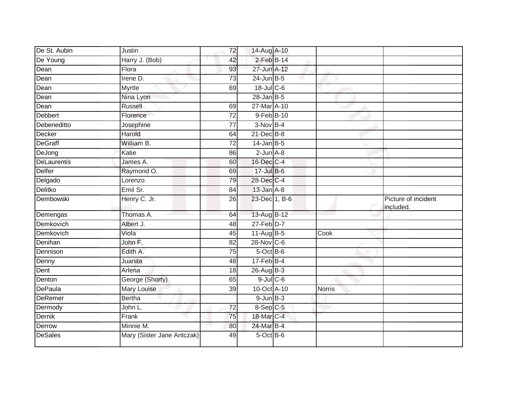| De St. Aubin   | Justin                     | 72              | 14-Aug A-10      |               |                                  |
|----------------|----------------------------|-----------------|------------------|---------------|----------------------------------|
| De Young       | Harry J. (Bob)             | 42              | $2$ -Feb $B-14$  |               |                                  |
| Dean           | Flora                      | 93              | 27-Jun A-12      |               |                                  |
| Dean           | Irene D.                   | 73              | $24$ -Jun $B-5$  |               |                                  |
| Dean           | Myrtle                     | 69              | $18$ -Jul C-6    |               |                                  |
| Dean           | Nina Lyon                  |                 | $28$ -Jan B-5    |               |                                  |
| Dean           | Russell                    | 69              | 27-Mar A-10      |               |                                  |
| Debbert        | Florence                   | $\overline{72}$ | 9-Feb B-10       |               |                                  |
| Debeneditto    | Josephine                  | 77              | $3-Nov$ B-4      |               |                                  |
| Decker         | Harold                     | 64              | $21$ -Dec $B-8$  |               |                                  |
| <b>DeGraff</b> | William B.                 | 72              | $14$ -Jan B-5    |               |                                  |
| DeJong         | Katie                      | 86              | $2$ -Jun $A - 8$ |               |                                  |
| DeLaurentis    | James A.                   | 60              | 16-Dec C-4       |               |                                  |
| <b>Delfer</b>  | Raymond O.                 | 69              | 17-Jul B-6       |               |                                  |
| Delgado        | Lorenzo                    | 79              | 28-Dec C-4       |               |                                  |
| Delitko        | Emil Sr.                   | 84              | $13$ -Jan $A-8$  |               |                                  |
| Dembowski      | Henry C. Jr.               | $\overline{26}$ | 23-Dec 1, B-6    |               | Picture of incident<br>included. |
| Demengas       | Thomas A.                  | 64              | 13-Aug B-12      |               |                                  |
| Demkovich      | Albert J.                  | 48              | $27$ -Feb $D-7$  |               |                                  |
| Demkovich      | Viola                      | 45              | $11-Aug$ B-5     | Cook          |                                  |
| Denihan        | John F.                    | 82              | 28-Nov C-6       |               |                                  |
| Dennison       | Edith A.                   | 75              | 5-Oct B-6        |               |                                  |
| Denny          | Juanita                    | 48              | $17$ -Feb $B$ -4 |               |                                  |
| Dent           | Arlena                     | 18              | 26-Aug B-3       |               |                                  |
| Denton         | George (Shorty)            | 65              | $9$ -Jul $C$ -6  |               |                                  |
| <b>DePaula</b> | Mary Louise                | 39              | 10-Oct A-10      | <b>Norris</b> |                                  |
| <b>DeRemer</b> | <b>Bertha</b>              |                 | $9$ -Jun $B-3$   |               |                                  |
| Dermody        | John L.                    | $\overline{72}$ | 8-Sep C-5        |               |                                  |
| <b>Dernik</b>  | Frank                      | 75              | 18-Mar C-4       |               |                                  |
| Derrow         | Minnie M.                  | 80              | 24-Mar B-4       |               |                                  |
| <b>DeSales</b> | Mary (Sister Jane Antczak) | 49              | 5-Oct B-6        |               |                                  |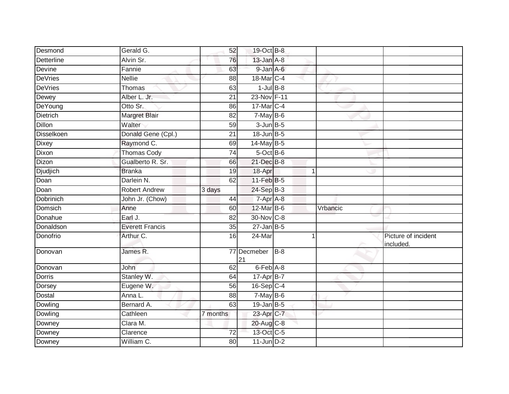| Desmond          | Gerald G.              | 52              | 19-Oct B-8        |                |          |                                  |
|------------------|------------------------|-----------------|-------------------|----------------|----------|----------------------------------|
| Detterline       | Alvin Sr.              | 76              | $13$ -Jan $A-8$   |                |          |                                  |
| Devine           | Fannie                 | 63              | 9-Jan A-6         |                |          |                                  |
| DeVries          | Nellie                 | 88              | 18-Mar C-4        |                |          |                                  |
| <b>DeVries</b>   | Thomas                 | 63              | $1$ -Jul $B-8$    |                |          |                                  |
| Dewey            | Alber L. Jr.           | $\overline{21}$ | 23-Nov F-11       |                |          |                                  |
| DeYoung          | Otto Sr.               | 86              | 17-Mar C-4        |                |          |                                  |
| Dietrich         | Margret Blair          | 82              | $7-MayB-6$        |                |          |                                  |
| <b>Dillon</b>    | Walter                 | 59              | $3$ -Jun $B$ -5   |                |          |                                  |
| Disselkoen       | Donald Gene (Cpl.)     | 21              | $18$ -Jun $B - 5$ |                |          |                                  |
| <b>Dixey</b>     | Raymond C.             | 69              | 14-May B-5        |                |          |                                  |
| Dixon            | <b>Thomas Cody</b>     | 74              | 5-Oct B-6         |                |          |                                  |
| Dizon            | Gualberto R. Sr.       | 66              | 21-Dec B-8        |                |          |                                  |
| <b>Djudjich</b>  | <b>Branka</b>          | $\overline{19}$ | 18-Apr            | $\overline{1}$ |          |                                  |
| Doan             | Darlein N.             | 62              | $11$ -Feb $B$ -5  |                |          |                                  |
| Doan             | Robert Andrew          | 3 days          | 24-Sep B-3        |                |          |                                  |
| <b>Dobrinich</b> | John Jr. (Chow)        | 44              | $7-Apr$ A-8       |                |          |                                  |
| Domsich          | Anne                   | 60              | 12-Mar B-6        |                | Vrbancic |                                  |
| Donahue          | Earl J.                | 82              | 30-Nov C-8        |                |          |                                  |
| Donaldson        | <b>Everett Francis</b> | $\overline{35}$ | $27 - Jan$ B-5    |                |          |                                  |
| Donofrio         | Arthur C.              | 16              | 24-Mar            |                |          | Picture of incident<br>included. |
| Donovan          | James R.               |                 | 77 Decmeber<br>21 | $B-8$          |          |                                  |
| Donovan          | John                   | 62              | 6-Feb A-8         |                |          |                                  |
| Dorris           | Stanley W.             | 64              | 17-Apr B-7        |                |          |                                  |
| Dorsey           | Eugene W.              | 56              | 16-Sep C-4        |                |          |                                  |
| Dostal           | Anna L.                | 88              | $7$ -May $B$ -6   |                |          |                                  |
| Dowling          | Bernard A.             | 63              | $19$ -Jan B-5     |                |          |                                  |
| Dowling          | Cathleen               | 7 months        | 23-Apr C-7        |                |          |                                  |
| Downey           | $\overline{C}$ lara M. |                 | 20-Aug C-8        |                |          |                                  |
| Downey           | Clarence               | $\overline{72}$ | 13-Oct C-5        |                |          |                                  |
| Downey           | William C.             | 80              | $11$ -Jun $D-2$   |                |          |                                  |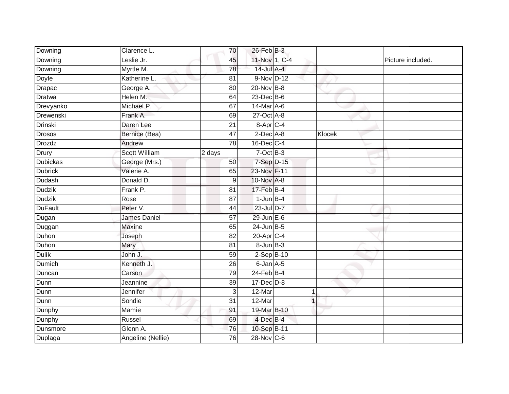| Downing         | Clarence L.          | 70              | $26$ -Feb $B-3$          |                |        |                   |
|-----------------|----------------------|-----------------|--------------------------|----------------|--------|-------------------|
| Downing         | Leslie Jr.           | 45              | 11-Nov 1, C-4            |                |        | Picture included. |
| Downing         | Myrtle M.            | 78              | 14-Jul A-4               |                |        |                   |
| Doyle           | Katherine L.         | 81              | 9-Nov D-12               |                |        |                   |
| Drapac          | George A.            | 80              | $20 - Nov$ B-8           |                |        |                   |
| <b>Dratwa</b>   | Helen M.             | 64              | $23$ -Dec B-6            |                |        |                   |
| Drevyanko       | Michael P.           | 67              | $14$ -Mar $A$ -6         |                |        |                   |
| Drewenski       | Frank A.             | 69              | 27-Oct A-8               |                |        |                   |
| <b>Drinski</b>  | Daren Lee            | 21              | $8 - Apr$ <sub>C-4</sub> |                |        |                   |
| <b>Drosos</b>   | Bernice (Bea)        | 47              | $2$ -Dec $A$ -8          |                | Klocek |                   |
| Drozdz          | Andrew               | 78              | $16$ -Dec $C-4$          |                |        |                   |
| Drury           | <b>Scott William</b> | 2 days          | $7$ -Oct B-3             |                |        |                   |
| <b>Dubickas</b> | George (Mrs.)        | 50              | $7-Sep$ D-15             |                |        |                   |
| <b>Dubrick</b>  | Valerie A.           | 65              | 23-Nov F-11              |                |        |                   |
| Dudash          | Donald D.            | 9               | 10-Nov A-8               |                |        |                   |
| <b>Dudzik</b>   | Frank P.             | 81              | 17-Feb B-4               |                |        |                   |
| <b>Dudzik</b>   | Rose                 | $\overline{87}$ | $1$ -Jun $B-4$           |                |        |                   |
| <b>DuFault</b>  | Peter V.             | 44              | 23-Jul D-7               |                |        |                   |
| Dugan           | <b>James Daniel</b>  | 57              | $29$ -Jun $E-6$          |                |        |                   |
| Duggan          | <b>Maxine</b>        | 65              | $24$ -Jun $B-5$          |                |        |                   |
| Duhon           | Joseph               | 82              | 20-Apr <sub>C-4</sub>    |                |        |                   |
| Duhon           | Mary                 | 81              | $8 - Jun$ $B-3$          |                |        |                   |
| <b>Dulik</b>    | John J.              | 59              | $2-SepB-10$              |                |        |                   |
| <b>Dumich</b>   | Kenneth J.           | 26              | $6$ -Jan $A$ -5          |                |        |                   |
| Duncan          | Carson               | 79              | $24$ -Feb $B-4$          |                |        |                   |
| Dunn            | Jeannine             | 39              | $17 - Dec$ $D-8$         |                |        |                   |
| Dunn            | Jennifer             | 3               | 12-Mar                   | 1              |        |                   |
| Dunn            | Sondie               | 31              | 12-Mar                   | $\overline{1}$ |        |                   |
| Dunphy          | Mamie                | 91              | 19-Mar B-10              |                |        |                   |
| Dunphy          | Russel               | 69              | $4$ -Dec $B-4$           |                |        |                   |
| Dunsmore        | Glenn A.             | 76              | 10-Sep B-11              |                |        |                   |
| Duplaga         | Angeline (Nellie)    | 76              | 28-Nov C-6               |                |        |                   |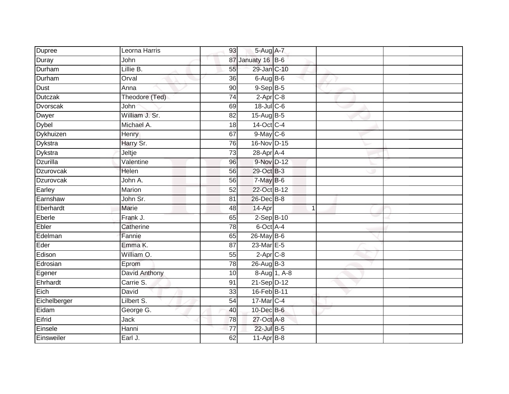| Dupree          | Leorna Harris  | 93              | 5-Aug A-7         |              |  |
|-----------------|----------------|-----------------|-------------------|--------------|--|
| Duray           | John           |                 | 87 Januaty 16 B-6 |              |  |
| Durham          | Lillie B.      | 55              | 29-Jan C-10       |              |  |
| Durham          | Orval          | 36              | 6-Aug B-6         |              |  |
| <b>Dust</b>     | Anna           | $\overline{90}$ | $9-Sep$ $B-5$     |              |  |
| <b>Dutczak</b>  | Theodore (Ted) | $\overline{74}$ | $2-AprC-8$        |              |  |
| <b>Dvorscak</b> | John           | 69              | 18-Jul C-6        |              |  |
| Dwyer           | William J. Sr. | 82              | 15-Aug B-5        |              |  |
| <b>Dybel</b>    | Michael A.     | 18              | 14-Oct C-4        |              |  |
| Dykhuizen       | Henry          | 67              | 9-May C-6         |              |  |
| Dykstra         | Harry Sr.      | 76              | 16-Nov D-15       |              |  |
| <b>Dykstra</b>  | Jeltje         | 73              | 28-Apr A-4        |              |  |
| <b>Dzurilla</b> | Valentine      | 96              | 9-Nov D-12        |              |  |
| Dzurovcak       | Helen          | 56              | 29-Oct B-3        |              |  |
| Dzurovcak       | John A.        | 56              | 7-May B-6         |              |  |
| Earley          | Marion         | 52              | 22-Oct B-12       |              |  |
| Earnshaw        | John Sr.       | $\overline{81}$ | 26-Dec B-8        |              |  |
| Eberhardt       | Marie          | 48              | 14-Apr            |              |  |
| Eberle          | Frank J.       | 65              | 2-Sep B-10        |              |  |
| Ebler           | Catherine      | $\overline{78}$ | 6-Oct A-4         |              |  |
| Edelman         | Fannie         | 65              | 26-May B-6        |              |  |
| Eder            | Emma K.        | 87              | 23-Mar E-5        |              |  |
| Edison          | William O.     | 55              | $2-Apr$ $C-8$     |              |  |
| Edrosian        | Eprom          | 78              | 26-Aug B-3        |              |  |
| Egener          | David Anthony  | 10              |                   | 8-Aug 1, A-8 |  |
| Ehrhardt        | Carrie S.      | 91              | 21-Sep D-12       |              |  |
| Eich            | David          | 33              | 16-Feb B-11       |              |  |
| Eichelberger    | Lilbert S.     | 54              | 17-Mar C-4        |              |  |
| Eidam           | George G.      | 40              | 10-Dec B-6        |              |  |
| Eifrid          | <b>Jack</b>    | 78              | 27-Oct A-8        |              |  |
| Einsele         | Hanni          | 77              | 22-Jul B-5        |              |  |
| Einsweiler      | Earl J.        | 62              | 11-Apr B-8        |              |  |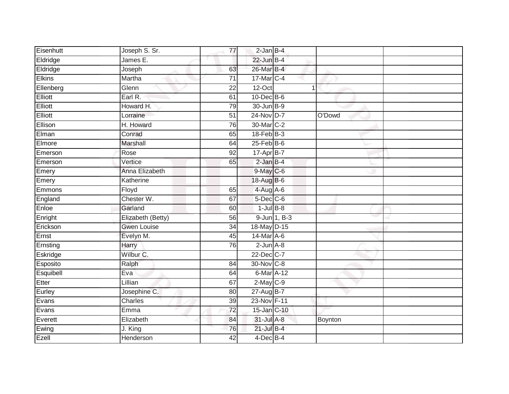| Eisenhutt      | Joseph S. Sr.      | 77              | $2$ -Jan $B-4$    |                |  |
|----------------|--------------------|-----------------|-------------------|----------------|--|
|                | James E.           |                 | 22-Jun B-4        |                |  |
| Eldridge       |                    |                 |                   |                |  |
| Eldridge       | Joseph             | 63              | 26-Mar B-4        |                |  |
| <b>Elkins</b>  | Martha             | 71              | 17-Mar C-4        |                |  |
| Ellenberg      | Glenn              | $\overline{22}$ | $12-Oct$          | $\overline{1}$ |  |
| <b>Elliott</b> | Earl R.            | 61              | $10$ -Dec $B$ -6  |                |  |
| Elliott        | Howard H.          | 79              | 30-Jun B-9        |                |  |
| Elliott        | Lorraine           | 51              | 24-Nov D-7        | O'Dowd         |  |
| Ellison        | H. Howard          | 76              | 30-Mar C-2        |                |  |
| Elman          | Conrad             | 65              | $18$ -Feb $ B-3 $ |                |  |
| Elmore         | Marshall           | 64              | $25$ -Feb $B$ -6  |                |  |
| Emerson        | Rose               | 92              | 17-Apr B-7        |                |  |
| Emerson        | Vertice            | 65              | $2$ -Jan $B-4$    |                |  |
| Emery          | Anna Elizabeth     |                 | 9-May C-6         |                |  |
| Emery          | Katherine          |                 | 18-Aug B-6        |                |  |
| Emmons         | Floyd              | 65              | $4-Aug$ $A-6$     |                |  |
| England        | Chester W.         | 67              | $5$ -Dec $C$ -6   |                |  |
| Enloe          | Garland            | 60              | $1$ -Jul $B-8$    |                |  |
| Enright        | Elizabeth (Betty)  | 56              | 9-Jun 1, B-3      |                |  |
| Erickson       | <b>Gwen Louise</b> | 34              | 18-May D-15       |                |  |
| Ernst          | Evelyn M.          | 45              | 14-Mar A-6        |                |  |
| Ernsting       | Harry              | 76              | $2$ -Jun $A-8$    |                |  |
| Eskridge       | Wilbur C.          |                 | 22-Dec C-7        |                |  |
| Esposito       | Ralph              | 84              | 30-Nov C-8        |                |  |
| Esquibell      | Eva                | 64              | $6$ -Mar $A$ -12  |                |  |
| Etter          | Lillian            | 67              | $2$ -May $C$ -9   |                |  |
| Eurley         | Josephine C.       | 80              | 27-Aug B-7        |                |  |
| Evans          | Charles            | 39              | 23-Nov F-11       |                |  |
| Evans          | Emma               | 72              | 15-Jan C-10       |                |  |
| Everett        | Elizabeth          | 84              | 31-Jul A-8        | Boynton        |  |
| Ewing          | J. King            | 76              | $21$ -Jul B-4     |                |  |
| Ezell          | <b>Henderson</b>   | $\overline{42}$ | 4-Dec B-4         |                |  |
|                |                    |                 |                   |                |  |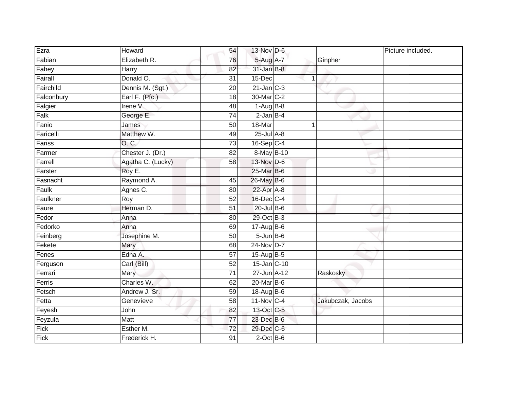| Ezra       | Howard            | 54              | $13-Nov$ D-6      |   |                   | Picture included. |
|------------|-------------------|-----------------|-------------------|---|-------------------|-------------------|
| Fabian     | Elizabeth R.      | 76              | 5-Aug A-7         |   | Ginpher           |                   |
| Fahey      | Harry             | 82              | $31 - Jan$ $B-8$  |   |                   |                   |
| Fairall    | Donald O.         | 31              | 15-Dec            | 1 |                   |                   |
| Fairchild  | Dennis M. (Sgt.)  | $\overline{20}$ | $21$ -Jan $C-3$   |   |                   |                   |
| Falconbury | Earl F. (Pfc.)    | 18              | 30-Mar C-2        |   |                   |                   |
| Falgier    | Irene V.          | 48              | $1-Aug$ $B-8$     |   |                   |                   |
| Falk       | George E.         | 74              | $2$ -Jan $B-4$    |   |                   |                   |
| Fanio      | James             | 50              | 18-Mar            |   |                   |                   |
| Faricelli  | Matthew W.        | 49              | $25$ -Jul $A-8$   |   |                   |                   |
| Fariss     | O. C.             | 73              | $16-Sep$ C-4      |   |                   |                   |
| Farmer     | Chester J. (Dr.)  | 82              | 8-May B-10        |   |                   |                   |
| Farrell    | Agatha C. (Lucky) | 58              | 13-Nov D-6        |   |                   |                   |
| Farster    | Roy E.            |                 | 25-Mar B-6        |   |                   |                   |
| Fasnacht   | Raymond A.        | 45              | 26-May B-6        |   |                   |                   |
| Faulk      | Agnes C.          | 80              | 22-Apr A-8        |   |                   |                   |
| Faulkner   | Roy               | 52              | 16-Dec C-4        |   |                   |                   |
| Faure      | Herman D.         | 51              | $20$ -Jul B-6     |   |                   |                   |
| Fedor      | Anna              | 80              | 29-Oct B-3        |   |                   |                   |
| Fedorko    | Anna              | 69              | 17-Aug B-6        |   |                   |                   |
| Feinberg   | Josephine M.      | 50              | $5 - Jun$ $B - 6$ |   |                   |                   |
| Fekete     | Mary              | 68              | 24-Nov D-7        |   |                   |                   |
| Fenes      | Edna A.           | 57              | 15-Aug B-5        |   |                   |                   |
| Ferguson   | Carl (Bill)       | $\overline{52}$ | 15-Jan C-10       |   |                   |                   |
| Ferrari    | Mary              | 71              | 27-Jun A-12       |   | Raskosky          |                   |
| Ferris     | Charles W.        | 62              | $20$ -Mar $B$ -6  |   |                   |                   |
| Fetsch     | Andrew J. Sr.     | 59              | 18-Aug B-6        |   |                   |                   |
| Fetta      | Genevieve         | 58              | 11-Nov C-4        |   | Jakubczak, Jacobs |                   |
| Feyesh     | John              | 82              | 13-Oct C-5        |   |                   |                   |
| Feyzula    | Matt              | $\overline{77}$ | 23-Dec B-6        |   |                   |                   |
| Fick       | Esther M.         | 72              | 29-Dec C-6        |   |                   |                   |
| Fick       | Frederick H.      | 91              | $2$ -Oct $B$ -6   |   |                   |                   |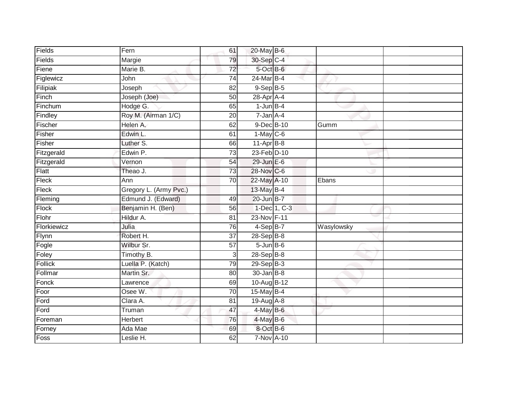| Fields      | Fern                   | 61              | 20-May B-6        |              |            |
|-------------|------------------------|-----------------|-------------------|--------------|------------|
| Fields      | Margie                 | 79              | 30-Sep C-4        |              |            |
| Fiene       | Marie B.               | $\overline{72}$ | $5$ -Oct $B$ -6   |              |            |
| Figlewicz   | John                   | 74              | 24-Mar B-4        |              |            |
| Filipiak    | Joseph                 | $\overline{82}$ | $9-$ Sep $B-5$    |              |            |
| Finch       | Joseph (Joe)           | 50              | 28-Apr A-4        |              |            |
| Finchum     | Hodge G.               | 65              | $1$ -Jun $B-4$    |              |            |
| Findley     | Roy M. (Airman 1/C)    | 20              | $7 - Jan A - 4$   |              |            |
| Fischer     | Helen A.               | 62              | 9-Dec B-10        |              | Gumm       |
| Fisher      | Edwin L.               | 61              | $1-May$ C-6       |              |            |
| Fisher      | Luther S.              | 66              | $11-Apr$ B-8      |              |            |
| Fitzgerald  | Edwin P.               | 73              | 23-Feb D-10       |              |            |
| Fitzgerald  | Vernon                 | 54              | $29$ -Jun $E-6$   |              |            |
| Flatt       | Theao J.               | 73              | 28-Nov C-6        |              |            |
| Fleck       | Ann                    | 70              | 22-May A-10       |              | Ebans      |
| Fleck       | Gregory L. (Army Pvc.) |                 | 13-May B-4        |              |            |
| Fleming     | Edmund J. (Edward)     | 49              | 20-Jun B-7        |              |            |
| Flock       | Benjamin H. (Ben)      | 56              |                   | 1-Dec 1, C-3 |            |
| Flohr       | Hildur A.              | 81              | 23-Nov F-11       |              |            |
| Florkiewicz | Julia                  | $\overline{76}$ | 4-Sep B-7         |              | Wasylowsky |
| Flynn       | Robert H.              | 37              | $28-SepB-8$       |              |            |
| Fogle       | Wilbur Sr.             | 57              | $5 - Jun$ $B - 6$ |              |            |
| Foley       | Timothy B.             | 3               | 28-Sep B-8        |              |            |
| Follick     | Luella P. (Katch)      | 79              | $29-SepB-3$       |              |            |
| Follmar     | Martin Sr.             | 80              | $30$ -Jan $B$ -8  |              |            |
| Fonck       | Lawrence               | 69              | 10-Aug B-12       |              |            |
| Foor        | Osee W.                | 70              | 15-May B-4        |              |            |
| Ford        | Clara A.               | 81              | $19$ -Aug $A$ -8  |              |            |
| Ford        | Truman                 | 47              | $4$ -May B-6      |              |            |
| Foreman     | Herbert                | 76              | 4-May B-6         |              |            |
| Forney      | Ada Mae                | 69              | 8-Oct B-6         |              |            |
| Foss        | Leslie H.              | 62              | 7-Nov A-10        |              |            |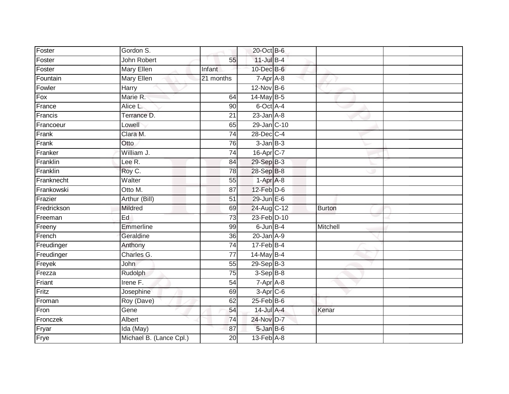| Foster      | Gordon S.               |                 | 20-Oct B-6       |               |  |
|-------------|-------------------------|-----------------|------------------|---------------|--|
| Foster      | John Robert             | 55              | $11$ -Jul B-4    |               |  |
| Foster      | <b>Mary Ellen</b>       | Infant          | 10-Dec B-6       |               |  |
| Fountain    | Mary Ellen              | 21 months       | 7-Apr A-8        |               |  |
| Fowler      | Harry                   |                 | $12$ -Nov $B-6$  |               |  |
| Fox         | Marie R.                | 64              | $14$ -May B-5    |               |  |
| France      | Alice L.                | 90              | 6-Oct A-4        |               |  |
| Francis     | Terrance D.             | 21              | $23$ -Jan $A-8$  |               |  |
| Francoeur   | Lowell                  | 65              | 29-Jan C-10      |               |  |
| Frank       | Clara M.                | $\overline{74}$ | 28-Dec C-4       |               |  |
| Frank       | Otto                    | 76              | $3$ -Jan $B-3$   |               |  |
| Franker     | William J.              | $\overline{74}$ | 16-Apr C-7       |               |  |
| Franklin    | Lee R.                  | 84              | 29-Sep B-3       |               |  |
| Franklin    | Roy C.                  | 78              | 28-Sep B-8       |               |  |
| Franknecht  | Walter                  | 55              | $1-Apr$ A-8      |               |  |
| Frankowski  | Otto M.                 | 87              | $12$ -Feb $D-6$  |               |  |
| Frazier     | Arthur (Bill)           | $\overline{51}$ | $29$ -Jun $E-6$  |               |  |
| Fredrickson | Mildred                 | 69              | 24-Aug C-12      | <b>Burton</b> |  |
| Freeman     | Ed                      | 73              | 23-Feb D-10      |               |  |
| Freeny      | Emmerline               | 99              | $6$ -Jun $B-4$   | Mitchell      |  |
| French      | Geraldine               | 36              | $20$ -Jan $A-9$  |               |  |
| Freudinger  | Anthony                 | $\overline{74}$ | $17$ -Feb $B$ -4 |               |  |
| Freudinger  | Charles G.              | 77              | 14-May B-4       |               |  |
| Freyek      | John                    | 55              | 29-Sep B-3       |               |  |
| Frezza      | Rudolph                 | $\overline{75}$ | $3-Sep$ B-8      |               |  |
| Friant      | Irene F.                | 54              | 7-Apr A-8        |               |  |
| Fritz       | Josephine               | 69              | $3-Apr$ $C-6$    |               |  |
| Froman      | Roy (Dave)              | 62              | $25$ -Feb $B$ -6 |               |  |
| Fron        | Gene                    | 54              | 14-Jul A-4       | Kenar         |  |
| Fronczek    | Albert                  | 74              | 24-Nov D-7       |               |  |
| Fryar       | Ida (May)               | 87              | 5-Jan B-6        |               |  |
| Frye        | Michael B. (Lance Cpl.) | $\overline{20}$ | $13-Feb$ $A-8$   |               |  |
|             |                         |                 |                  |               |  |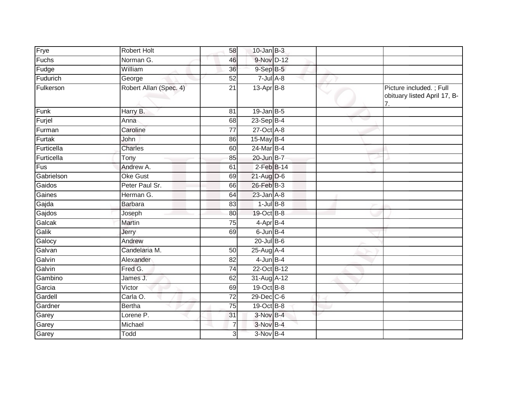| Frye       | <b>Robert Holt</b>     | 58              | $10$ -Jan B-3    |  |                                                                             |
|------------|------------------------|-----------------|------------------|--|-----------------------------------------------------------------------------|
| Fuchs      | Norman G.              | 46              | 9-Nov D-12       |  |                                                                             |
| Fudge      | William                | 36              | $9-$ Sep $B-5$   |  |                                                                             |
| Fudurich   | George                 | 52              | $7$ -Jul $A$ -8  |  |                                                                             |
| Fulkerson  | Robert Allan (Spec. 4) | $\overline{21}$ | $13-Apr$ B-8     |  | Picture included.; Full<br>obituary listed April 17, B-<br>$\overline{7}$ . |
| Funk       | Harry B.               | 81              | $19$ -Jan B-5    |  |                                                                             |
| Furjel     | Anna                   | 68              | $23-Sep$ B-4     |  |                                                                             |
| Furman     | Caroline               | $\overline{77}$ | $27$ -Oct $A-8$  |  |                                                                             |
| Furtak     | John                   | 86              | 15-May B-4       |  |                                                                             |
| Furticella | Charles                | 60              | 24-Mar B-4       |  |                                                                             |
| Furticella | Tony                   | 85              | 20-Jun B-7       |  |                                                                             |
| Fus        | Andrew A.              | 61              | $2$ -Feb $B-14$  |  |                                                                             |
| Gabrielson | Oke Gust               | 69              | $21$ -Aug $D-6$  |  |                                                                             |
| Gaidos     | Peter Paul Sr.         | 66              | 26-Feb B-3       |  |                                                                             |
| Gaines     | Herman G.              | 64              | $23$ -Jan $A-8$  |  |                                                                             |
| Gajda      | Barbara                | 83              | $1$ -Jul $B-8$   |  |                                                                             |
| Gajdos     | Joseph                 | 80              | 19-Oct B-8       |  |                                                                             |
| Galcak     | Martin                 | 75              | 4-Apr B-4        |  |                                                                             |
| Galik      | Jerry                  | 69              | $6$ -Jun $B-4$   |  |                                                                             |
| Galocy     | Andrew                 |                 | $20$ -Jul $B-6$  |  |                                                                             |
| Galvan     | Candelaria M.          | 50              | 25-Aug A-4       |  |                                                                             |
| Galvin     | Alexander              | 82              | $4$ -Jun $B-4$   |  |                                                                             |
| Galvin     | Fred G.                | $\overline{74}$ | 22-Oct B-12      |  |                                                                             |
| Gambino    | James J.               | 62              | 31-Aug A-12      |  |                                                                             |
| Garcia     | Victor                 | 69              | 19-Oct B-8       |  |                                                                             |
| Gardell    | Carla O.               | 72              | $29$ -Dec $C$ -6 |  |                                                                             |
| Gardner    | <b>Bertha</b>          | 75              | 19-Oct B-8       |  |                                                                             |
| Garey      | Lorene P.              | 31              | $3-Nov$ B-4      |  |                                                                             |
| Garey      | Michael                | 7               | $3-Nov$ B-4      |  |                                                                             |
| Garey      | Todd                   | 3               | 3-Nov B-4        |  |                                                                             |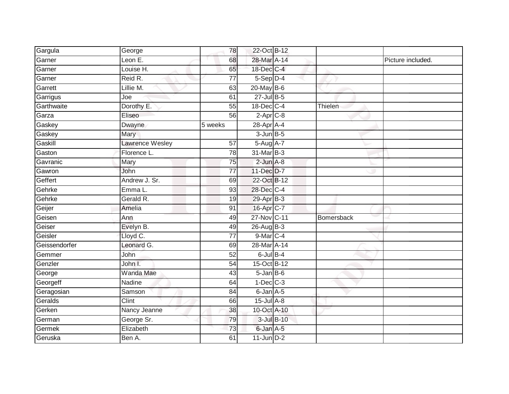| Gargula       | George                 | 78              | 22-Oct B-12       |            |            |                   |
|---------------|------------------------|-----------------|-------------------|------------|------------|-------------------|
| Garner        | Leon $E$ .             | 68              | 28-Mar A-14       |            |            | Picture included. |
| Garner        | Louise H.              | 65              | 18-Dec C-4        |            |            |                   |
| Garner        | Reid R.                | $\overline{77}$ | $5-Sep$ D-4       |            |            |                   |
| Garrett       | Lillie M.              | 63              | 20-May B-6        |            |            |                   |
| Garrigus      | Joe                    | 61              | $27$ -Jul $B-5$   |            |            |                   |
| Garthwaite    | Dorothy E.             | 55              | 18-Dec C-4        |            | Thielen    |                   |
| Garza         | Eliseo                 | 56              | $2-Apr$ C-8       |            |            |                   |
| Gaskey        | Dwayne                 | 5 weeks         | 28-Apr A-4        |            |            |                   |
| Gaskey        | Mary                   |                 | $3$ -Jun $B$ -5   |            |            |                   |
| Gaskill       | <b>Lawrence Wesley</b> | 57              | 5-Aug A-7         |            |            |                   |
| Gaston        | Florence L.            | 78              | 31-Mar B-3        |            |            |                   |
| Gavranic      | Mary                   | 75              | $2$ -Jun $A-8$    |            |            |                   |
| Gawron        | John                   | 77              | 11-Dec D-7        |            |            |                   |
| Geffert       | Andrew J. Sr.          | 69              | 22-Oct B-12       |            |            |                   |
| Gehrke        | Emma L.                | 93              | 28-Dec C-4        |            |            |                   |
| Gehrke        | Gerald R.              | 19              | $29-AprB-3$       |            |            |                   |
| Geijer        | Amelia                 | 91              | 16-Apr C-7        |            |            |                   |
| Geisen        | Ann                    | 49              | 27-Nov C-11       |            | Bomersback |                   |
| Geiser        | Evelyn B.              | 49              | 26-Aug B-3        |            |            |                   |
| Geisler       | Lloyd C.               | 77              | 9-Mar C-4         |            |            |                   |
| Geissendorfer | Leonard G.             | 69              | 28-Mar A-14       |            |            |                   |
| Gemmer        | John                   | 52              | $6$ -Jul $B-4$    |            |            |                   |
| Genzler       | John I.                | 54              | 15-Oct B-12       |            |            |                   |
| George        | <b>Wanda Mae</b>       | 43              | $5 - Jan$ $B - 6$ |            |            |                   |
| Georgeff      | Nadine                 | 64              | $1-Dec$ $C-3$     |            |            |                   |
| Geragosian    | Samson                 | $\overline{84}$ | 6-Jan A-5         |            |            |                   |
| Geralds       | Clint                  | 66              | 15-Jul A-8        |            |            |                   |
| Gerken        | Nancy Jeanne           | 38              | 10-Oct A-10       |            |            |                   |
| German        | George Sr.             | 79              |                   | 3-Jul B-10 |            |                   |
| Germek        | Elizabeth              | 73              | 6-Jan A-5         |            |            |                   |
| Geruska       | Ben A.                 | 61              | $11$ -Jun $D-2$   |            |            |                   |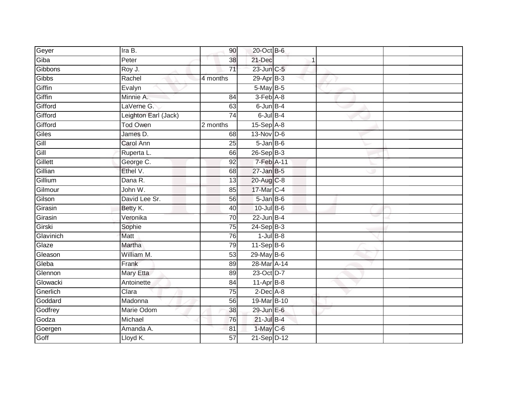| Geyer     | Ira B.               | 90              | 20-Oct B-6        |  |  |
|-----------|----------------------|-----------------|-------------------|--|--|
| Giba      | Peter                | 38              | 21-Dec            |  |  |
| Gibbons   | Roy J.               | $\overline{71}$ | 23-Jun C-5        |  |  |
| Gibbs     | Rachel               | 4 months        | $29-AprB-3$       |  |  |
| Giffin    | Evalyn               |                 | $5$ -May $B$ -5   |  |  |
| Giffin    | Minnie A.            | 84              | 3-Feb A-8         |  |  |
| Gifford   | LaVerne G.           | 63              | $6$ -Jun $B-4$    |  |  |
| Gifford   | Leighton Earl (Jack) | 74              | $6$ -Jul $B$ -4   |  |  |
| Gifford   | <b>Tod Owen</b>      | 2 months        | $15-Sep$ A-8      |  |  |
| Giles     | James D.             | $\overline{68}$ | 13-Nov D-6        |  |  |
| Gill      | Carol Ann            | 25              | $5 - Jan$ $B - 6$ |  |  |
| Gill      | Ruperta L.           | 66              | 26-Sep B-3        |  |  |
| Gillett   | George C.            | 92              | 7-Feb A-11        |  |  |
| Gillian   | Ethel V.             | 68              | $27$ -Jan B-5     |  |  |
| Gillium   | Dana R.              | $\overline{13}$ | 20-Aug C-8        |  |  |
| Gilmour   | John W.              | 85              | 17-Mar C-4        |  |  |
| Gilson    | David Lee Sr.        | 56              | $5 - JanB - 6$    |  |  |
| Girasin   | Betty K.             | 40              | $10$ -Jul B-6     |  |  |
| Girasin   | Veronika             | 70              | $22$ -Jun B-4     |  |  |
| Girski    | Sophie               | 75              | $24-SepB-3$       |  |  |
| Glavinich | Matt                 | 76              | $1$ -Jul $B$ -8   |  |  |
| Glaze     | Martha               | 79              | $11-Sep$ B-6      |  |  |
| Gleason   | William M.           | 53              | 29-May B-6        |  |  |
| Gleba     | Frank                | 89              | 28-Mar A-14       |  |  |
| Glennon   | <b>Mary Etta</b>     | 89              | 23-Oct D-7        |  |  |
| Glowacki  | Antoinette           | 84              | $11-AprB-8$       |  |  |
| Gnerlich  | Clara                | 75              | $2$ -Dec $A-8$    |  |  |
| Goddard   | Madonna              | 56              | 19-Mar B-10       |  |  |
| Godfrey   | Marie Odom           | 38              | 29-Jun E-6        |  |  |
| Godza     | Michael              | 76              | $21$ -Jul B-4     |  |  |
| Goergen   | Amanda A.            | 81              | $1$ -May C-6      |  |  |
| Goff      | Lloyd K.             | 57              | 21-Sep D-12       |  |  |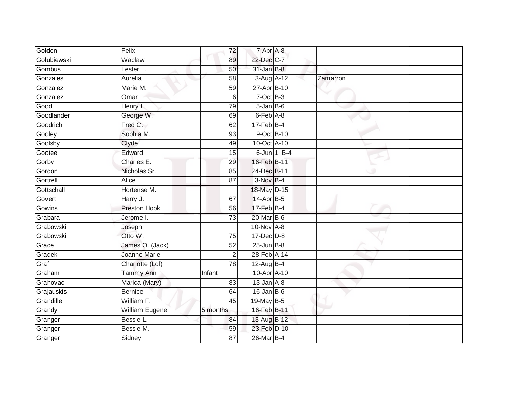| Golden      | Felix               | 72              | 7-Apr A-8         |              |          |  |
|-------------|---------------------|-----------------|-------------------|--------------|----------|--|
| Golubiewski | Waclaw              | 89              | 22-Dec C-7        |              |          |  |
| Gombus      | Lester L.           | 50              | $31$ -Jan B-8     |              |          |  |
| Gonzales    | Aurelia             | 58              | 3-Aug A-12        |              | Zamarron |  |
| Gonzalez    | Marie M.            | 59              | 27-Apr B-10       |              |          |  |
| Gonzalez    | Omar                | 6               | $7$ -Oct $B-3$    |              |          |  |
| Good        | Henry L.            | 79              | $5 - Jan$ $B - 6$ |              |          |  |
| Goodlander  | George W.           | 69              | 6-Feb A-8         |              |          |  |
| Goodrich    | Fred C.             | 62              | $17$ -Feb $B$ -4  |              |          |  |
| Gooley      | Sophia M.           | 93              |                   | 9-Oct B-10   |          |  |
| Goolsby     | Clyde               | 49              | 10-Oct A-10       |              |          |  |
| Gootee      | Edward              | 15              |                   | 6-Jun 1, B-4 |          |  |
| Gorby       | Charles E.          | 29              | 16-Feb B-11       |              |          |  |
| Gordon      | Nicholas Sr.        | 85              | 24-Dec B-11       |              |          |  |
| Gortrell    | Alice               | $\overline{87}$ | 3-Nov B-4         |              |          |  |
| Gottschall  | Hortense M.         |                 | 18-May D-15       |              |          |  |
| Govert      | Harry J.            | 67              | 14-Apr B-5        |              |          |  |
| Gowins      | <b>Preston Hook</b> | 56              | $17$ -Feb $B-4$   |              |          |  |
| Grabara     | Jerome I.           | 73              | 20-Mar B-6        |              |          |  |
| Grabowski   | Joseph              |                 | 10-Nov A-8        |              |          |  |
| Grabowski   | Otto W.             | 75              | $17 - Dec$ $D-8$  |              |          |  |
| Grace       | James O. (Jack)     | 52              | $25 - Jun$ B-8    |              |          |  |
| Gradek      | Joanne Marie        | 2               | 28-Feb A-14       |              |          |  |
| Graf        | Charlotte (Lol)     | 78              | 12-Aug B-4        |              |          |  |
| Graham      | <b>Tammy Ann</b>    | Infant          | 10-Apr A-10       |              |          |  |
| Grahovac    | Marica (Mary)       | 83              | $13$ -Jan $A-8$   |              |          |  |
| Grajauskis  | <b>Bernice</b>      | 64              | $16$ -Jan B-6     |              |          |  |
| Grandille   | William F.          | 45              | 19-May B-5        |              |          |  |
| Grandy      | William Eugene      | 5 months        | 16-Feb B-11       |              |          |  |
| Granger     | Bessie L.           | 84              | 13-Aug B-12       |              |          |  |
| Granger     | Bessie M.           | 59              | 23-Feb D-10       |              |          |  |
| Granger     | Sidney              | $\overline{87}$ | 26-Mar B-4        |              |          |  |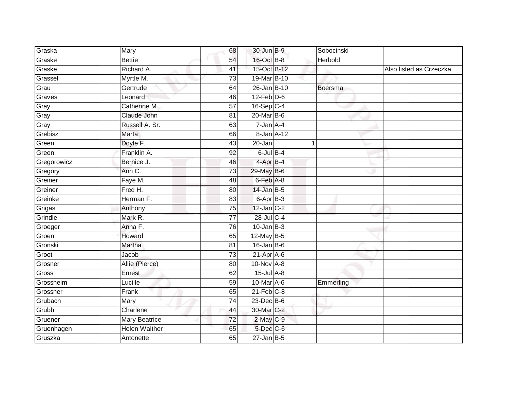| Graska      | Mary                 | 68              | 30-Jun B-9               | Sobocinski |                          |
|-------------|----------------------|-----------------|--------------------------|------------|--------------------------|
| Graske      | <b>Bettie</b>        | 54              | 16-Oct B-8               | Herbold    |                          |
| Graske      | Richard A.           | 41              | 15-Oct B-12              |            | Also listed as Crzeczka. |
| Grassel     | Myrtle M.            | 73              | 19-Mar B-10              |            |                          |
| Grau        | Gertrude             | 64              | $26$ -Jan B-10           | Boersma    |                          |
| Graves      | Leonard              | 46              | $12$ -Feb $D-6$          |            |                          |
| Gray        | Catherine M.         | 57              | 16-Sep C-4               |            |                          |
| Gray        | Claude John          | 81              | $20$ -Mar $B-6$          |            |                          |
| Gray        | Russell A. Sr.       | 63              | 7-Jan A-4                |            |                          |
| Grebisz     | <b>Marta</b>         | 66              | 8-Jan A-12               |            |                          |
| Green       | Doyle F.             | 43              | 20-Jan                   |            |                          |
| Green       | Franklin A.          | $\overline{92}$ | $6$ -Jul $B-4$           |            |                          |
| Gregorowicz | Bernice J.           | 46              | 4-Apr B-4                |            |                          |
| Gregory     | Ann C.               | $\overline{73}$ | 29-May B-6               |            |                          |
| Greiner     | Faye M.              | 48              | 6-Feb A-8                |            |                          |
| Greiner     | Fred H.              | 80              | $14$ -Jan B-5            |            |                          |
| Greinke     | Herman F.            | 83              | $6 - \overline{Apr}$ B-3 |            |                          |
| Grigas      | Anthony              | 75              | $12$ -Jan C-2            |            |                          |
| Grindle     | Mark R.              | $\overline{77}$ | 28-Jul C-4               |            |                          |
| Groeger     | Anna F.              | 76              | $10$ -Jan $B-3$          |            |                          |
| Groen       | Howard               | 65              | 12-May B-5               |            |                          |
| Gronski     | Martha               | 81              | $16$ -Jan B-6            |            |                          |
| Groot       | Jacob                | 73              | $21-Apr$ A-6             |            |                          |
| Grosner     | Allie (Pierce)       | 80              | 10-Nov A-8               |            |                          |
| Gross       | Ernest               | 62              | 15-Jul A-8               |            |                          |
| Grossheim   | Lucille              | 59              | 10-Mar A-6               | Emmerling  |                          |
| Grossner    | Frank                | 65              | $21$ -Feb $C-8$          |            |                          |
| Grubach     | Mary                 | 74              | $23$ -Dec $B$ -6         |            |                          |
| Grubb       | Charlene             | 44              | 30-Mar C-2               |            |                          |
| Gruener     | <b>Mary Beatrice</b> | 72              | $2$ -May $C-9$           |            |                          |
| Gruenhagen  | Helen Walther        | 65              | $5$ -Dec $C$ -6          |            |                          |
| Gruszka     | Antonette            | 65              | $27$ -Jan B-5            |            |                          |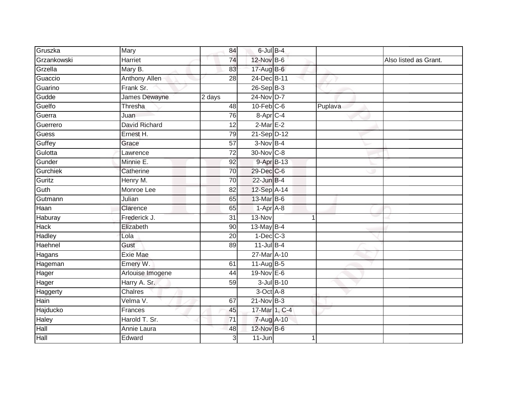| Gruszka         | Mary                 | 84              | $6$ -Jul $B-4$  |               |         |                       |
|-----------------|----------------------|-----------------|-----------------|---------------|---------|-----------------------|
| Grzankowski     | <b>Harriet</b>       | 74              | 12-Nov B-6      |               |         | Also listed as Grant. |
| Grzella         | Mary B.              | 83              | 17-Aug B-6      |               |         |                       |
| Guaccio         | Anthony Allen        | 28              | 24-Dec B-11     |               |         |                       |
| Guarino         | Frank Sr.            |                 | $26-SepB-3$     |               |         |                       |
| Gudde           | James Dewayne        | 2 days          | 24-Nov D-7      |               |         |                       |
| Guelfo          | Thresha              | 48              | $10$ -Feb $C-6$ |               | Puplava |                       |
| Guerra          | Juan                 | 76              | 8-Apr C-4       |               |         |                       |
| Guerrero        | <b>David Richard</b> | 12              | $2$ -Mar $E-2$  |               |         |                       |
| Guess           | Ernest H.            | 79              | 21-Sep D-12     |               |         |                       |
| Guffey          | Grace                | 57              | $3-Nov$ B-4     |               |         |                       |
| Gulotta         | Lawrence             | $\overline{72}$ | 30-Nov C-8      |               |         |                       |
| Gunder          | Minnie E.            | 92              |                 | 9-Apr B-13    |         |                       |
| <b>Gurchiek</b> | Catherine            | 70              | 29-Dec C-6      |               |         |                       |
| Guritz          | Henry M.             | 70              | $22$ -Jun B-4   |               |         |                       |
| Guth            | Monroe Lee           | 82              | 12-Sep A-14     |               |         |                       |
| Gutmann         | Julian               | 65              | 13-Mar B-6      |               |         |                       |
| Haan            | Clarence             | 65              | $1-AprA-8$      |               |         |                       |
| Haburay         | Frederick J.         | 31              | 13-Nov          |               |         |                       |
| <b>Hack</b>     | Elizabeth            | 90              | 13-May B-4      |               |         |                       |
| Hadley          | Lola                 | 20              | $1-Dec$ $C-3$   |               |         |                       |
| Haehnel         | Gust                 | 89              | $11$ -Jul B-4   |               |         |                       |
| Hagans          | <b>Exie Mae</b>      |                 | 27-Mar A-10     |               |         |                       |
| Hageman         | Emery W.             | 61              | $11-Aug$ B-5    |               |         |                       |
| Hager           | Arlouise Imogene     | 44              | $19-Nov$ E-6    |               |         |                       |
| Hager           | Harry A. Sr.         | 59              |                 | 3-Jul B-10    |         |                       |
| Haggerty        | <b>Chalres</b>       |                 | 3-Oct A-8       |               |         |                       |
| <b>Hain</b>     | Velma V.             | 67              | $21-Nov$ B-3    |               |         |                       |
| Hajducko        | Frances              | 45              |                 | 17-Mar 1, C-4 |         |                       |
| Haley           | Harold T. Sr.        | 71              | 7-Aug A-10      |               |         |                       |
| Hall            | Annie Laura          | 48              | 12-Nov B-6      |               |         |                       |
| Hall            | Edward               | $\overline{3}$  | $11 - Jun$      |               |         |                       |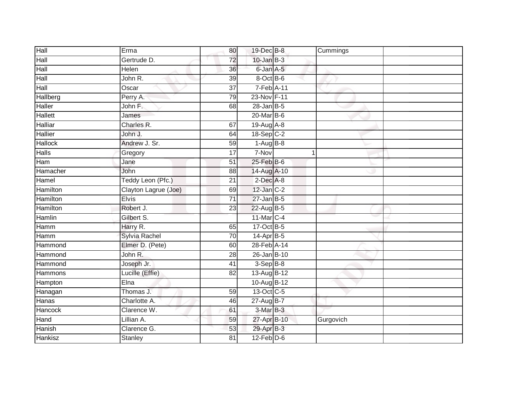| Hall            | Erma                 | 80              | 19-Dec B-8       |             | Cummings  |
|-----------------|----------------------|-----------------|------------------|-------------|-----------|
| Hall            | Gertrude D.          | 72              | $10$ -Jan $B-3$  |             |           |
| Hall            | Helen                | 36              | 6-Jan A-5        |             |           |
| Hall            | John R.              | 39              | 8-Oct B-6        |             |           |
| Hall            | Oscar                | $\overline{37}$ | 7-Feb A-11       |             |           |
| Hallberg        | Perry A.             | 79              | 23-Nov F-11      |             |           |
| <b>Haller</b>   | John F.              | 68              | $28$ -Jan B-5    |             |           |
| <b>Hallett</b>  | James                |                 | 20-Mar B-6       |             |           |
| <b>Halliar</b>  | Charles R.           | 67              | 19-Aug A-8       |             |           |
| <b>Hallier</b>  | John J.              | 64              | 18-Sep C-2       |             |           |
| <b>Hallock</b>  | Andrew J. Sr.        | 59              | $1-AugB-8$       |             |           |
| <b>Halls</b>    | Gregory              | 17              | 7-Nov            | $\mathbf 1$ |           |
| Ham             | Jane                 | 51              | $25$ -Feb $B$ -6 |             |           |
| Hamacher        | John                 | 88              | 14-Aug A-10      |             |           |
| Hamel           | Teddy Leon (Pfc.)    | $\overline{21}$ | $2$ -Dec $A-8$   |             |           |
| Hamilton        | Clayton Lagrue (Joe) | 69              | $12$ -Jan $C-2$  |             |           |
| <b>Hamilton</b> | <b>Elvis</b>         | $\overline{71}$ | $27$ -Jan B-5    |             |           |
| Hamilton        | Robert J.            | 23              | 22-Aug B-5       |             |           |
| Hamlin          | Gilbert S.           |                 | 11-Mar C-4       |             |           |
| Hamm            | Harry R.             | 65              | 17-Oct B-5       |             |           |
| Hamm            | Sylvia Rachel        | 70              | 14-Apr B-5       |             |           |
| Hammond         | Elmer D. (Pete)      | 60              | 28-Feb A-14      |             |           |
| Hammond         | John R.              | 28              | 26-Jan B-10      |             |           |
| Hammond         | Joseph Jr.           | 41              | $3-Sep$ B-8      |             |           |
| Hammons         | Lucille (Effie)      | 82              | 13-Aug B-12      |             |           |
| Hampton         | Elna                 |                 | 10-Aug B-12      |             |           |
| Hanagan         | Thomas J.            | 59              | 13-Oct C-5       |             |           |
| Hanas           | Charlotte A.         | 46              | 27-Aug B-7       |             |           |
| Hancock         | Clarence W.          | 61              | $3-MarB-3$       |             |           |
| Hand            | Lillian A.           | 59              | 27-Apr B-10      |             | Gurgovich |
| Hanish          | Clarence G.          | 53              | 29-Apr B-3       |             |           |
| Hankisz         | Stanley              | $\overline{81}$ | $12$ -Feb $D-6$  |             |           |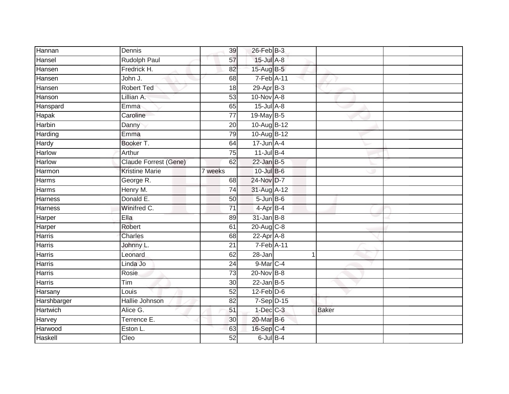| Hannan         | Dennis                | 39              | 26-Feb B-3              |              |  |
|----------------|-----------------------|-----------------|-------------------------|--------------|--|
| Hansel         | Rudolph Paul          | 57              | 15-Jul A-8              |              |  |
| Hansen         | Fredrick H.           | 82              | 15-Aug B-5              |              |  |
| Hansen         | John J.               | 68              | 7-Feb A-11              |              |  |
| Hansen         | <b>Robert Ted</b>     | $\overline{18}$ | $29-AprB-3$             |              |  |
| Hanson         | Lillian A.            | 53              | $10-Nov \overline{A-8}$ |              |  |
| Hanspard       | Emma                  | 65              | 15-Jul A-8              |              |  |
| Hapak          | Caroline              | 77              | 19-May B-5              |              |  |
| Harbin         | Danny                 | 20              | 10-Aug B-12             |              |  |
| Harding        | Emma                  | 79              | 10-Aug B-12             |              |  |
| Hardy          | Booker T.             | 64              | $17$ -Jun $A-4$         |              |  |
| Harlow         | Arthur                | 75              | $11$ -Jul B-4           |              |  |
| Harlow         | Claude Forrest (Gene) | 62              | $22$ -Jan B-5           |              |  |
| Harmon         | <b>Kristine Marie</b> | 7 weeks         | $10$ -Jul B-6           |              |  |
| <b>Harms</b>   | George R.             | $\overline{68}$ | 24-Nov D-7              |              |  |
| Harms          | Henry M.              | 74              | 31-Aug A-12             |              |  |
| <b>Harness</b> | Donald E.             | 50              | $5 - Jun$ $B - 6$       |              |  |
| Harness        | Winifred C.           | 71              | 4-Apr B-4               |              |  |
| Harper         | Ella                  | 89              | $31$ -Jan $B-8$         |              |  |
| Harper         | Robert                | 61              | 20-Aug C-8              |              |  |
| Harris         | Charles               | 68              | 22-Apr A-8              |              |  |
| Harris         | Johnny L.             | $\overline{21}$ | 7-Feb A-11              |              |  |
| Harris         | Leonard               | 62              | 28-Jan                  | 1            |  |
| Harris         | Linda Jo              | $\overline{24}$ | 9-Mar C-4               |              |  |
| Harris         | Rosie                 | 73              | 20-Nov B-8              |              |  |
| Harris         | Tim                   | 30              | $22$ -Jan B-5           |              |  |
| Harsany        | Louis                 | 52              | $12$ -Feb $D-6$         |              |  |
| Harshbarger    | Hallie Johnson        | 82              | $7-Sep$ D-15            |              |  |
| Hartwich       | Alice G.              | 51              | $1$ -Dec $C$ -3         | <b>Baker</b> |  |
| Harvey         | Terrence E.           | 30              | 20-Mar B-6              |              |  |
| Harwood        | Eston L.              | 63              | 16-Sep C-4              |              |  |
| Haskell        | Cleo                  | $\overline{52}$ | $6$ -Jul $B-4$          |              |  |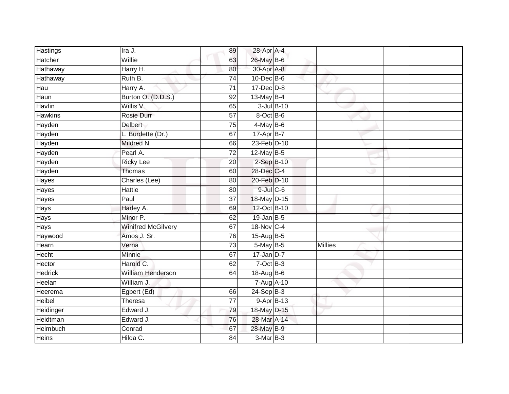| Hastings        | Ira J.                    | 89              | 28-Apr A-4       |            |                |  |
|-----------------|---------------------------|-----------------|------------------|------------|----------------|--|
| Hatcher         | Willie                    | 63              | 26-May B-6       |            |                |  |
| <b>Hathaway</b> | Harry H.                  | 80              | 30-Apr A-8       |            |                |  |
| Hathaway        | Ruth B.                   | $\overline{74}$ | $10$ -Dec $B$ -6 |            |                |  |
| Hau             | Harry A.                  | $\overline{71}$ | $17 - Dec$ $D-8$ |            |                |  |
| Haun            | Burton O. (D.D.S.)        | 92              | 13-May B-4       |            |                |  |
| Havlin          | Willis V.                 | 65              |                  | 3-Jul B-10 |                |  |
| <b>Hawkins</b>  | Rosie Durr                | 57              | 8-Oct B-6        |            |                |  |
| Hayden          | <b>Delbert</b>            | $\overline{75}$ | $4$ -May B-6     |            |                |  |
| Hayden          | L. Burdette (Dr.)         | 67              | 17-Apr B-7       |            |                |  |
| Hayden          | Mildred N.                | 66              | 23-Feb D-10      |            |                |  |
| Hayden          | Pearl A.                  | $\overline{72}$ | 12-May B-5       |            |                |  |
| Hayden          | <b>Ricky Lee</b>          | 20              | $2$ -Sep $B-10$  |            |                |  |
| Hayden          | Thomas                    | 60              | 28-Dec C-4       |            |                |  |
| Hayes           | Charles (Lee)             | $\overline{80}$ | 20-Feb D-10      |            |                |  |
| Hayes           | <b>Hattie</b>             | 80              | $9$ -Jul $C$ -6  |            |                |  |
| <b>Hayes</b>    | Paul                      | $\overline{37}$ | 18-May D-15      |            |                |  |
| <b>Hays</b>     | Harley A.                 | 69              | 12-Oct B-10      |            |                |  |
| <b>Hays</b>     | Minor P.                  | 62              | 19-Jan B-5       |            |                |  |
| <b>Hays</b>     | <b>Winifred McGilvery</b> | 67              | 18-Nov C-4       |            |                |  |
| Haywood         | Amos J. Sr.               | 76              | 15-Aug B-5       |            |                |  |
| Hearn           | Verna                     | 73              | 5-May B-5        |            | <b>Millies</b> |  |
| Hecht           | Minnie                    | 67              | $17$ -Jan D-7    |            |                |  |
| Hector          | Harold C.                 | 62              | $7$ -Oct $B-3$   |            |                |  |
| <b>Hedrick</b>  | <b>William Henderson</b>  | 64              | 18-Aug B-6       |            |                |  |
| Heelan          | William J.                |                 | 7-Aug A-10       |            |                |  |
| Heerema         | Egbert (Ed)               | 66              | $24-SepB-3$      |            |                |  |
| <b>Heibel</b>   | Theresa                   | 77              | $9 - Apr$ $B-13$ |            |                |  |
| Heidinger       | Edward J.                 | 79              | 18-May D-15      |            |                |  |
| Heidtman        | Edward J.                 | 76              | 28-Mar A-14      |            |                |  |
| Heimbuch        | Conrad                    | 67              | 28-May B-9       |            |                |  |
| <b>Heins</b>    | Hilda C.                  | 84              | $3-MarB-3$       |            |                |  |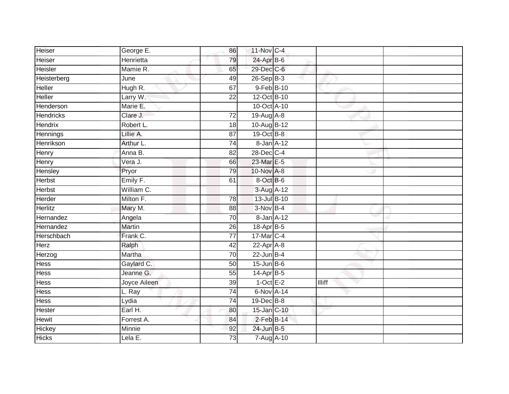| Heiser           | George E.     | 86              | 11-Nov C-4       |               |  |
|------------------|---------------|-----------------|------------------|---------------|--|
| Heiser           | Henrietta     | 79              | 24-Apr B-6       |               |  |
| Heisler          | Mamie R.      | 65              | 29-Dec C-6       |               |  |
| Heisterberg      | June          | 49              | 26-Sep B-3       |               |  |
| <b>Heller</b>    | Hugh R.       | 67              | 9-Feb B-10       |               |  |
| Heller           | Larry W.      | 22              | 12-Oct B-10      |               |  |
| Henderson        | Marie E.      |                 | 10-Oct A-10      |               |  |
| <b>Hendricks</b> | Clare J.      | $\overline{72}$ | 19-Aug A-8       |               |  |
| Hendrix          | Robert L.     | 18              | 10-Aug B-12      |               |  |
| Hennings         | Lillie A.     | 87              | 19-Oct B-8       |               |  |
| Henrikson        | Arthur L.     | 74              | 8-Jan A-12       |               |  |
| Henry            | Anna B.       | 82              | 28-Dec C-4       |               |  |
| Henry            | Vera J.       | 66              | 23-Mar E-5       |               |  |
| Hensley          | Pryor         | 79              | 10-Nov A-8       |               |  |
| <b>Herbst</b>    | Emily F.      | 61              | 8-Oct B-6        |               |  |
| Herbst           | William C.    |                 | 3-Aug A-12       |               |  |
| Herder           | Milton F.     | $\overline{78}$ | 13-Jul B-10      |               |  |
| Herlitz          | Mary M.       | 88              | $3-Nov$ B-4      |               |  |
| Hernandez        | Angela        | 70              | 8-Jan A-12       |               |  |
| Hernandez        | <b>Martin</b> | $\overline{26}$ | 18-Apr B-5       |               |  |
| Herschbach       | Frank C.      | $\overline{77}$ | 17-Mar C-4       |               |  |
| Herz             | Ralph         | 42              | $22-Apr$ A-8     |               |  |
| Herzog           | Martha        | 70              | $22$ -Jun B-4    |               |  |
| <b>Hess</b>      | Gaylard C.    | 50              | $15$ -Jun B-6    |               |  |
| Hess             | Jeanne G.     | 55              | 14-Apr B-5       |               |  |
| Hess             | Joyce Aileen  | 39              | $1$ -Oct E-2     | <b>Illiff</b> |  |
| <b>Hess</b>      | L. Ray        | $\overline{74}$ | 6-Nov A-14       |               |  |
| Hess             | Lydia         | $\overline{74}$ | $19$ -Dec $B$ -8 |               |  |
| Hester           | Earl H.       | 80              | 15-Jan C-10      |               |  |
| Hewit            | Forrest A.    | 84              | $2$ -Feb $B-14$  |               |  |
| Hickey           | Minnie        | 92              | 24-Jun B-5       |               |  |
| <b>Hicks</b>     | Lela E.       | $\overline{73}$ | 7-Aug A-10       |               |  |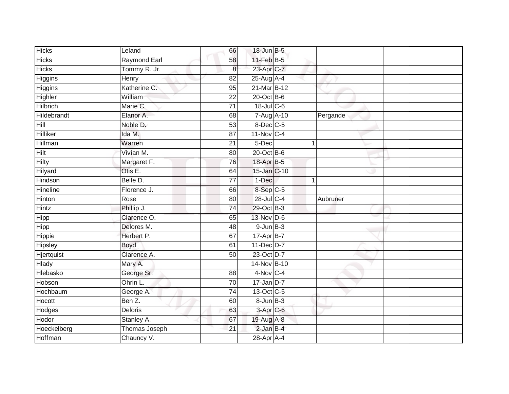| <b>Hicks</b>    | Leland                      | 66              | 18-Jun B-5                   |              |          |
|-----------------|-----------------------------|-----------------|------------------------------|--------------|----------|
| <b>Hicks</b>    | Raymond Earl                | 58              | $11$ -Feb $B$ -5             |              |          |
| <b>Hicks</b>    | Tommy R. Jr.                | $\bf 8$         | 23-Apr C-7                   |              |          |
| Higgins         | Henry                       | 82              | 25-Aug A-4                   |              |          |
| Higgins         | Katherine C.                | 95              | 21-Mar B-12                  |              |          |
| Highler         | William                     | 22              | $20$ -Oct B-6                |              |          |
| <b>Hilbrich</b> | Marie C.                    | $\overline{71}$ | 18-Jul C-6                   |              |          |
| Hildebrandt     | Elanor A.                   | 68              | 7-Aug A-10                   |              | Pergande |
| Hill            | Noble D.                    | 53              | 8-Dec C-5                    |              |          |
| Hilliker        | Ida M.                      | 87              | 11-Nov C-4                   |              |          |
| Hillman         | Warren                      | 21              | 5-Dec                        | 1            |          |
| <b>Hilt</b>     | Vivian M.                   | 80              | $20$ -Oct B-6                |              |          |
| Hilty           | Margaret F.                 | 76              | 18-Apr B-5                   |              |          |
| Hilyard         | Otis E.                     | 64              | 15-Jan C-10                  |              |          |
| Hindson         | Belle D.                    | $\overline{77}$ | 1-Dec                        | $\mathbf{1}$ |          |
| Hineline        | Florence J.                 | 66              | $8-Sep C-5$                  |              |          |
| Hinton          | Rose                        | 80              | $28$ -Jul C-4                |              | Aubruner |
| Hintz           | Phillip J.                  | 74              | 29-Oct B-3                   |              |          |
| Hipp            | Clarence O.                 | 65              | 13-Nov D-6                   |              |          |
| <b>Hipp</b>     | Delores M.                  | 48              | $9$ -Jun $B-3$               |              |          |
| Hippie          | Herbert P.                  | 67              | 17-Apr B-7                   |              |          |
| Hipsley         | Boyd                        | 61              | 11-Dec D-7                   |              |          |
| Hjertquist      | Clarence A.                 | 50              | 23-Oct D-7                   |              |          |
| Hlady           | Mary A.                     |                 | 14-Nov B-10                  |              |          |
| Hlebasko        | George Sr.                  | 88              | $4-Nov$ C-4                  |              |          |
| Hobson          | Ohrin L.                    | 70              | $17$ -Jan D-7                |              |          |
| Hochbaum        | George A.                   | $\overline{74}$ | 13-Oct C-5                   |              |          |
| Hocott          | Ben Z.                      | 60              | $8$ -Jun $B$ -3              |              |          |
| Hodges          | <b>Deloris</b>              | 63              | 3-Apr <sub>C-6</sub>         |              |          |
| Hodor           | Stanley A.                  | 67              | 19-Aug A-8                   |              |          |
| Hoeckelberg     |                             |                 |                              |              |          |
| Hoffman         | Thomas Joseph<br>Chauncy V. | 21              | $2$ -Jan $B-4$<br>28-Apr A-4 |              |          |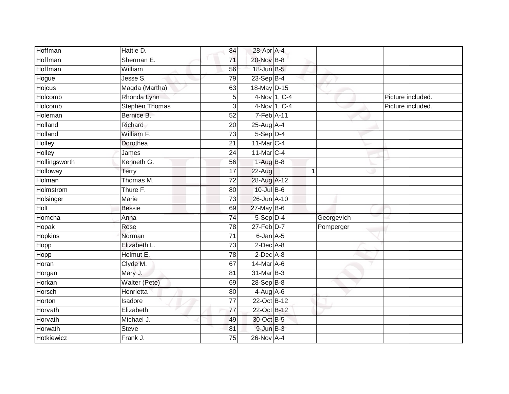| Hoffman        | Hattie D.             | 84              | 28-Apr A-4      |              |            |                   |
|----------------|-----------------------|-----------------|-----------------|--------------|------------|-------------------|
| Hoffman        | Sherman E.            | 71              | 20-Nov B-8      |              |            |                   |
| Hoffman        | William               | 56              | 18-Jun B-5      |              |            |                   |
| Hogue          | Jesse S.              | 79              | 23-Sep B-4      |              |            |                   |
| Hojcus         | Magda (Martha)        | 63              | 18-May D-15     |              |            |                   |
| Holcomb        | Rhonda Lynn           | 5               |                 | 4-Nov 1, C-4 |            | Picture included. |
| Holcomb        | <b>Stephen Thomas</b> | 3               |                 | 4-Nov 1, C-4 |            | Picture included. |
| Holeman        | Bernice B.            | 52              | 7-Feb A-11      |              |            |                   |
|                | Richard               |                 |                 |              |            |                   |
| Holland        |                       | 20              | 25-Aug A-4      |              |            |                   |
| <b>Holland</b> | William F.            | $\overline{73}$ | $5-Sep$ $D-4$   |              |            |                   |
| Holley         | Dorothea              | 21              | 11-Mar C-4      |              |            |                   |
| Holley         | James                 | 24              | 11-Mar C-4      |              |            |                   |
| Hollingsworth  | Kenneth G.            | 56              | $1-AugB-8$      |              |            |                   |
| Holloway       | Terry                 | 17              | 22-Aug          |              | 1          |                   |
| Holman         | Thomas M.             | $\overline{72}$ | 28-Aug A-12     |              |            |                   |
| Holmstrom      | Thure F.              | 80              | $10 -$ Jul B-6  |              |            |                   |
| Holsinger      | <b>Marie</b>          | $\overline{73}$ | 26-Jun A-10     |              |            |                   |
| Holt           | <b>Bessie</b>         | 69              | $27$ -May B-6   |              |            |                   |
| Homcha         | Anna                  | 74              | 5-Sep D-4       |              | Georgevich |                   |
| Hopak          | Rose                  | 78              | $27$ -Feb $D-7$ |              | Pomperger  |                   |
| Hopkins        | Norman                | 71              | 6-Jan A-5       |              |            |                   |
| Hopp           | Elizabeth L.          | $\overline{73}$ | $2$ -Dec $A$ -8 |              |            |                   |
| Hopp           | Helmut E.             | 78              | $2$ -Dec $A$ -8 |              |            |                   |
| Horan          | Clyde M.              | 67              | 14-Mar A-6      |              |            |                   |
| Horgan         | Mary J.               | 81              | 31-Mar B-3      |              |            |                   |
| Horkan         | Walter (Pete)         | 69              | 28-Sep B-8      |              |            |                   |
| Horsch         | Henrietta             | 80              | $4-Aug$ $A-6$   |              |            |                   |
| Horton         | Isadore               | 77              | 22-Oct B-12     |              |            |                   |
| Horvath        | Elizabeth             | 77              | 22-Oct B-12     |              |            |                   |
| Horvath        | Michael J.            | 49              | 30-Oct B-5      |              |            |                   |
| Horwath        | <b>Steve</b>          | 81              | $9$ -Jun $B-3$  |              |            |                   |
| Hotkiewicz     | Frank J.              | $\overline{75}$ | 26-Nov A-4      |              |            |                   |
|                |                       |                 |                 |              |            |                   |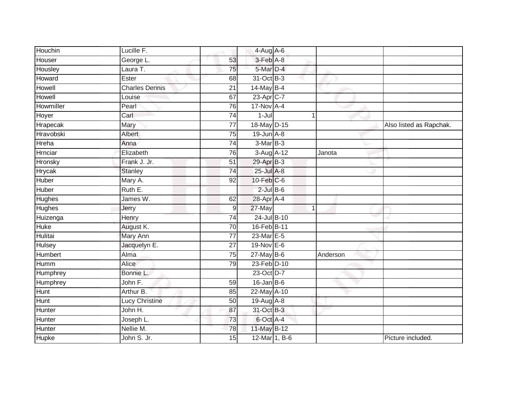| Houchin       | Lucille F.            |                 | $4$ -Aug A-6      |              |                         |
|---------------|-----------------------|-----------------|-------------------|--------------|-------------------------|
| Houser        | George L.             | 53              | 3-Feb A-8         |              |                         |
| Housley       | Laura T.              | 75              | 5-Mar D-4         |              |                         |
| Howard        | Ester                 | 68              | 31-Oct B-3        |              |                         |
| Howell        | <b>Charles Dennis</b> | $\overline{21}$ | 14-May B-4        |              |                         |
| Howell        | Louise                | 67              | 23-Apr C-7        |              |                         |
| Howmiller     | Pearl                 | 76              | $17-Nov$ A-4      |              |                         |
| Hoyer         | Carl                  | 74              | $1 -$ Jul         | 1            |                         |
| Hrapecak      | Mary                  | 77              | 18-May D-15       |              | Also listed as Rapchak. |
| Hravobski     | Albert                | $\overline{75}$ | $19$ -Jun $A - 8$ |              |                         |
| Hreha         | Anna                  | 74              | 3-Mar B-3         |              |                         |
| Hrnciar       | Elizabeth             | 76              | 3-Aug A-12        | Janota       |                         |
| Hronsky       | Frank J. Jr.          | 51              | 29-Apr B-3        |              |                         |
| Hrycak        | <b>Stanley</b>        | 74              | $25$ -Jul $A-8$   |              |                         |
| Huber         | Mary A.               | 92              | 10-Feb C-6        |              |                         |
| Huber         | Ruth E.               |                 | $2$ -Jul $B$ -6   |              |                         |
| <b>Hughes</b> | James W.              | 62              | 28-Apr A-4        |              |                         |
| <b>Hughes</b> | Jerry                 | $\mathsf 9$     | 27-May            | $\mathbf{1}$ |                         |
| Huizenga      | Henry                 | 74              | $24$ -Jul $B-10$  |              |                         |
| <b>Huke</b>   | August K.             | $\overline{70}$ | 16-Feb B-11       |              |                         |
| Hulitai       | Mary Ann              | 77              | 23-Mar E-5        |              |                         |
| Hulsey        | Jacquelyn E.          | $\overline{27}$ | 19-Nov E-6        |              |                         |
| Humbert       | Alma                  | 75              | $27$ -May B-6     | Anderson     |                         |
| Humm          | Alice                 | 79              | 23-Feb D-10       |              |                         |
| Humphrey      | Bonnie L.             |                 | 23-Oct D-7        |              |                         |
| Humphrey      | John F.               | 59              | $16$ -Jan B-6     |              |                         |
| Hunt          | Arthur B.             | 85              | 22-May A-10       |              |                         |
| Hunt          | Lucy Christine        | 50              | $19$ -Aug $A$ -8  |              |                         |
| Hunter        | John H.               | 87              | 31-Oct B-3        |              |                         |
| Hunter        | Joseph L.             | 73              | 6-Oct A-4         |              |                         |
| Hunter        | Nellie M.             | 78              | 11-May B-12       |              |                         |
| <b>Hupke</b>  | John S. Jr.           | 15              | 12-Mar 1, B-6     |              | Picture included        |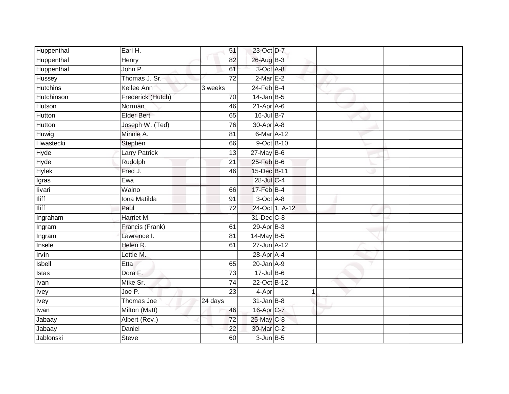| Huppenthal      | Earl H.              | 51              | 23-Oct D-7       |                |  |
|-----------------|----------------------|-----------------|------------------|----------------|--|
| Huppenthal      | Henry                | 82              | 26-Aug B-3       |                |  |
| Huppenthal      | John P.              | 61              | $3$ -Oct A-8     |                |  |
| Hussey          | Thomas J. Sr.        | $\overline{72}$ | $2-MarE-2$       |                |  |
| <b>Hutchins</b> | Kellee Ann           | 3 weeks         | $24$ -Feb $B-4$  |                |  |
| Hutchinson      | Frederick (Hutch)    | 70              | $14$ -Jan B-5    |                |  |
| Hutson          | Norman               | 46              | $21-Apr$ A-6     |                |  |
| Hutton          | <b>Elder Bert</b>    | 65              | 16-Jul B-7       |                |  |
| Hutton          | Joseph W. (Ted)      | 76              | 30-Apr A-8       |                |  |
| Huwig           | Minnie A.            | $\overline{81}$ | 6-Mar A-12       |                |  |
| Hwastecki       | Stephen              | 66              |                  | 9-Oct B-10     |  |
| Hyde            | <b>Larry Patrick</b> | 13              | $27$ -May B-6    |                |  |
| Hyde            | Rudolph              | 21              | $25$ -Feb $B$ -6 |                |  |
| <b>Hylek</b>    | Fred J.              | 46              | 15-Dec B-11      |                |  |
| Igras           | Ewa                  |                 | 28-Jul C-4       |                |  |
| livari          | Waino                | 66              | $17$ -Feb $B-4$  |                |  |
| <b>Iliff</b>    | Iona Matilda         | 91              | $3$ -Oct $A$ -8  |                |  |
| <b>Iliff</b>    | Paul                 | 72              |                  | 24-Oct 1, A-12 |  |
| Ingraham        | Harriet M.           |                 | 31-Dec C-8       |                |  |
| Ingram          | Francis (Frank)      | 61              | 29-Apr B-3       |                |  |
| Ingram          | Lawrence I.          | 81              | 14-May B-5       |                |  |
| Insele          | Helen R.             | 61              | 27-Jun A-12      |                |  |
| <b>Irvin</b>    | Lettie M.            |                 | 28-Apr A-4       |                |  |
| Isbell          | Etta                 | 65              | $20$ -Jan $A-9$  |                |  |
| Istas           | Dora F.              | 73              | $17$ -Jul B-6    |                |  |
| Ivan            | Mike Sr.             | $\overline{74}$ | 22-Oct B-12      |                |  |
| <b>Tvey</b>     | Joe P.               | 23              | 4-Apr            |                |  |
| <b>Ivey</b>     | Thomas Joe           | 24 days         | $31$ -Jan B-8    |                |  |
| <b>Twan</b>     | Milton (Matt)        | 46              | 16-Apr C-7       |                |  |
| Jabaay          | Albert (Rev.)        | 72              | 25-May C-8       |                |  |
| Jabaay          | Daniel               | 22              | 30-Mar C-2       |                |  |
| Jablonski       | <b>Steve</b>         | 60              | $3$ -Jun $B - 5$ |                |  |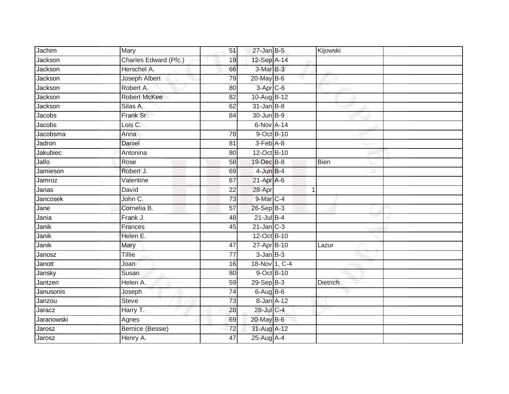| Jachim     | Mary                  | 51              | $27$ -Jan B-5          | Kijowski        |  |
|------------|-----------------------|-----------------|------------------------|-----------------|--|
| Jackson    | Charles Edward (Pfc.) | 19              | 12-Sep A-14            |                 |  |
| Jackson    | Herschel A.           | 66              | 3-Mar B-3              |                 |  |
| Jackson    | Joseph Albert         | 79              | 20-May B-6             |                 |  |
| Jackson    | Robert A.             | 80              | $3-Apr$ <sub>C-6</sub> |                 |  |
| Jackson    | <b>Robert McKee</b>   | 82              | 10-Aug B-12            |                 |  |
| Jackson    | Silas A.              | 62              | $31$ -Jan $B-8$        |                 |  |
| Jacobs     | Frank Sr.             | 84              | 30-Jun B-9             |                 |  |
| Jacobs     | Lois C.               |                 | 6-Nov A-14             |                 |  |
| Jacobsma   | Anna                  | 78              | 9-Oct B-10             |                 |  |
| Jadron     | Daniel                | 81              | $3-Feb$ $A-8$          |                 |  |
| Jakubiec   | Antonina              | 80              | 12-Oct B-10            |                 |  |
| Jallo      | Rose                  | 58              | 19-Dec B-8             | <b>Bien</b>     |  |
| Jamieson   | Robert J.             | 69              | $4$ -Jun $B-4$         |                 |  |
| Jamroz     | Valentine             | 67              | 21-Apr A-6             |                 |  |
| Janas      | David                 | 22              | 28-Apr                 | 1               |  |
| Jancosek   | John C.               | 73              | $9$ -Mar $C-4$         |                 |  |
| Jane       | Cornelia B.           | 57              | 26-Sep B-3             |                 |  |
| Jania      | Frank J.              | 48              | $21$ -Jul B-4          |                 |  |
| Janik      | Frances               | 45              | $21$ -Jan $C-3$        |                 |  |
| Janik      | Helen E.              |                 | 12-Oct B-10            |                 |  |
| Janik      | Mary                  | 47              | 27-Apr B-10            | Lazur           |  |
| Janosz     | Tillie                | 77              | $3$ -Jan $B-3$         |                 |  |
| Janott     | Joan                  | 16              | 18-Nov 1, C-4          |                 |  |
| Jansky     | Susan                 | 80              | 9-Oct B-10             |                 |  |
| Jantzen    | Helen A.              | 59              | 29-Sep B-3             | <b>Dietrich</b> |  |
| Janusonis  | Joseph                | $\overline{74}$ | $6-AugB-6$             |                 |  |
| Janzou     | <b>Steve</b>          | 73              | 8-Jan A-12             |                 |  |
| Jaracz     | Harry T.              | 28              | 28-Jul C-4             |                 |  |
| Jaranowski | Agnes                 | 69              | 20-May B-6             |                 |  |
| Jarosz     | Bernice (Bessie)      | 72              | 31-Aug A-12            |                 |  |
| Jarosz     | Henry A.              | 47              | 25-Aug A-4             |                 |  |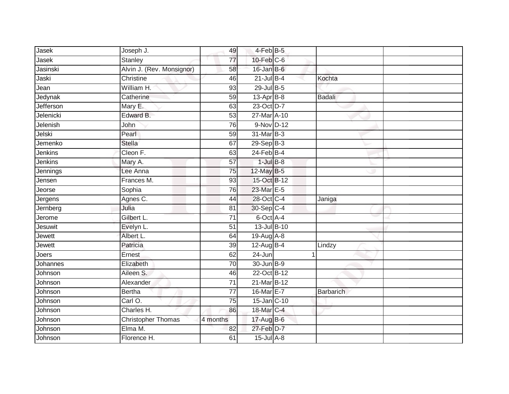| Jasek          | Joseph J.                 | 49              | 4-Feb B-5        |                  |  |
|----------------|---------------------------|-----------------|------------------|------------------|--|
| Jasek          | Stanley                   | 77              | $10$ -Feb $C$ -6 |                  |  |
| Jasinski       | Alvin J. (Rev. Monsignor) | 58              | $16$ -Jan B-6    |                  |  |
| Jaski          | Christine                 | 46              | $21$ -Jul B-4    | Kochta           |  |
| Jean           | William H.                | 93              | 29-Jul B-5       |                  |  |
| Jedynak        | Catherine                 | 59              | $13-AprB-8$      | Badali           |  |
| Jefferson      | Mary E.                   | 63              | 23-Oct D-7       |                  |  |
| Jelenicki      | Edward B.                 | 53              | 27-Mar A-10      |                  |  |
| Jelenish       | John                      | 76              | 9-Nov D-12       |                  |  |
| Jelski         | Pearl                     | 59              | 31-Mar B-3       |                  |  |
| Jemenko        | Stella                    | 67              | 29-Sep B-3       |                  |  |
| Jenkins        | Cleon F.                  | 63              | $24$ -Feb $B-4$  |                  |  |
| Jenkins        | Mary A.                   | 57              | $1$ -Jul $B-8$   |                  |  |
| Jennings       | Lee Anna                  | 75              | 12-May B-5       |                  |  |
| Jensen         | Frances M.                | 93              | 15-Oct B-12      |                  |  |
| Jeorse         | Sophia                    | 76              | 23-Mar E-5       |                  |  |
| Jergens        | Agnes C.                  | 44              | 28-Oct C-4       | Janiga           |  |
| Jernberg       | Julia                     | 81              | 30-Sep C-4       |                  |  |
| Jerome         | Gilbert L.                | $\overline{71}$ | 6-Oct A-4        |                  |  |
| <b>Jesuwit</b> | Evelyn L.                 | $\overline{51}$ | 13-Jul B-10      |                  |  |
| Jewett         | Albert L.                 | 64              | 19-Aug A-8       |                  |  |
| Jewett         | Patricia                  | 39              | 12-Aug B-4       | Lindzy           |  |
| Joers          | Ernest                    | 62              | 24-Jun           |                  |  |
| Johannes       | Elizabeth                 | 70              | 30-Jun B-9       |                  |  |
| Johnson        | Aileen S.                 | 46              | 22-Oct B-12      |                  |  |
| Johnson        | Alexander                 | $\overline{71}$ | 21-Mar B-12      |                  |  |
| Johnson        | <b>Bertha</b>             | $\overline{77}$ | 16-Mar E-7       | <b>Barbarich</b> |  |
| Johnson        | Carl O.                   | 75              | 15-Jan C-10      |                  |  |
| Johnson        | Charles H.                | 86              | 18-Mar C-4       |                  |  |
| Johnson        | Christopher Thomas        | 4 months        | 17-Aug B-6       |                  |  |
| Johnson        | $E$ lma M.                | 82              | 27-Feb D-7       |                  |  |
| Johnson        | Florence H.               | 61              | $15$ -Jul $A-8$  |                  |  |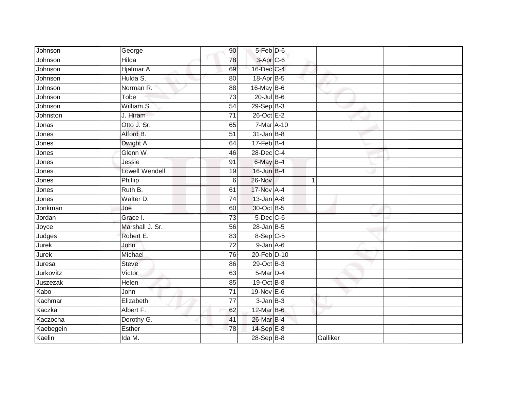| Johnson      | George                | 90              | 5-Feb D-6        |          |  |
|--------------|-----------------------|-----------------|------------------|----------|--|
| Johnson      | <b>Hilda</b>          | 78              | $3$ -Apr $C$ -6  |          |  |
| Johnson      | Hjalmar A.            | 69              | 16-Dec C-4       |          |  |
| Johnson      | Hulda S.              | 80              | 18-Apr B-5       |          |  |
| Johnson      | Norman R.             | $\overline{88}$ | 16-May B-6       |          |  |
| Johnson      | <b>Tobe</b>           | 73              | 20-Jul B-6       |          |  |
| Johnson      | William S.            | 54              | $29-SepB-3$      |          |  |
| Johnston     | J. Hiram              | 71              | 26-Oct E-2       |          |  |
| Jonas        | Otto J. Sr.           | 65              | 7-Mar A-10       |          |  |
| Jones        | Alford B.             | 51              | $31$ -Jan $B-8$  |          |  |
| Jones        | Dwight A.             | 64              | $17$ -Feb $B$ -4 |          |  |
| Jones        | Glenn W.              | 46              | 28-Dec C-4       |          |  |
| Jones        | Jessie                | 91              | 6-May B-4        |          |  |
| Jones        | <b>Lowell Wendell</b> | 19              | 16-Jun B-4       |          |  |
| Jones        | Phillip               | 6               | $26-Nov$         | 1        |  |
| Jones        | Ruth B.               | 61              | 17-Nov A-4       |          |  |
| Jones        | Walter D.             | $\overline{74}$ | $13$ -Jan $A-8$  |          |  |
| Jonkman      | Joe                   | 60              | 30-Oct B-5       |          |  |
| Jordan       | Grace I.              | 73              | 5-Dec C-6        |          |  |
| Joyce        | Marshall J. Sr.       | 56              | $28$ -Jan B-5    |          |  |
| Judges       | Robert E.             | 83              | $8-Sep$ C-5      |          |  |
| <b>Jurek</b> | John                  | $\overline{72}$ | 9-Jan A-6        |          |  |
| Jurek        | Michael               | 76              | 20-Feb D-10      |          |  |
| Juresa       | Steve                 | 86              | 29-Oct B-3       |          |  |
| Jurkovitz    | Victor                | 63              | 5-Mar D-4        |          |  |
| Juszezak     | Helen                 | 85              | $19-Oct$ B-8     |          |  |
| Kabo         | John                  | $\overline{71}$ | 19-Nov E-6       |          |  |
| Kachmar      | Elizabeth             | 77              | $3$ -Jan $B-3$   |          |  |
| Kaczka       | Albert F.             | 62              | 12-Mar B-6       |          |  |
| Kaczocha     | Dorothy G.            | 41              | 26-Mar B-4       |          |  |
| Kaebegein    | Esther                | 78              | 14-Sep E-8       |          |  |
| Kaelin       | Ida M.                |                 | 28-Sep B-8       | Galliker |  |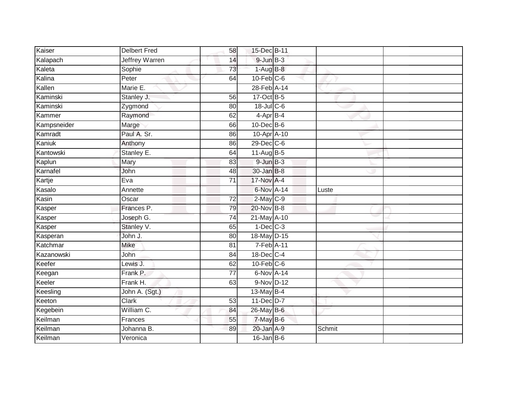| Kaiser      | <b>Delbert Fred</b>   | 58              | 15-Dec B-11      |               |  |
|-------------|-----------------------|-----------------|------------------|---------------|--|
| Kalapach    | <b>Jeffrey Warren</b> | 14              | $9$ -Jun $B-3$   |               |  |
| Kaleta      | Sophie                | 73              | $1-AugB-8$       |               |  |
| Kalina      | Peter                 | 64              | $10$ -Feb $C$ -6 |               |  |
| Kallen      | Marie E.              |                 | 28-Feb A-14      |               |  |
| Kaminski    | Stanley J.            | 56              | 17-Oct B-5       |               |  |
| Kaminski    | Zygmond               | 80              | $18$ -Jul C-6    |               |  |
| Kammer      | Raymond               | 62              | 4-Apr B-4        |               |  |
| Kampsneider | Marge                 | 66              | 10-Dec B-6       |               |  |
| Kamradt     | Paul A. Sr.           | 86              | 10-Apr A-10      |               |  |
| Kaniuk      | Anthony               | 86              | 29-Dec C-6       |               |  |
| Kantowski   | Stanley E.            | 64              | $11$ -Aug B-5    |               |  |
| Kaplun      | Mary                  | 83              | $9$ -Jun $B-3$   |               |  |
| Karnafel    | John                  | 48              | 30-Jan B-8       |               |  |
| Kartje      | Eva                   | $\overline{71}$ | 17-Nov A-4       |               |  |
| Kasalo      | Annette               |                 | 6-Nov A-14       | Luste         |  |
| Kasin       | Oscar                 | $\overline{72}$ | 2-May C-9        |               |  |
| Kasper      | Frances P.            | 79              | 20-Nov B-8       |               |  |
| Kasper      | Joseph G.             | $\overline{74}$ | 21-May A-10      |               |  |
| Kasper      | Stanley V.            | 65              | $1-Dec$ $C-3$    |               |  |
| Kasperan    | John J.               | 80              | 18-May D-15      |               |  |
| Katchmar    | <b>Mike</b>           | 81              | 7-Feb A-11       |               |  |
| Kazanowski  | John                  | 84              | 18-Dec C-4       |               |  |
| Keefer      | Lewis J.              | 62              | $10$ -Feb $C$ -6 |               |  |
| Keegan      | Frank P.              | $\overline{77}$ | 6-Nov A-14       |               |  |
| Keeler      | Frank H.              | 63              | 9-Nov D-12       |               |  |
| Keesling    | John A. (Sgt.)        |                 | 13-May B-4       |               |  |
| Keeton      | Clark                 | 53              | 11-Dec D-7       |               |  |
| Kegebein    | William C.            | 84              | 26-May B-6       |               |  |
| Keilman     | Frances               | 55              | 7-May B-6        |               |  |
| Keilman     | Johanna B.            | 89              | 20-Jan A-9       | <b>Schmit</b> |  |
| Keilman     | Veronica              |                 | $16$ -Jan B-6    |               |  |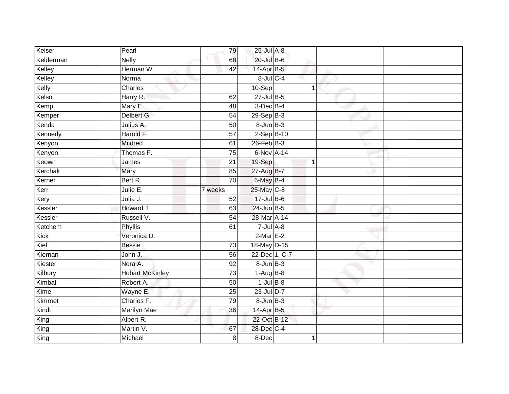| Keiser    | Pearl                  | 79              | 25-Jul A-8        |   |  |
|-----------|------------------------|-----------------|-------------------|---|--|
| Kelderman | <b>Nelly</b>           | 68              | 20-Jul B-6        |   |  |
| Kelley    | Herman W.              | 42              | 14-Apr B-5        |   |  |
| Kelley    | Norma                  |                 | $8$ -Jul $C$ -4   |   |  |
| Kelly     | Charles                |                 | 10-Sep            | 1 |  |
| Kelso     | Harry R.               | 62              | $27$ -Jul B-5     |   |  |
| Kemp      | Mary E.                | 48              | 3-Dec B-4         |   |  |
| Kemper    | Delbert G.             | 54              | 29-Sep B-3        |   |  |
| Kenda     | Julius A.              | 50              | $8 - Jun$ $B - 3$ |   |  |
| Kennedy   | Harold F.              | 57              | $2-Sep$ B-10      |   |  |
| Kenyon    | Mildred                | 61              | $26$ -Feb $B-3$   |   |  |
| Kenyon    | Thomas F.              | $\overline{75}$ | 6-Nov A-14        |   |  |
| Keown     | James                  | 21              | 19-Sep            | 1 |  |
| Kerchak   | Mary                   | 85              | 27-Aug B-7        |   |  |
| Kerner    | Bert R.                | 70              | $6$ -May $B-4$    |   |  |
| Kerr      | Julie E.               | 7 weeks         | 25-May C-8        |   |  |
| Kery      | Julia J.               | 52              | $17$ -Jul B-6     |   |  |
| Kessler   | Howard T.              | 63              | $24$ -Jun $B-5$   |   |  |
| Kessler   | Russell V.             | 54              | 28-Mar A-14       |   |  |
| Ketchem   | <b>Phyllis</b>         | 61              | $7 -$ Jul $A - 8$ |   |  |
| Kick      | Veronica D.            |                 | $2$ -Mar $E-2$    |   |  |
| Kiel      | <b>Bessie</b>          | $\overline{73}$ | 18-May D-15       |   |  |
| Kiernan   | John J.                | 56              | 22-Dec 1, C-7     |   |  |
| Kiester   | Nora A.                | 92              | $8 - Jun$ $B-3$   |   |  |
| Kilbury   | <b>Hobart McKinley</b> | 73              | $1-Aug$ B-8       |   |  |
| Kimball   | Robert A.              | 50              | $1$ -Jul $B-8$    |   |  |
| Kime      | Wayne E.               | 25              | 23-Jul D-7        |   |  |
| Kimmet    | Charles F.             | $\overline{79}$ | $8 - Jun$ $B - 3$ |   |  |
| Kindt     | Marilyn Mae            | 36              | 14-Apr B-5        |   |  |
| King      | Albert R.              |                 | 22-Oct B-12       |   |  |
| King      | Martin V.              | 67              | 28-Dec C-4        |   |  |
| King      | Michael                | 8               | $8-Dec$           | 1 |  |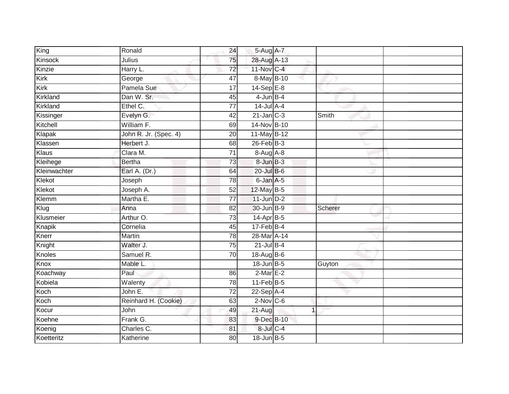| King         | Ronald                | 24              | 5-Aug A-7        |             |
|--------------|-----------------------|-----------------|------------------|-------------|
| Kinsock      | Julius                | 75              | 28-Aug A-13      |             |
| Kinzie       | Harry L.              | $\overline{72}$ | 11-Nov C-4       |             |
| Kirk         | George                | 47              | 8-May B-10       |             |
| Kirk         | Pamela Sue            | $\overline{17}$ | $14-Sep$ E-8     |             |
| Kirkland     | Dan W. Sr.            | 45              | $4$ -Jun $B-4$   |             |
| Kirkland     | Ethel C.              | 77              | $14$ -Jul $A-4$  |             |
| Kissinger    | Evelyn G.             | 42              | $21$ -Jan $C-3$  | Smith       |
| Kitchell     | William F.            | 69              | 14-Nov B-10      |             |
| Klapak       | John R. Jr. (Spec. 4) | $\overline{20}$ | 11-May B-12      |             |
| Klassen      | Herbert J.            | 68              | $26$ -Feb $B-3$  |             |
| Klaus        | Clara M.              | $\overline{71}$ | 8-Aug A-8        |             |
| Kleihege     | <b>Bertha</b>         | 73              | 8-Jun B-3        |             |
| Kleinwachter | Earl A. (Dr.)         | 64              | $20$ -Jul $B-6$  |             |
| Klekot       | Joseph                | 78              | 6-Jan A-5        |             |
| Klekot       | Joseph A.             | 52              | 12-May B-5       |             |
| Klemm        | Martha E.             | $\overline{77}$ | $11$ -Jun $D-2$  |             |
| Klug         | Anna                  | 82              | 30-Jun B-9       | Scherer     |
| Klusmeier    | Arthur O.             | 73              | 14-Apr B-5       |             |
| Knapik       | Cornelia              | 45              | $17$ -Feb $B$ -4 |             |
| Knerr        | Martin                | 78              | 28-Mar A-14      |             |
| Knight       | Walter J.             | 75              | $21$ -Jul B-4    |             |
| Knoles       | Samuel R.             | 70              | 18-Aug B-6       |             |
| Knox         | Mable L.              |                 | 18-Jun B-5       | Guyton      |
| Koachway     | Paul                  | 86              | $2-Mar E-2$      |             |
| Kobiela      | Walenty               | 78              | $11$ -Feb $B$ -5 |             |
| Koch         | John E.               | $\overline{72}$ | $22-Sep$ A-4     |             |
| Koch         | Reinhard H. (Cookie)  | 63              | $2$ -Nov $C$ -6  |             |
| Kocur        | John                  | 49              | $21-Aug$         | $\mathbf 1$ |
| Koehne       | Frank G.              | 83              | 9-Dec B-10       |             |
| Koenig       | Charles C.            | 81              | 8-Jul C-4        |             |
| Koetteritz   | Katherine             | $\overline{80}$ | 18-Jun B-5       |             |
|              |                       |                 |                  |             |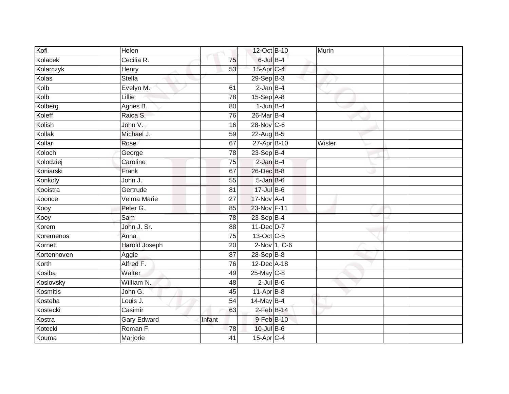| Kofl        | Helen              |                 | 12-Oct B-10     | Murin  |  |
|-------------|--------------------|-----------------|-----------------|--------|--|
| Kolacek     | Cecilia R.         | 75              | $6$ -Jul $B-4$  |        |  |
| Kolarczyk   | Henry              | 53              | 15-Apr C-4      |        |  |
| Kolas       | <b>Stella</b>      |                 | $29-SepB-3$     |        |  |
| Kolb        | Evelyn M.          | 61              | $2$ -Jan $B-4$  |        |  |
| Kolb        | Lillie             | 78              | 15-Sep A-8      |        |  |
| Kolberg     | Agnes B.           | 80              | $1$ -Jun $B-4$  |        |  |
| Koleff      | Raica S.           | 76              | 26-Mar B-4      |        |  |
| Kolish      | John V.            | 16              | 28-Nov C-6      |        |  |
| Kollak      | Michael J.         | 59              | 22-Aug B-5      |        |  |
| Kollar      | Rose               | 67              | 27-Apr B-10     | Wisler |  |
| Koloch      | George             | 78              | 23-Sep B-4      |        |  |
| Kolodziej   | Caroline           | 75              | $2$ -Jan $B-4$  |        |  |
| Koniarski   | Frank              | 67              | 26-Dec B-8      |        |  |
| Konkoly     | John J.            | 55              | 5-Jan B-6       |        |  |
| Kooistra    | Gertrude           | 81              | 17-Jul B-6      |        |  |
| Koonce      | Velma Marie        | $\overline{27}$ | 17-Nov A-4      |        |  |
| Kooy        | Peter G.           | 85              | 23-Nov F-11     |        |  |
| Kooy        | Sam                | 78              | 23-Sep B-4      |        |  |
| Korem       | John J. Sr.        | $\overline{88}$ | 11-Dec D-7      |        |  |
| Koremenos   | Anna               | $\overline{75}$ | 13-Oct C-5      |        |  |
| Kornett     | Harold Joseph      | 20              | 2-Nov 1, C-6    |        |  |
| Kortenhoven | Aggie              | 87              | 28-Sep B-8      |        |  |
| Korth       | Alfred F.          | 76              | 12-Dec A-18     |        |  |
| Kosiba      | Walter             | 49              | 25-May C-8      |        |  |
| Koslovsky   | William N.         | 48              | $2$ -Jul $B$ -6 |        |  |
| Kosmitis    | John G.            | 45              | $11-AprB-8$     |        |  |
| Kosteba     | Louis J.           | 54              | $14$ -May B-4   |        |  |
| Kostecki    | Casimir            | 63              | $2$ -Feb $B-14$ |        |  |
| Kostra      | <b>Gary Edward</b> | Infant          | 9-Feb B-10      |        |  |
| Kotecki     | Roman F.           | 78              | $10$ -Jul B-6   |        |  |
| Kouma       | Marjorie           | $\overline{41}$ | 15-Apr C-4      |        |  |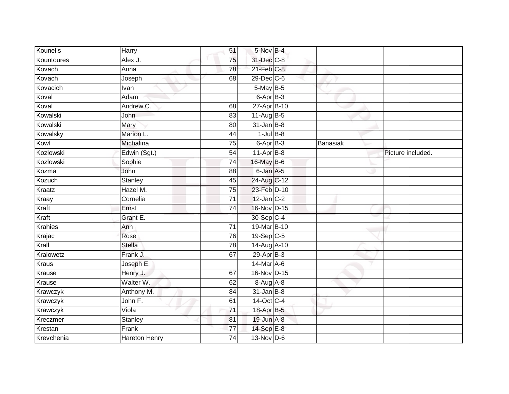| Kounelis       | <b>Harry</b>         | 51              | 5-Nov B-4                |          |                   |
|----------------|----------------------|-----------------|--------------------------|----------|-------------------|
| Kountoures     | Alex J.              | 75              | 31-Dec C-8               |          |                   |
| Kovach         | Anna                 | 78              | $21$ -Feb $C-8$          |          |                   |
| Kovach         | Joseph               | 68              | 29-Dec C-6               |          |                   |
| Kovacich       | Ivan                 |                 | 5-May B-5                |          |                   |
| Koval          | Adam                 |                 | $6 - \overline{Apr}$ B-3 |          |                   |
| Koval          | Andrew C.            | 68              | 27-Apr B-10              |          |                   |
| Kowalski       | John                 | 83              | 11-Aug B-5               |          |                   |
| Kowalski       | Mary                 | 80              | $31$ -Jan B-8            |          |                   |
| Kowalsky       | Marion L.            | 44              | $1$ -Jul $B$ -8          |          |                   |
| Kowl           | Michalina            | $\overline{75}$ | $6 - AprB - 3$           | Banasiak |                   |
| Kozlowski      | Edwin (Sgt.)         | 54              | $11$ -Apr $B-8$          |          | Picture included. |
| Kozlowski      | Sophie               | 74              | 16-May B-6               |          |                   |
| Kozma          | John                 | 88              | 6-Jan A-5                |          |                   |
| Kozuch         | <b>Stanley</b>       | 45              | 24-Aug C-12              |          |                   |
| Kraatz         | Hazel M.             | 75              | 23-Feb D-10              |          |                   |
| Kraay          | Cornelia             | $\overline{71}$ | $12$ -Jan $C-2$          |          |                   |
| Kraft          | Ernst                | 74              | 16-Nov D-15              |          |                   |
| Kraft          | Grant E.             |                 | 30-Sep C-4               |          |                   |
| <b>Krahies</b> | Ann                  | 71              | 19-Mar B-10              |          |                   |
| Krajac         | Rose                 | 76              | $19-Sep$ <sub>C-5</sub>  |          |                   |
| Krall          | Stella               | 78              | 14-Aug A-10              |          |                   |
| Kralowetz      | Frank J.             | 67              | 29-Apr B-3               |          |                   |
| <b>Kraus</b>   | Joseph E.            |                 | 14-Mar A-6               |          |                   |
| Krause         | Henry J.             | 67              | 16-Nov D-15              |          |                   |
| Krause         | Walter W.            | 62              | $8-AugA-8$               |          |                   |
| Krawczyk       | Anthony M.           | 84              | $31$ -Jan B-8            |          |                   |
| Krawczyk       | John F.              | 61              | 14-Oct C-4               |          |                   |
| Krawczyk       | $\overline{Viola}$   | 71              | 18-Apr B-5               |          |                   |
| Kreczmer       | Stanley              | 81              | 19-Jun A-8               |          |                   |
| Krestan        | Frank                | 77              | 14-Sep E-8               |          |                   |
| Krevchenia     | <b>Hareton Henry</b> | $\overline{74}$ | $13-Nov$ D-6             |          |                   |
|                |                      |                 |                          |          |                   |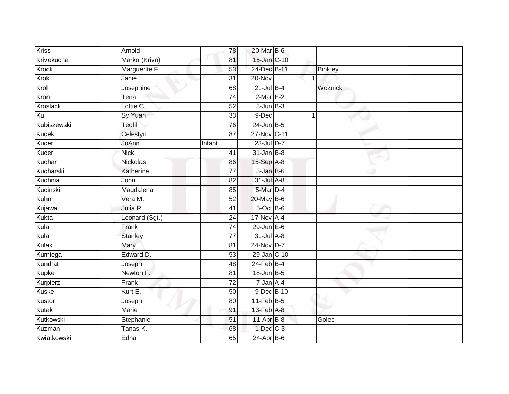| <b>Kriss</b> | Arnold          | 78              | 20-Mar B-6        |   |                |  |
|--------------|-----------------|-----------------|-------------------|---|----------------|--|
| Krivokucha   | Marko (Krivo)   | 81              | 15-Jan C-10       |   |                |  |
| <b>Krock</b> | Marguerite F.   | 53              | 24-Dec B-11       |   | <b>Binkley</b> |  |
| Krok         | Janie           | $\overline{31}$ | 20-Nov            |   |                |  |
| Krol         | Josephine       | 68              | $21$ -Jul $B-4$   |   | Woznicki       |  |
| Kron         | Tena            | 74              | $2-MarE-2$        |   |                |  |
| Kroslack     | Lottie C.       | 52              | $8 - Jun$ $B - 3$ |   |                |  |
| Ku           | Sy Yuan         | 33              | 9-Dec             | 1 |                |  |
| Kubiszewski  | Teofil          | 76              | 24-Jun B-5        |   |                |  |
| <b>Kucek</b> | Celestyn        | $\overline{87}$ | 27-Nov C-11       |   |                |  |
| Kucer        | JoAnn           | Infant          | 23-Jul D-7        |   |                |  |
| Kucer        | <b>Nick</b>     | 41              | $31$ -Jan B-8     |   |                |  |
| Kuchar       | <b>Nickolas</b> | 86              | 15-Sep A-8        |   |                |  |
| Kucharski    | Katherine       | 77              | $5 - JanB - 6$    |   |                |  |
| Kuchnia      | John            | 82              | 31-Jul A-8        |   |                |  |
| Kucinski     | Magdalena       | 85              | 5-Mar D-4         |   |                |  |
| Kuhn         | Vera M.         | 52              | 20-May B-6        |   |                |  |
| Kujawa       | Julia R.        | 41              | $5$ -Oct $B$ -6   |   |                |  |
| Kukta        | Leonard (Sgt.)  | 24              | 17-Nov A-4        |   |                |  |
| Kula         | Frank           | 74              | $29$ -Jun $E-6$   |   |                |  |
| Kula         | <b>Stanley</b>  | 77              | $31$ -Jul $A-8$   |   |                |  |
| Kulak        | Mary            | 81              | 24-Nov D-7        |   |                |  |
| Kumiega      | Edward D.       | 53              | 29-Jan C-10       |   |                |  |
| Kundrat      | Joseph          | 48              | $24$ -Feb $B-4$   |   |                |  |
| <b>Kupke</b> | Newton F.       | 81              | 18-Jun B-5        |   |                |  |
| Kurpierz     | Frank           | 72              | $7 - Jan A - 4$   |   |                |  |
| <b>Kuske</b> | Kurt E.         | 50              | 9-Dec B-10        |   |                |  |
| Kustor       | Joseph          | 80              | $11-FebB-5$       |   |                |  |
| <b>Kutak</b> | <b>Marie</b>    | 91              | 13-Feb A-8        |   |                |  |
| Kutkowski    | Stephanie       | 51              | 11-Apr B-8        |   | Golec          |  |
| Kuzman       | Tanas K.        | 68              | $1-Dec$ $C-3$     |   |                |  |
| Kwiatkowski  | Edna            | 65              | $24-Apr$ B-6      |   |                |  |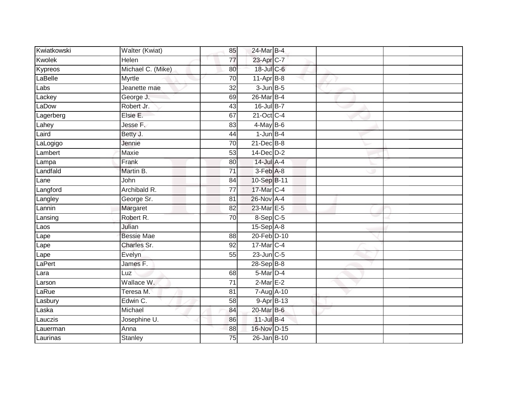| Kwiatkowski | Walter (Kwiat)      | 85              | 24-Mar B-4      |  |  |
|-------------|---------------------|-----------------|-----------------|--|--|
| Kwolek      | Helen               | 77              | 23-Apr C-7      |  |  |
| Kypreos     | Michael C. (Mike)   | 80              | 18-Jul C-6      |  |  |
| LaBelle     | Myrtle              | 70              | $11-Apr$ B-8    |  |  |
| Labs        | Jeanette mae        | $\overline{32}$ | $3$ -Jun $B$ -5 |  |  |
| Lackey      | George J.           | 69              | 26-Mar B-4      |  |  |
| LaDow       | Robert Jr.          | 43              | 16-Jul B-7      |  |  |
| Lagerberg   | Elsie E.            | 67              | 21-Oct C-4      |  |  |
| Lahey       | Jesse F.            | 83              | $4$ -May B-6    |  |  |
| Laird       | Betty J.            | 44              | $1$ -Jun $B-4$  |  |  |
| LaLogigo    | Jennie              | 70              | 21-Dec B-8      |  |  |
| Lambert     | Maxie               | 53              | $14$ -Dec $D-2$ |  |  |
| Lampa       | Frank               | 80              | 14-Jul A-4      |  |  |
| Landfald    | Martin B.           | 71              | $3-Feb$ $A-8$   |  |  |
| Lane        | John                | 84              | 10-Sep B-11     |  |  |
| Langford    | Archibald R.        | 77              | 17-Mar C-4      |  |  |
| Langley     | George Sr.          | 81              | $26$ -Nov $A-4$ |  |  |
| Lannin      | Margaret            | 82              | 23-Mar E-5      |  |  |
| Lansing     | Robert R.           | 70              | 8-Sep C-5       |  |  |
| Laos        | Julian              |                 | $15-Sep$ A-8    |  |  |
| Lape        | <b>Bessie Mae</b>   | 88              | 20-Feb D-10     |  |  |
| Lape        | Charles Sr.         | $\overline{92}$ | 17-Mar C-4      |  |  |
| Lape        | Evelyn              | 55              | $23$ -Jun $C-5$ |  |  |
| LaPert      | James <sub>F.</sub> |                 | 28-Sep B-8      |  |  |
| Lara        | Luz                 | 68              | $5$ -Mar $D-4$  |  |  |
| Larson      | Wallace W.          | 71              | $2$ -Mar $E-2$  |  |  |
| LaRue       | Teresa M.           | 81              | 7-Aug A-10      |  |  |
| Lasbury     | Edwin C.            | 58              | 9-Apr B-13      |  |  |
| Laska       | Michael             | 84              | 20-Mar B-6      |  |  |
| Lauczis     | Josephine U.        | 86              | 11-Jul B-4      |  |  |
| Lauerman    | Anna                | 88              | 16-Nov D-15     |  |  |
| Laurinas    | <b>Stanley</b>      | $\overline{75}$ | 26-Jan B-10     |  |  |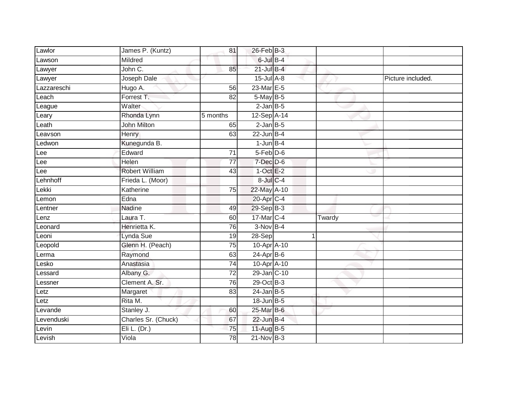| Lawlor      | James P. (Kuntz)      | 81              | 26-Feb B-3       |   |        |                   |
|-------------|-----------------------|-----------------|------------------|---|--------|-------------------|
| Lawson      | Mildred               |                 | $6$ -Jul $B-4$   |   |        |                   |
| Lawyer      | John C.               | 85              | $21$ -Jul B-4    |   |        |                   |
| Lawyer      | Joseph Dale           |                 | $15$ -Jul $A-8$  |   |        | Picture included. |
| Lazzareschi | Hugo A.               | $\overline{56}$ | 23-Mar E-5       |   |        |                   |
| _each       | Forrest T.            | 82              | 5-May B-5        |   |        |                   |
| League      | Walter                |                 | $2$ -Jan $B$ -5  |   |        |                   |
| Leary       | Rhonda Lynn           | 5 months        | 12-Sep A-14      |   |        |                   |
| Leath       | <b>John Milton</b>    | 65              | $2$ -Jan $B$ -5  |   |        |                   |
| Leavson     | Henry                 | 63              | $22$ -Jun B-4    |   |        |                   |
| Ledwon      | Kunegunda B.          |                 | $1$ -Jun $B-4$   |   |        |                   |
| Lee         | Edward                | 71              | $5-Feb$ D-6      |   |        |                   |
| Lee         | Helen                 | 77              | $7$ -Dec $D$ -6  |   |        |                   |
| Lee         | <b>Robert William</b> | 43              | $1$ -Oct $E-2$   |   |        |                   |
| Lehnhoff    | Frieda L. (Moor)      |                 | $8$ -Jul $C$ -4  |   |        |                   |
| Lekki       | Katherine             | 75              | 22-May A-10      |   |        |                   |
| Lemon       | Edna                  |                 | $20$ -Apr $C-4$  |   |        |                   |
| Lentner     | Nadine                | 49              | 29-Sep B-3       |   |        |                   |
| Lenz        | Laura T.              | 60              | 17-Mar C-4       |   | Twardy |                   |
| Leonard     | Henrietta K.          | 76              | $3-Nov$ B-4      |   |        |                   |
| Leoni       | Lynda Sue             | 19              | $28-Sep$         | 1 |        |                   |
| Leopold     | Glenn H. (Peach)      | 75              | 10-Apr A-10      |   |        |                   |
| Lerma       | Raymond               | 63              | $24$ -Apr $B$ -6 |   |        |                   |
| Lesko       | Anastasia             | 74              | 10-Apr A-10      |   |        |                   |
| _essard     | Albany G.             | 72              | 29-Jan C-10      |   |        |                   |
| Lessner     | Clement A. Sr.        | 76              | 29-Oct B-3       |   |        |                   |
| Letz        | Margaret              | 83              | $24$ -Jan B-5    |   |        |                   |
| Letz        | Rita M.               |                 | 18-Jun B-5       |   |        |                   |
| Levande     | Stanley J.            | 60              | 25-Mar B-6       |   |        |                   |
| Levenduski  | Charles Sr. (Chuck)   | 67              | $22$ -Jun B-4    |   |        |                   |
| Levin       | Eli L. (Dr.)          | $\overline{75}$ | 11-Aug B-5       |   |        |                   |
| Levish      | Viola                 | $\overline{78}$ | 21-Nov B-3       |   |        |                   |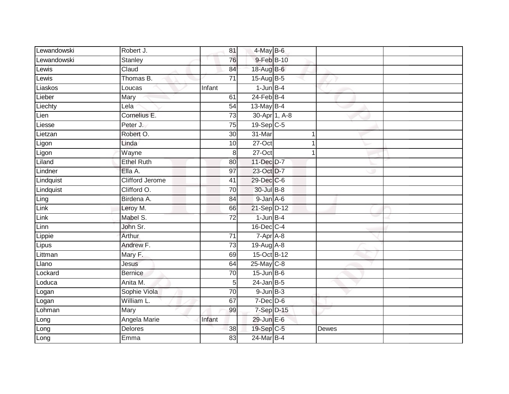| Lewandowski | Robert J.              | 81              | 4-May B-6                     |               |       |  |
|-------------|------------------------|-----------------|-------------------------------|---------------|-------|--|
| Lewandowski | Stanley                | 76              | 9-Feb B-10                    |               |       |  |
| Lewis       | Claud                  | 84              | 18-Aug B-6                    |               |       |  |
| Lewis       | Thomas B.              | $\overline{71}$ | 15-Aug B-5                    |               |       |  |
| Liaskos     | Loucas                 | Infant          | $1$ -Jun $B-4$                |               |       |  |
| Lieber      | Mary                   | 61              | $24$ -Feb $B-4$               |               |       |  |
| Liechty     | Lela                   | 54              | 13-May B-4                    |               |       |  |
| Lien        | Cornelius E.           | $\overline{73}$ |                               | 30-Apr 1, A-8 |       |  |
| Liesse      | Peter J.               | 75              | 19-Sep C-5                    |               |       |  |
| Lietzan     | Robert O.              | 30              | 31-Mar                        |               |       |  |
| Ligon       | Linda                  | 10              | 27-Oct                        |               |       |  |
| Ligon       | Wayne                  | $\bf{8}$        | $27-Oct$                      |               |       |  |
| Liland      | <b>Ethel Ruth</b>      | 80              | 11-Dec D-7                    |               |       |  |
| Lindner     | Ella A.                | $\overline{97}$ | 23-Oct D-7                    |               |       |  |
| Lindquist   | <b>Clifford Jerome</b> | 41              | 29-Dec C-6                    |               |       |  |
| Lindquist   | Clifford O.            | $\overline{70}$ | 30-Jul B-8                    |               |       |  |
| Ling        | Birdena A.             | 84              | $9 - Jan A - 6$               |               |       |  |
| Link        | Leroy M.               | 66              | 21-Sep D-12                   |               |       |  |
| Link        | Mabel S.               | $\overline{72}$ | $1$ -Jun $B-4$                |               |       |  |
| Linn        | John Sr.               |                 | 16-Dec C-4                    |               |       |  |
| Lippie      | Arthur                 | 71              | $7 - \overline{Apr \mid A-8}$ |               |       |  |
| Lipus       | Andrew F.              | 73              | 19-Aug A-8                    |               |       |  |
| Littman     | Mary F.                | 69              | 15-Oct B-12                   |               |       |  |
| Llano       | Jesus                  | 64              | $25$ -May $C-8$               |               |       |  |
| Lockard     | <b>Bernice</b>         | 70              | $15$ -Jun $B$ -6              |               |       |  |
| Loduca      | Anita M.               | 5 <sub>l</sub>  | $24$ -Jan B-5                 |               |       |  |
| Logan       | Sophie Viola           | 70              | $9$ -Jun $B-3$                |               |       |  |
| Logan       | William L.             | 67              | $7$ -Dec $D$ -6               |               |       |  |
| Lohman      | Mary                   | 99              | 7-Sep D-15                    |               |       |  |
| Long        | Angela Marie           | Infant          | 29-Jun E-6                    |               |       |  |
| Long        | Delores                | 38              | 19-Sep C-5                    |               | Dewes |  |
| Long        | Emma                   | 83              | 24-Mar B-4                    |               |       |  |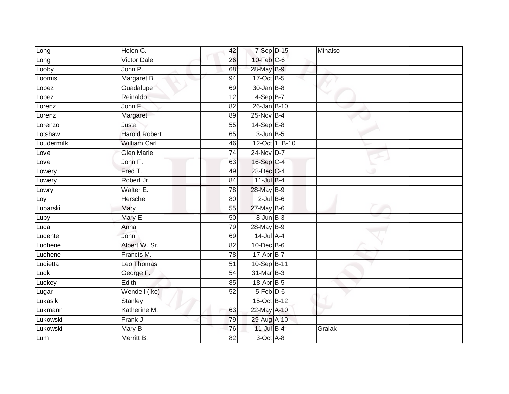| Long       | Helen C.             | 42              | 7-Sep D-15       |                | Mihalso |  |
|------------|----------------------|-----------------|------------------|----------------|---------|--|
| Long       | <b>Victor Dale</b>   | 26              | 10-Feb C-6       |                |         |  |
| Looby      | John P.              | 68              | 28-May B-9       |                |         |  |
| Loomis     | Margaret B.          | 94              | 17-Oct B-5       |                |         |  |
| Lopez      | Guadalupe            | 69              | $30 - Jan$ $B-8$ |                |         |  |
| Lopez      | Reinaldo             | 12              | $4-SepB-7$       |                |         |  |
| Lorenz     | John F.              | 82              | $26$ -Jan B-10   |                |         |  |
| Lorenz     | Margaret             | 89              | $25$ -Nov $B-4$  |                |         |  |
| Lorenzo    | Justa                | 55              | $14-SepE-8$      |                |         |  |
| Lotshaw    | <b>Harold Robert</b> | 65              | $3$ -Jun $B - 5$ |                |         |  |
| Loudermilk | <b>William Carl</b>  | 46              |                  | 12-Oct 1, B-10 |         |  |
| Love       | <b>Glen Marie</b>    | 74              | 24-Nov D-7       |                |         |  |
| Love       | John F.              | 63              | 16-Sep C-4       |                |         |  |
| Lowery     | Fred T.              | 49              | 28-Dec C-4       |                |         |  |
| Lowery     | Robert Jr.           | 84              | $11$ -Jul $B-4$  |                |         |  |
| Lowry      | Walter E.            | $\overline{78}$ | 28-May B-9       |                |         |  |
| Loy        | Herschel             | 80              | $2$ -Jul $B$ -6  |                |         |  |
| Lubarski   | Mary                 | 55              | 27-May B-6       |                |         |  |
| Luby       | Mary E.              | 50              | 8-Jun B-3        |                |         |  |
| Luca       | Anna                 | 79              | 28-May B-9       |                |         |  |
| Lucente    | <b>John</b>          | 69              | $14$ -Jul A-4    |                |         |  |
| Luchene    | Albert W. Sr.        | 82              | 10-Dec B-6       |                |         |  |
| Luchene    | Francis M.           | 78              | 17-Apr B-7       |                |         |  |
| Lucietta   | Leo Thomas           | $\overline{51}$ | 10-Sep B-11      |                |         |  |
| Luck       | George F.            | 54              | 31-Mar B-3       |                |         |  |
| Luckey     | Edith                | 85              | 18-Apr B-5       |                |         |  |
| Lugar      | Wendell (Ike)        | 52              | $5-Feb$ $D-6$    |                |         |  |
| Lukasik    | <b>Stanley</b>       |                 | 15-Oct B-12      |                |         |  |
| Lukmann    | Katherine M.         | 63              | 22-May A-10      |                |         |  |
| Lukowski   | Frank J.             | 79              | 29-Aug A-10      |                |         |  |
| Lukowski   | Mary B.              | 76              | 11-Jul B-4       |                | Gralak  |  |
| Lum        | Merritt B.           | 82              | $3$ -Oct $A$ -8  |                |         |  |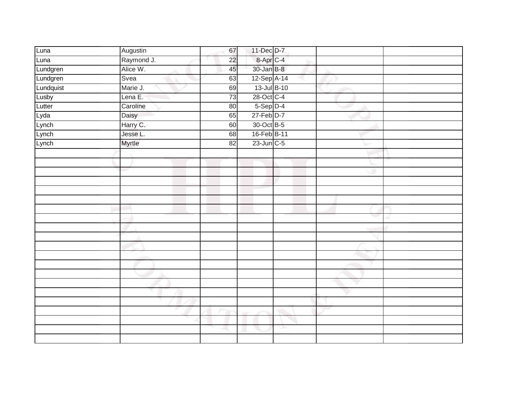| Luna      | Augustin   | 67              | 11-Dec D-7              |   |   |  |
|-----------|------------|-----------------|-------------------------|---|---|--|
| Luna      | Raymond J. | $\overline{22}$ | 8-Apr <sub>C-4</sub>    |   |   |  |
| Lundgren  | Alice W.   | 45              | 30-Jan B-8              |   |   |  |
| Lundgren  | Svea       | 63              | 12-Sep A-14             |   |   |  |
| Lundquist | Marie J.   | 69              | 13-Jul B-10             |   |   |  |
| Lusby     | Lena E.    | 73              | $28-Oct$ <sub>C-4</sub> |   |   |  |
| Lutter    | Caroline   | 80              | $5-Sep$ D-4             |   |   |  |
| Lyda      | Daisy      | 65              | 27-Feb D-7              |   |   |  |
| Lynch     | Harry C.   | 60              | 30-Oct B-5              |   |   |  |
| Lynch     | Jesse L.   | 68              | 16-Feb B-11             |   |   |  |
| Lynch     | Myrtle     | 82              | 23-Jun C-5              |   |   |  |
|           |            |                 |                         |   |   |  |
|           |            |                 |                         |   |   |  |
|           |            |                 |                         |   | w |  |
|           |            |                 |                         |   |   |  |
|           |            |                 |                         |   |   |  |
|           |            |                 |                         |   |   |  |
|           |            |                 |                         |   |   |  |
|           |            |                 |                         |   |   |  |
|           |            |                 |                         |   |   |  |
|           |            |                 |                         |   |   |  |
|           |            |                 |                         |   |   |  |
|           |            |                 |                         |   |   |  |
|           |            |                 |                         |   |   |  |
|           |            |                 |                         |   |   |  |
|           |            |                 |                         |   |   |  |
|           |            |                 |                         |   |   |  |
|           |            |                 |                         |   |   |  |
|           |            |                 |                         |   |   |  |
|           |            |                 |                         |   |   |  |
|           |            |                 |                         | ≻ |   |  |
|           |            |                 |                         |   |   |  |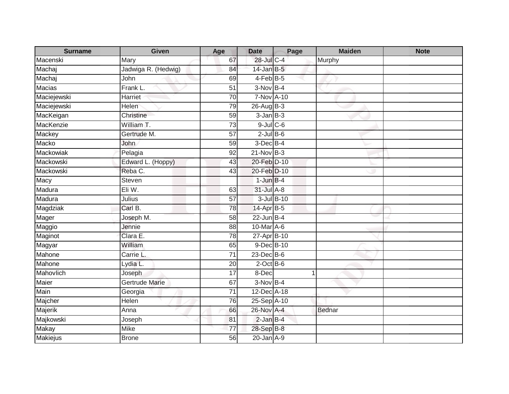| <b>Surname</b>  | Given                 | Age             | <b>Date</b>       | Page       | <b>Maiden</b> | <b>Note</b> |
|-----------------|-----------------------|-----------------|-------------------|------------|---------------|-------------|
| Macenski        | Mary                  | 67              | 28-Jul C-4        |            | Murphy        |             |
| Machaj          | Jadwiga R. (Hedwig)   | 84              | $14$ -Jan B-5     |            |               |             |
| Machaj          | John                  | 69              | $4$ -Feb $B$ -5   |            |               |             |
| <b>Macias</b>   | Frank L.              | $\overline{51}$ | $3-NovB-4$        |            |               |             |
| Maciejewski     | Harriet               | 70              | <b>7-Nov A-10</b> |            |               |             |
| Maciejewski     | Helen                 | 79              | $26$ -Aug $B-3$   |            |               |             |
| MacKeigan       | Christine             | 59              | $3 - Jan$ $B-3$   |            |               |             |
| MacKenzie       | William T.            | $\overline{73}$ | $9$ -Jul $C$ -6   |            |               |             |
| Mackey          | Gertrude M.           | 57              | $2$ -Jul $B$ -6   |            |               |             |
| Macko           | John                  | 59              | $3$ -Dec $B-4$    |            |               |             |
| Mackowiak       | Pelagia               | 92              | 21-Nov B-3        |            |               |             |
| Mackowski       | Edward L. (Hoppy)     | 43              | 20-Feb D-10       |            |               |             |
| Mackowski       | Reba C.               | 43              | 20-Feb D-10       |            |               |             |
| Macy            | Steven                |                 | $1$ -Jun $B-4$    |            |               |             |
| Madura          | Eli W.                | 63              | $31$ -Jul $A-8$   |            |               |             |
| Madura          | Julius                | $\overline{57}$ |                   | 3-Jul B-10 |               |             |
| Magdziak        | Carl B.               | 78              | 14-Apr B-5        |            |               |             |
| Mager           | Joseph M.             | 58              | $22$ -Jun B-4     |            |               |             |
| Maggio          | Jennie                | 88              | 10-Mar A-6        |            |               |             |
| Maginot         | Clara E.              | $\overline{78}$ | 27-Apr B-10       |            |               |             |
| Magyar          | William               | 65              | 9-Dec B-10        |            |               |             |
| Mahone          | Carrie L.             | 71              | $23$ -Dec $B$ -6  |            |               |             |
| Mahone          | Lydia L.              | 20              | $2$ -Oct B-6      |            |               |             |
| Mahovlich       | Joseph                | 17              | 8-Dec             |            | 1             |             |
| Maier           | <b>Gertrude Marie</b> | 67              | $3-Nov$ B-4       |            |               |             |
| Main            | Georgia               | $\overline{71}$ | 12-Dec A-18       |            |               |             |
| Majcher         | Helen                 | 76              | 25-Sep A-10       |            |               |             |
| Majerik         | Anna                  | 66              | 26-Nov A-4        |            | <b>Bednar</b> |             |
| Majkowski       | Joseph                | 81              | $2$ -Jan $B-4$    |            |               |             |
| <b>Makay</b>    | Mike                  | 77              | 28-Sep B-8        |            |               |             |
| <b>Makiejus</b> | <b>Brone</b>          | 56              | $20$ -Jan $A-9$   |            |               |             |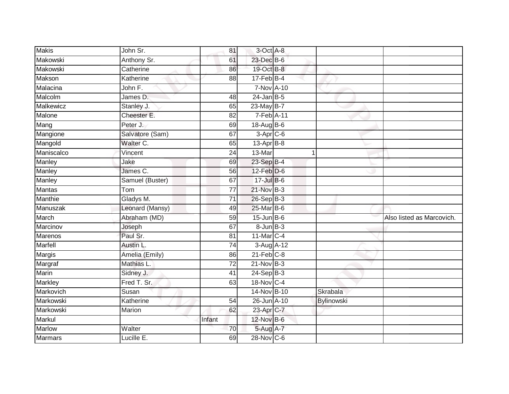| <b>Makis</b>   | John Sr.        | 81              | 3-Oct A-8             |             |                   |                           |
|----------------|-----------------|-----------------|-----------------------|-------------|-------------------|---------------------------|
| Makowski       | Anthony Sr.     | 61              | 23-Dec B-6            |             |                   |                           |
| Makowski       | Catherine       | 86              | 19-Oct B-8            |             |                   |                           |
| Makson         | Katherine       | 88              | $17$ -Feb $B$ -4      |             |                   |                           |
| Malacina       | John F.         |                 | 7-Nov A-10            |             |                   |                           |
| Malcolm        | James D.        | 48              | $24$ -Jan B-5         |             |                   |                           |
| Malkewicz      | Stanley J.      | 65              | 23-May B-7            |             |                   |                           |
| Malone         | Cheester E.     | 82              | $7-Feb$ A-11          |             |                   |                           |
| Mang           | Peter J.        | 69              | $18-Aug$ B-6          |             |                   |                           |
| Mangione       | Salvatore (Sam) | 67              | $3-Apr$ $C-6$         |             |                   |                           |
| Mangold        | Walter C.       | 65              | $13$ -Apr $B$ -8      |             |                   |                           |
| Maniscalco     | Vincent         | 24              | 13-Mar                | $\mathbf 1$ |                   |                           |
| Manley         | Jake            | 69              | 23-Sep B-4            |             |                   |                           |
| Manley         | James C.        | 56              | $12$ -Feb $D-6$       |             |                   |                           |
| Manley         | Samuel (Buster) | 67              | 17-Jul B-6            |             |                   |                           |
| Mantas         | Tom             | 77              | 21-Nov B-3            |             |                   |                           |
| Manthie        | Gladys M.       | $\overline{71}$ | 26-Sep B-3            |             |                   |                           |
| Manuszak       | Leonard (Mansy) | 49              | 25-Mar B-6            |             |                   |                           |
| March          | Abraham (MD)    | 59              | $15$ -Jun $B$ -6      |             |                   | Also listed as Marcovich. |
| Marcinov       | Joseph          | 67              | $8 - Jun$ $B - 3$     |             |                   |                           |
| Marenos        | Paul Sr.        | 81              | 11-Mar C-4            |             |                   |                           |
| Marfell        | Austin L.       | 74              | 3-Aug A-12            |             |                   |                           |
| Margis         | Amelia (Emily)  | 86              | $21$ -Feb $C-8$       |             |                   |                           |
| Margraf        | Mathias L.      | 72              | $21-Nov$ B-3          |             |                   |                           |
| Marin          | Sidney J.       | 41              | $24-Sep$ B-3          |             |                   |                           |
| <b>Markley</b> | Fred T. Sr.     | 63              | 18-Nov C-4            |             |                   |                           |
| Markovich      | Susan           |                 | 14-Nov B-10           |             | Skrabala          |                           |
| Markowski      | Katherine       | 54              | 26-Jun A-10           |             | <b>Bylinowski</b> |                           |
| Markowski      | Marion          | 62              | 23-Apr <sub>C-7</sub> |             |                   |                           |
| Markul         |                 | Infant          | 12-Nov B-6            |             |                   |                           |
| Marlow         | Walter          | 70              | 5-Aug A-7             |             |                   |                           |
| Marmars        | Lucille E.      | 69              | 28-Nov C-6            |             |                   |                           |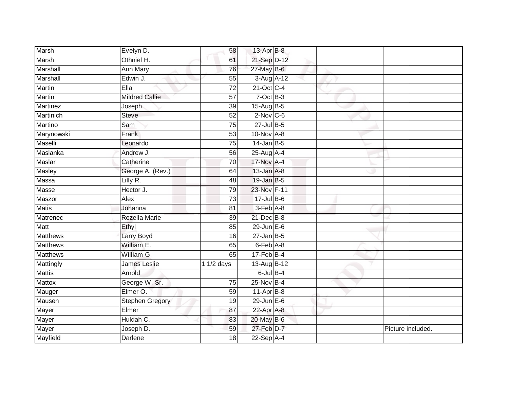| Marsh           | Evelyn D.             | 58              | 13-Apr B-8       |  |                   |
|-----------------|-----------------------|-----------------|------------------|--|-------------------|
| Marsh           | Othniel H.            | 61              | 21-Sep D-12      |  |                   |
| Marshall        | <b>Ann Mary</b>       | 76              | $27$ -May B-6    |  |                   |
| Marshall        | Edwin J.              | 55              | 3-Aug A-12       |  |                   |
| <b>Martin</b>   | Ella                  | $\overline{72}$ | 21-Oct C-4       |  |                   |
| <b>Martin</b>   | <b>Mildred Callie</b> | 57              | $7$ -Oct $B-3$   |  |                   |
| Martinez        | Joseph                | $\overline{39}$ | $15-AugB-5$      |  |                   |
| Martinich       | Steve                 | 52              | $2$ -Nov $C$ -6  |  |                   |
| Martino         | Sam                   | $\overline{75}$ | $27$ -Jul $B-5$  |  |                   |
| Marynowski      | Frank                 | 53              | 10-Nov A-8       |  |                   |
| Maselli         | Leonardo              | 75              | $14$ -Jan B-5    |  |                   |
| Maslanka        | Andrew J.             | 56              | 25-Aug A-4       |  |                   |
| Maslar          | Catherine             | 70              | 17-Nov A-4       |  |                   |
| Masley          | George A. (Rev.)      | 64              | $13$ -Jan $A-8$  |  |                   |
| Massa           | Lilly R.              | 48              | $19$ -Jan B-5    |  |                   |
| Masse           | Hector J.             | 79              | 23-Nov F-11      |  |                   |
| Maszor          | Alex                  | $\overline{73}$ | $17 -$ Jul B-6   |  |                   |
| <b>Matis</b>    | Johanna               | 81              | $3-Feb$ $A-8$    |  |                   |
| Matrenec        | Rozella Marie         | 39              | 21-Dec B-8       |  |                   |
| Matt            | Ethyl                 | 85              | $29$ -Jun $E-6$  |  |                   |
| <b>Matthews</b> | Larry Boyd            | 16              | $27$ -Jan B-5    |  |                   |
| <b>Matthews</b> | William E.            | 65              | $6$ -Feb $A$ -8  |  |                   |
| <b>Matthews</b> | William G.            | 65              | $17$ -Feb $B$ -4 |  |                   |
| Mattingly       | James Leslie          | 1 $1/2$ days    | 13-Aug B-12      |  |                   |
| <b>Mattis</b>   | Arnold                |                 | $6$ -Jul $B-4$   |  |                   |
| Mattox          | George W. Sr.         | 75              | $25$ -Nov $B-4$  |  |                   |
| Mauger          | Elmer O.              | 59              | 11-Apr B-8       |  |                   |
| Mausen          | Stephen Gregory       | 19              | $29$ -Jun $E-6$  |  |                   |
| Mayer           | Elmer                 | 87              | 22-Apr A-8       |  |                   |
| Mayer           | Huldah C.             | 83              | 20-May B-6       |  |                   |
| Mayer           | Joseph D.             | 59              | 27-Feb D-7       |  | Picture included. |
| Mayfield        | <b>Darlene</b>        | $\overline{18}$ | $22-Sep$ A-4     |  |                   |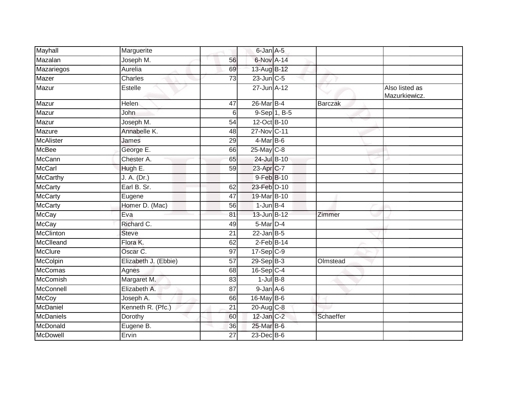| Mayhall          | Marguerite           |                 | 6-Jan A-5        |           |                                 |
|------------------|----------------------|-----------------|------------------|-----------|---------------------------------|
| Mazalan          | Joseph M.            | 56              | 6-Nov A-14       |           |                                 |
| Mazariegos       | Aurelia              | 69              | 13-Aug B-12      |           |                                 |
| Mazer            | Charles              | 73              | 23-Jun C-5       |           |                                 |
| Mazur            | Estelle              |                 | 27-Jun A-12      |           | Also listed as<br>Mazurkiewicz. |
| Mazur            | <b>Helen</b>         | 47              | 26-Mar B-4       | Barczak   |                                 |
| Mazur            | John                 | 6               | 9-Sep 1, B-5     |           |                                 |
| Mazur            | Joseph M.            | 54              | 12-Oct B-10      |           |                                 |
| Mazure           | Annabelle K.         | 48              | 27-Nov C-11      |           |                                 |
| <b>McAlister</b> | James                | 29              | $4$ -Mar $B$ -6  |           |                                 |
| <b>McBee</b>     | George E.            | 66              | 25-May C-8       |           |                                 |
| <b>McCann</b>    | Chester A.           | 65              | 24-Jul B-10      |           |                                 |
| McCarl           | Hugh E.              | $\overline{59}$ | 23-Apr C-7       |           |                                 |
| <b>McCarthy</b>  | J. A. (Dr.)          |                 | 9-Feb B-10       |           |                                 |
| <b>McCarty</b>   | Earl B. Sr.          | 62              | 23-Feb D-10      |           |                                 |
| <b>McCarty</b>   | Eugene               | 47              | 19-Mar B-10      |           |                                 |
| <b>McCarty</b>   | Homer D. (Mac)       | 56              | $1$ -Jun $B-4$   |           |                                 |
| <b>McCay</b>     | Eva                  | 81              | 13-Jun B-12      | Zimmer    |                                 |
| <b>McCay</b>     | Richard C.           | 49              | $5$ -Mar $D-4$   |           |                                 |
| <b>McClinton</b> | <b>Steve</b>         | 21              | $22$ -Jan B-5    |           |                                 |
| McClleand        | Flora K.             | 62              | $2$ -Feb $B$ -14 |           |                                 |
| <b>McClure</b>   | Oscar C.             | 97              | $17-Sep$ C-9     |           |                                 |
| <b>McColpin</b>  | Elizabeth J. (Ebbie) | $\overline{57}$ | $29-Sep$ $B-3$   | Olmstead  |                                 |
| McComas          | Agnes                | 68              | 16-Sep C-4       |           |                                 |
| <b>McComish</b>  | Margaret M.          | 83              | $1$ -Jul $B-8$   |           |                                 |
| McConnell        | Elizabeth A.         | 87              | $9$ -Jan $A$ -6  |           |                                 |
| <b>McCoy</b>     | Joseph A.            | 66              | 16-May B-6       |           |                                 |
| McDaniel         | Kenneth R. (Pfc.)    | $\overline{21}$ | 20-Aug C-8       |           |                                 |
| McDaniels        | Dorothy              | 60              | 12-Jan C-2       | Schaeffer |                                 |
| McDonald         | Eugene B.            | 36              | $25$ -Mar $B$ -6 |           |                                 |
| McDowell         | Ervin                | 27              | 23-Dec B-6       |           |                                 |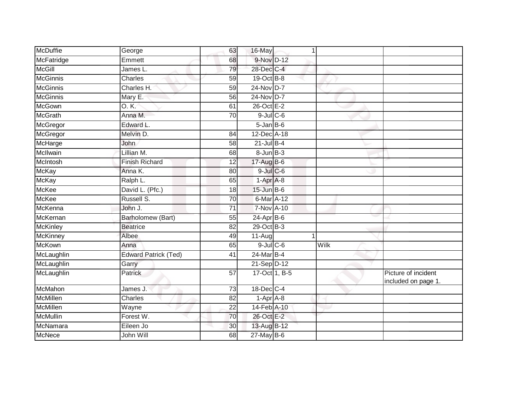| George                      | 63              | 1 |                                                                                                                                                                                                                                                                                                                                                                                                                                                                                            |                                            |
|-----------------------------|-----------------|---|--------------------------------------------------------------------------------------------------------------------------------------------------------------------------------------------------------------------------------------------------------------------------------------------------------------------------------------------------------------------------------------------------------------------------------------------------------------------------------------------|--------------------------------------------|
| Emmett                      | 68              |   |                                                                                                                                                                                                                                                                                                                                                                                                                                                                                            |                                            |
| James L.                    | 79              |   |                                                                                                                                                                                                                                                                                                                                                                                                                                                                                            |                                            |
| Charles                     | 59              |   |                                                                                                                                                                                                                                                                                                                                                                                                                                                                                            |                                            |
| Charles H.                  | $\overline{59}$ |   |                                                                                                                                                                                                                                                                                                                                                                                                                                                                                            |                                            |
| Mary E.                     | 56              |   |                                                                                                                                                                                                                                                                                                                                                                                                                                                                                            |                                            |
| 0.K.                        | 61              |   |                                                                                                                                                                                                                                                                                                                                                                                                                                                                                            |                                            |
| Anna M.                     | 70              |   |                                                                                                                                                                                                                                                                                                                                                                                                                                                                                            |                                            |
| Edward L.                   |                 |   |                                                                                                                                                                                                                                                                                                                                                                                                                                                                                            |                                            |
| Melvin D.                   | 84              |   |                                                                                                                                                                                                                                                                                                                                                                                                                                                                                            |                                            |
| John                        | 58              |   |                                                                                                                                                                                                                                                                                                                                                                                                                                                                                            |                                            |
| Lillian M.                  | 68              |   |                                                                                                                                                                                                                                                                                                                                                                                                                                                                                            |                                            |
| <b>Finish Richard</b>       | 12              |   |                                                                                                                                                                                                                                                                                                                                                                                                                                                                                            |                                            |
| Anna K.                     | 80              |   |                                                                                                                                                                                                                                                                                                                                                                                                                                                                                            |                                            |
| Ralph L.                    | 65              |   |                                                                                                                                                                                                                                                                                                                                                                                                                                                                                            |                                            |
| David L. (Pfc.)             | 18              |   |                                                                                                                                                                                                                                                                                                                                                                                                                                                                                            |                                            |
| Russell S.                  | $\overline{70}$ |   |                                                                                                                                                                                                                                                                                                                                                                                                                                                                                            |                                            |
| John J.                     | 71              |   |                                                                                                                                                                                                                                                                                                                                                                                                                                                                                            |                                            |
| Barholomew (Bart)           | 55              |   |                                                                                                                                                                                                                                                                                                                                                                                                                                                                                            |                                            |
| <b>Beatrice</b>             | 82              |   |                                                                                                                                                                                                                                                                                                                                                                                                                                                                                            |                                            |
| Albee                       | 49              |   |                                                                                                                                                                                                                                                                                                                                                                                                                                                                                            |                                            |
| Anna                        | 65              |   | Wilk                                                                                                                                                                                                                                                                                                                                                                                                                                                                                       |                                            |
| <b>Edward Patrick (Ted)</b> | 41              |   |                                                                                                                                                                                                                                                                                                                                                                                                                                                                                            |                                            |
| Garry                       |                 |   |                                                                                                                                                                                                                                                                                                                                                                                                                                                                                            |                                            |
| <b>Patrick</b>              | $\overline{57}$ |   |                                                                                                                                                                                                                                                                                                                                                                                                                                                                                            | Picture of incident<br>included on page 1. |
| James J.                    | 73              |   |                                                                                                                                                                                                                                                                                                                                                                                                                                                                                            |                                            |
| <b>Charles</b>              | $\overline{82}$ |   |                                                                                                                                                                                                                                                                                                                                                                                                                                                                                            |                                            |
| Wayne                       | 22              |   |                                                                                                                                                                                                                                                                                                                                                                                                                                                                                            |                                            |
| Forest W.                   | 70              |   |                                                                                                                                                                                                                                                                                                                                                                                                                                                                                            |                                            |
| Eileen Jo                   | 30              |   |                                                                                                                                                                                                                                                                                                                                                                                                                                                                                            |                                            |
| John Will                   | 68              |   |                                                                                                                                                                                                                                                                                                                                                                                                                                                                                            |                                            |
|                             |                 |   | 16-May<br>9-Nov D-12<br>28-Dec C-4<br>19-Oct B-8<br>24-Nov D-7<br>24-Nov D-7<br>26-Oct E-2<br>$9$ -Jul $C$ -6<br>$5 - Jan$ $B - 6$<br>12-Dec A-18<br>$21$ -Jul B-4<br>8-Jun B-3<br>17-Aug B-6<br>$9$ -Jul $C$ -6<br>1-Apr A-8<br>$15$ -Jun $B$ -6<br>6-Mar A-12<br><b>7-Nov A-10</b><br>$24$ -Apr $B$ -6<br>29-Oct B-3<br>$11-Auq$<br>$9$ -Jul $C$ -6<br>24-Mar B-4<br>21-Sep D-12<br>17-Oct 1, B-5<br>18-Dec C-4<br>$1-Apr$ A-8<br>14-Feb A-10<br>26-Oct E-2<br>13-Aug B-12<br>27-May B-6 |                                            |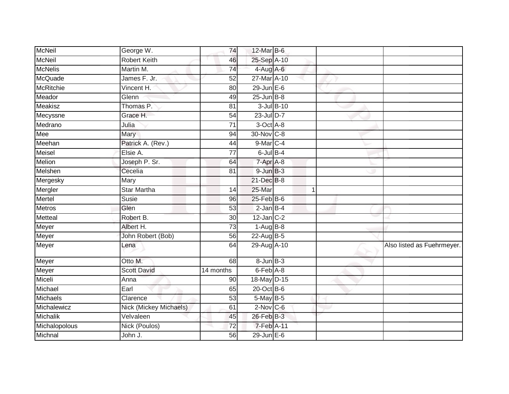| <b>McNeil</b>    | George W.              | 74              | 12-Mar B-6        |            |             |                            |
|------------------|------------------------|-----------------|-------------------|------------|-------------|----------------------------|
| <b>McNeil</b>    | <b>Robert Keith</b>    | 46              | 25-Sep A-10       |            |             |                            |
| <b>McNelis</b>   | Martin M.              | 74              | 4-Aug A-6         |            |             |                            |
| McQuade          | James F. Jr.           | 52              | 27-Mar A-10       |            |             |                            |
| <b>McRitchie</b> | Vincent H.             | 80              | $29$ -Jun $E-6$   |            |             |                            |
| Meador           | Glenn                  | 49              | $25$ -Jun $B-8$   |            |             |                            |
| Meakisz          | Thomas P.              | 81              |                   | 3-Jul B-10 |             |                            |
| Mecyssne         | Grace H.               | 54              | 23-Jul D-7        |            |             |                            |
| Medrano          | Julia                  | 71              | 3-Oct A-8         |            |             |                            |
| Mee              | Mary                   | 94              | 30-Nov C-8        |            |             |                            |
| Meehan           | Patrick A. (Rev.)      | 44              | 9-Mar C-4         |            |             |                            |
| Meisel           | Elsie A.               | 77              | $6$ -Jul $B-4$    |            |             |                            |
| Melion           | Joseph P. Sr.          | 64              | 7-Apr A-8         |            |             |                            |
| Melshen          | Cecelia                | 81              | $9 - JunB - 3$    |            |             |                            |
| Mergesky         | Mary                   |                 | 21-Dec B-8        |            |             |                            |
| Mergler          | <b>Star Martha</b>     | 14              | 25-Mar            |            | $\mathbf 1$ |                            |
| Mertel           | Susie                  | 96              | $25$ -Feb $B$ -6  |            |             |                            |
| Metros           | Glen                   | 53              | $2$ -Jan $B-4$    |            |             |                            |
| Metteal          | Robert B.              | 30              | $12$ -Jan $C-2$   |            |             |                            |
| Meyer            | Albert H.              | $\overline{73}$ | $1-AugB-8$        |            |             |                            |
| Meyer            | John Robert (Bob)      | 56              | 22-Aug B-5        |            |             |                            |
| Meyer            | Lena                   | 64              | 29-Aug A-10       |            |             | Also listed as Fuehrmeyer. |
| Meyer            | Otto M.                | 68              | $8 - Jun$ $B - 3$ |            |             |                            |
| Meyer            | <b>Scott David</b>     | 14 months       | $6$ -Feb $A$ -8   |            |             |                            |
| Miceli           | Anna                   | 90              | 18-May D-15       |            |             |                            |
| Michael          | Earl                   | 65              | $20$ -Oct B-6     |            |             |                            |
| Michaels         | Clarence               | 53              | 5-May B-5         |            |             |                            |
| Michalewicz      | Nick (Mickey Michaels) | 61              | $2$ -Nov $C$ -6   |            |             |                            |
| Michalik         | Velvaleen              | 45              | 26-Feb B-3        |            |             |                            |
| Michalopolous    | Nick (Poulos)          | 72              | 7-Feb A-11        |            |             |                            |
| Michnal          | John J.                | 56              | 29-Jun E-6        |            |             |                            |
|                  |                        |                 |                   |            |             |                            |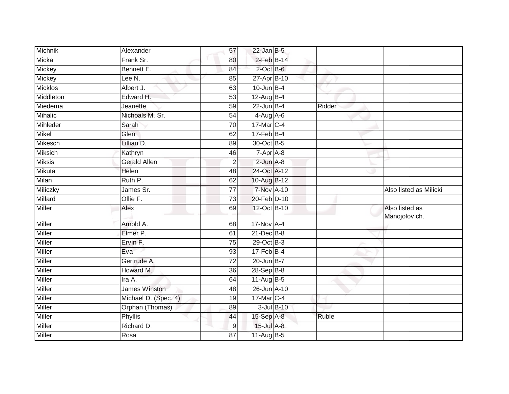| Michnik        | Alexander            | 57               | $22$ -Jan B-5     |            |        |                                 |
|----------------|----------------------|------------------|-------------------|------------|--------|---------------------------------|
| Micka          | Frank Sr.            | 80               | $2$ -Feb $B-14$   |            |        |                                 |
| Mickey         | Bennett E.           | 84               | $2$ -Oct $B$ -6   |            |        |                                 |
| Mickey         | Lee N.               | 85               | 27-Apr B-10       |            |        |                                 |
| <b>Micklos</b> | Albert J.            | 63               | $10$ -Jun B-4     |            |        |                                 |
| Middleton      | Edward H.            | 53               | $12$ -Aug B-4     |            |        |                                 |
| Miedema        | Jeanette             | 59               | $22$ -Jun B-4     |            | Ridder |                                 |
| Mihalic        | Nichoals M. Sr.      | 54               | $4-Aug$ A-6       |            |        |                                 |
| Mihleder       | Sarah                | 70               | 17-Mar C-4        |            |        |                                 |
| Mikel          | Glen                 | 62               | $17$ -Feb $B$ -4  |            |        |                                 |
| Mikesch        | Lillian D.           | 89               | 30-Oct B-5        |            |        |                                 |
| <b>Miksich</b> | Kathryn              | 46               | 7-Apr A-8         |            |        |                                 |
| <b>Miksis</b>  | <b>Gerald Allen</b>  | $\overline{2}$   | $2$ -Jun $A-8$    |            |        |                                 |
| Mikuta         | Helen                | 48               | 24-Oct A-12       |            |        |                                 |
| Milan          | Ruth P.              | 62               | 10-Aug B-12       |            |        |                                 |
| Miliczky       | James Sr.            | 77               | <b>7-Nov A-10</b> |            |        | Also listed as Milicki          |
| Millard        | Ollie F.             | $\overline{73}$  | 20-Feb D-10       |            |        |                                 |
| <b>Miller</b>  | Alex                 | 69               | 12-Oct B-10       |            |        | Also listed as<br>Manojolovich. |
| <b>Miller</b>  | Arnold A.            | 68               | 17-Nov A-4        |            |        |                                 |
| Miller         | Elmer P.             | 61               | $21$ -Dec $B-8$   |            |        |                                 |
| Miller         | Ervin F.             | 75               | 29-Oct B-3        |            |        |                                 |
| <b>Miller</b>  | Eva                  | 93               | $17$ -Feb $B$ -4  |            |        |                                 |
| <b>Miller</b>  | Gertrude A.          | 72               | $20$ -Jun $B-7$   |            |        |                                 |
| Miller         | Howard M.            | 36               | $28-Sep$ B-8      |            |        |                                 |
| Miller         | Ira A.               | 64               | 11-Aug B-5        |            |        |                                 |
| Miller         | <b>James Winston</b> | 48               | 26-Jun A-10       |            |        |                                 |
| Miller         | Michael D. (Spec. 4) | 19               | 17-Mar C-4        |            |        |                                 |
| Miller         | Orphan (Thomas)      | 89               |                   | 3-Jul B-10 |        |                                 |
| Miller         | <b>Phyllis</b>       | 44               | 15-Sep A-8        |            | Ruble  |                                 |
| Miller         | Richard D.           | $\boldsymbol{9}$ | 15-Jul A-8        |            |        |                                 |
| <b>Miller</b>  | Rosa                 | 87               | 11-Aug B-5        |            |        |                                 |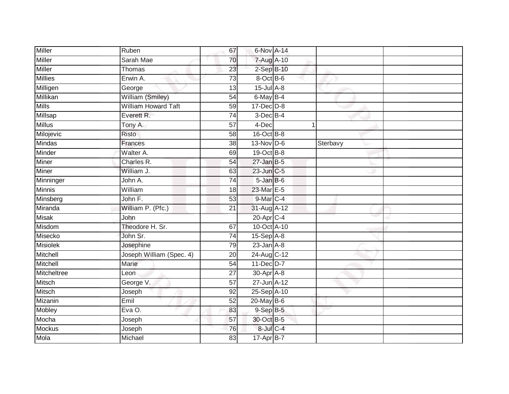| Miller          | Ruben                      | 67              | 6-Nov A-14        |   |          |  |
|-----------------|----------------------------|-----------------|-------------------|---|----------|--|
| Miller          | Sarah Mae                  | 70              | 7-Aug A-10        |   |          |  |
| <b>Miller</b>   | Thomas                     | 23              | $2-SepB-10$       |   |          |  |
| <b>Millies</b>  | Erwin A.                   | $\overline{73}$ | 8-Oct B-6         |   |          |  |
| Milligen        | George                     | $\overline{13}$ | $15$ -Jul $A-8$   |   |          |  |
| Millikan        | William (Smiley)           | 54              | 6-May B-4         |   |          |  |
| <b>Mills</b>    | <b>William Howard Taft</b> | 59              | $17$ -Dec $D-8$   |   |          |  |
| Millsap         | Everett R.                 | 74              | $3$ -Dec $B-4$    |   |          |  |
| <b>Millus</b>   | Tony A.                    | 57              | 4-Dec             | 1 |          |  |
| Milojevic       | Risto                      | $\overline{58}$ | $16$ -Oct B-8     |   |          |  |
| Mindas          | Frances                    | 38              | $13-Nov$ D-6      |   | Sterbavy |  |
| Minder          | Walter A.                  | 69              | $19-Oct$ B-8      |   |          |  |
| Miner           | Charles R.                 | 54              | $27$ -Jan B-5     |   |          |  |
| <b>Miner</b>    | William J.                 | 63              | 23-Jun C-5        |   |          |  |
| Minninger       | John A.                    | 74              | $5 - Jan$ $B - 6$ |   |          |  |
| Minnis          | William                    | 18              | 23-Mar E-5        |   |          |  |
| Minsberg        | John F.                    | $\overline{53}$ | $9$ -Mar $C-4$    |   |          |  |
| Miranda         | William P. (Pfc.)          | 21              | 31-Aug A-12       |   |          |  |
| <b>Misak</b>    | John                       |                 | 20-Apr C-4        |   |          |  |
| Misdom          | Theodore H. Sr.            | 67              | 10-Oct A-10       |   |          |  |
| Misecko         | John Sr.                   | 74              | 15-Sep A-8        |   |          |  |
| <b>Misiolek</b> | Josephine                  | 79              | $23$ -Jan $A-8$   |   |          |  |
| Mitchell        | Joseph William (Spec. 4)   | 20              | 24-Aug C-12       |   |          |  |
| Mitchell        | Marie                      | 54              | 11-Dec D-7        |   |          |  |
| Mitcheltree     | Leon                       | $\overline{27}$ | 30-Apr A-8        |   |          |  |
| Mitsch          | George V.                  | 57              | 27-Jun A-12       |   |          |  |
| <b>Mitsch</b>   | Joseph                     | 92              | 25-Sep A-10       |   |          |  |
| Mizanin         | Emil                       | 52              | 20-May B-6        |   |          |  |
| Mobley          | EvaO.                      | 83              | $9-$ Sep $B-5$    |   |          |  |
| Mocha           | Joseph                     | 57              | 30-Oct B-5        |   |          |  |
| <b>Mockus</b>   | Joseph                     | 76              | 8-Jul C-4         |   |          |  |
| Mola            | Michael                    | 83              | 17-Apr B-7        |   |          |  |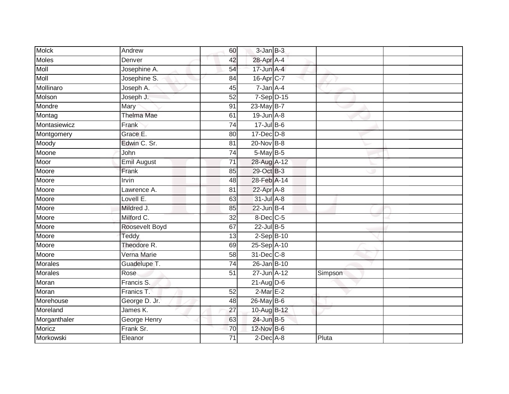| <b>Molck</b>   | Andrew             | 60              | $3$ -Jan $B-3$          |         |  |
|----------------|--------------------|-----------------|-------------------------|---------|--|
| <b>Moles</b>   | Denver             | 42              | 28-Apr A-4              |         |  |
| Moll           | Josephine A.       | 54              | 17-Jun A-4              |         |  |
| Moll           | Josephine S.       | 84              | $16-Apr$ <sub>C-7</sub> |         |  |
| Mollinaro      | Joseph A.          | $\overline{45}$ | $7 - Jan A - 4$         |         |  |
| Molson         | Joseph J.          | 52              | $7-Sep$ $D-15$          |         |  |
| Mondre         | Mary               | 91              | 23-May B-7              |         |  |
| Montag         | <b>Thelma Mae</b>  | 61              | $19$ -Jun $A - 8$       |         |  |
| Montasiewicz   | Frank              | $\overline{74}$ | $17 -$ Jul B-6          |         |  |
| Montgomery     | Grace E.           | 80              | 17-Dec D-8              |         |  |
| Moody          | Edwin C. Sr.       | 81              | 20-Nov B-8              |         |  |
| Moone          | John               | 74              | 5-May B-5               |         |  |
| Moor           | <b>Emil August</b> | $\overline{71}$ | 28-Aug A-12             |         |  |
| Moore          | Frank              | 85              | 29-Oct B-3              |         |  |
| Moore          | <b>Irvin</b>       | 48              | 28-Feb A-14             |         |  |
| Moore          | Lawrence A.        | 81              | 22-Apr A-8              |         |  |
| Moore          | Lovell E.          | 63              | 31-Jul A-8              |         |  |
| Moore          | Mildred J.         | 85              | $22$ -Jun B-4           |         |  |
| Moore          | Milford C.         | 32              | 8-Dec C-5               |         |  |
| Moore          | Roosevelt Boyd     | 67              | $22$ -Jul B-5           |         |  |
| Moore          | Teddy              | 13              | $2-SepB-10$             |         |  |
| Moore          | Theodore R.        | 69              | 25-Sep A-10             |         |  |
| Moore          | Verna Marie        | 58              | 31-Dec C-8              |         |  |
| <b>Morales</b> | Guadelupe T.       | 74              | 26-Jan B-10             |         |  |
| Morales        | Rose               | 51              | 27-Jun A-12             | Simpson |  |
| Moran          | Francis S.         |                 | $21 - Aug$ $D-6$        |         |  |
| Moran          | Franics T.         | 52              | $2$ -Mar $E-2$          |         |  |
| Morehouse      | George D. Jr.      | 48              | $26$ -May B-6           |         |  |
| Moreland       | James K.           | 27              | 10-Aug B-12             |         |  |
| Morganthaler   | George Henry       | 63              | 24-Jun B-5              |         |  |
| Moricz         | Frank Sr.          | 70              | 12-Nov B-6              |         |  |
| Morkowski      | Eleanor            | $\overline{71}$ | $2$ -Dec $A$ -8         | Pluta   |  |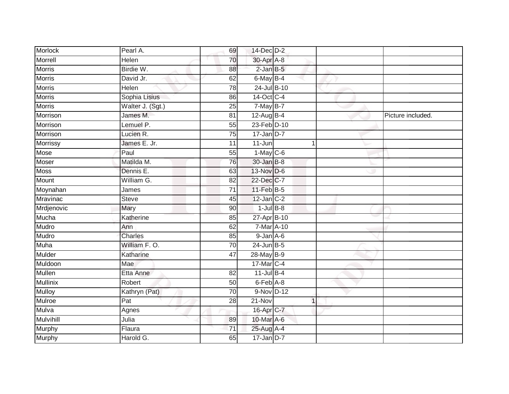| Morlock         | Pearl A.         | 69              | 14-Dec D-2            |              |                   |
|-----------------|------------------|-----------------|-----------------------|--------------|-------------------|
| Morrell         | Helen            | 70              | 30-Apr A-8            |              |                   |
| <b>Morris</b>   | Birdie W.        | 88              | $2$ -Jan $B$ -5       |              |                   |
| <b>Morris</b>   | David Jr.        | 62              | 6-May B-4             |              |                   |
| <b>Morris</b>   | <b>Helen</b>     | $\overline{78}$ | 24-Jul B-10           |              |                   |
| <b>Morris</b>   | Sophia Lisius    | 86              | 14-Oct C-4            |              |                   |
| <b>Morris</b>   | Walter J. (Sgt.) | 25              | $7$ -May B-7          |              |                   |
| Morrison        | James M.         | 81              | 12-Aug B-4            |              | Picture included. |
| Morrison        | Lemuel P.        | 55              | 23-Feb D-10           |              |                   |
| Morrison        | Lucien R.        | $\overline{75}$ | $17$ -Jan D-7         |              |                   |
| Morrissy        | James E. Jr.     | 11              | $11 - Jun$            | 1            |                   |
| Mose            | Paul             | 55              | $1-May$ C-6           |              |                   |
| Moser           | Matilda M.       | 76              | 30-Jan B-8            |              |                   |
| <b>Moss</b>     | Dennis E.        | 63              | 13-Nov D-6            |              |                   |
| Mount           | William G.       | 82              | 22-Dec C-7            |              |                   |
| Moynahan        | James            | 71              | 11-Feb B-5            |              |                   |
| <b>Mravinac</b> | Steve            | 45              | $12$ -Jan $C-2$       |              |                   |
| Mrdjenovic      | Mary             | 90              | $1$ -Jul $B-8$        |              |                   |
| Mucha           | Katherine        | 85              | 27-Apr B-10           |              |                   |
| Mudro           | Ann              | 62              | 7-Mar A-10            |              |                   |
| Mudro           | Charles          | 85              | $9$ -Jan $A$ -6       |              |                   |
| Muha            | William F.O.     | 70              | $24$ -Jun $B-5$       |              |                   |
| Mulder          | Katharine        | 47              | 28-May B-9            |              |                   |
| Muldoon         | Mae              |                 | 17-Mar C-4            |              |                   |
| Mullen          | Etta Anne        | 82              | $11$ -Jul B-4         |              |                   |
| <b>Mullinix</b> | Robert           | 50              | 6-Feb A-8             |              |                   |
| <b>Mulloy</b>   | Kathryn (Pat)    | $\overline{70}$ | 9-Nov D-12            |              |                   |
| Mulroe          | Pat              | 28              | 21-Nov                | $\mathbf{1}$ |                   |
| Mulva           | Agnes            |                 | 16-Apr <sub>C-7</sub> |              |                   |
| Mulvihill       | Julia            | 89              | 10-Mar A-6            |              |                   |
| Murphy          | Flaura           | 71              | 25-Aug A-4            |              |                   |
| <b>Murphy</b>   | Harold G.        | 65              | $17$ -Jan D-7         |              |                   |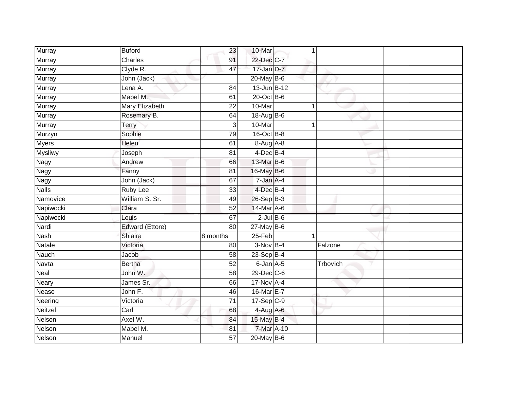| Murray         | <b>Buford</b>   | 23              | 10-Mar           | 1        |  |
|----------------|-----------------|-----------------|------------------|----------|--|
| <b>Murray</b>  | Charles         | 91              | 22-Dec C-7       |          |  |
| <b>Murray</b>  | Clyde R.        | 47              | $17$ -Jan D-7    |          |  |
| Murray         | John (Jack)     |                 | 20-May B-6       |          |  |
| Murray         | Lena A.         | $\overline{84}$ | $13$ -Jun $B-12$ |          |  |
| Murray         | Mabel M.        | 61              | 20-Oct B-6       |          |  |
| Murray         | Mary Elizabeth  | 22              | 10-Mar           | 1        |  |
| Murray         | Rosemary B.     | 64              | 18-Aug B-6       |          |  |
| Murray         | Terry           | 3               | 10-Mar           | 1        |  |
| Murzyn         | Sophie          | 79              | $16$ -Oct B-8    |          |  |
| <b>Myers</b>   | Helen           | 61              | 8-Aug A-8        |          |  |
| <b>Mysliwy</b> | Joseph          | 81              | $4$ -Dec B-4     |          |  |
| Nagy           | Andrew          | 66              | 13-Mar B-6       |          |  |
| Nagy           | Fanny           | 81              | 16-May B-6       |          |  |
| Nagy           | John (Jack)     | 67              | 7-Jan A-4        |          |  |
| <b>Nalls</b>   | Ruby Lee        | 33              | 4-Dec B-4        |          |  |
| Namovice       | William S. Sr.  | 49              | $26-SepB-3$      |          |  |
| Napiwocki      | Clara           | $\overline{52}$ | 14-Mar A-6       |          |  |
| Napiwocki      | Louis           | 67              | $2$ -Jul B-6     |          |  |
| Nardi          | Edward (Ettore) | 80              | $27$ -May B-6    |          |  |
| <b>Nash</b>    | Shiaira         | 8 months        | $25-Feb$         | 1        |  |
| Natale         | Victoria        | 80              | $3-Nov$ B-4      | Falzone  |  |
| Nauch          | Jacob           | 58              | 23-Sep B-4       |          |  |
| Navta          | <b>Bertha</b>   | 52              | $6$ -Jan $A$ -5  | Trbovich |  |
| Neal           | John W.         | $\overline{58}$ | 29-Dec C-6       |          |  |
| Neary          | James Sr.       | 66              | 17-Nov A-4       |          |  |
| Nease          | John F.         | 46              | 16-Mar E-7       |          |  |
| Neering        | Victoria        | 71              | 17-Sep C-9       |          |  |
| Neitzel        | Carl            | 68              | $4-Aug$ A-6      |          |  |
| Nelson         | Axel W.         | 84              | 15-May B-4       |          |  |
| Nelson         | Mabel M.        | 81              | 7-Mar A-10       |          |  |
| Nelson         | Manuel          | 57              | $20$ -May $B-6$  |          |  |
|                |                 |                 |                  |          |  |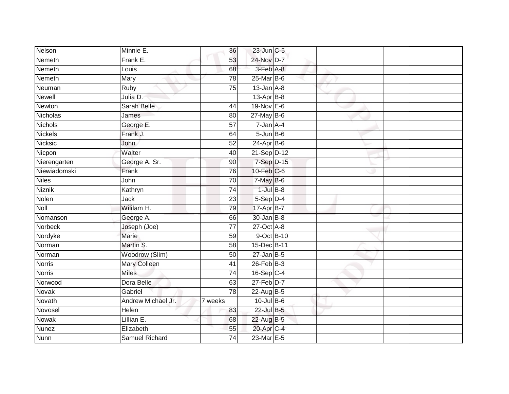| Nelson         | Minnie E.             | 36                   | 23-Jun C-5       |  |  |
|----------------|-----------------------|----------------------|------------------|--|--|
| Nemeth         | Frank E.              | 53                   | 24-Nov D-7       |  |  |
| Nemeth         | Louis                 | 68                   | 3-Feb A-8        |  |  |
| Nemeth         | Mary                  | 78                   | 25-Mar B-6       |  |  |
| Neuman         | <b>Ruby</b>           | $\overline{75}$      | $13$ -Jan $A-8$  |  |  |
| <b>Newell</b>  | Julia D.              |                      | $13$ -Apr $B-8$  |  |  |
| Newton         | Sarah Belle           | 44                   | 19-Nov E-6       |  |  |
| Nicholas       | James                 | 80                   | $27$ -May B-6    |  |  |
| Nichols        | George E.             | 57                   | 7-Jan A-4        |  |  |
| <b>Nickels</b> | Frank J.              | 64                   | $5 - Jun$ B-6    |  |  |
| Nicksic        | John                  | 52                   | $24$ -Apr $B$ -6 |  |  |
| Nicpon         | Walter                | 40                   | 21-Sep D-12      |  |  |
| Nierengarten   | George A. Sr.         | 90                   | 7-Sep D-15       |  |  |
| Niewiadomski   | Frank                 | $\overline{76}$      | $10$ -Feb $C$ -6 |  |  |
| <b>Niles</b>   | John                  | $\overline{70}$      | 7-May B-6        |  |  |
| Niznik         | Kathryn               | 74                   | $1$ -Jul $B-8$   |  |  |
| Nolen          | Jack                  | 23                   | 5-Sep D-4        |  |  |
| <b>Noll</b>    | Wililam H.            | 79                   | 17-Apr B-7       |  |  |
| Nomanson       | George A.             | 66                   | 30-Jan B-8       |  |  |
| Norbeck        | Joseph (Joe)          | $\overline{77}$      | 27-Oct A-8       |  |  |
| Nordyke        | <b>Marie</b>          | 59                   | 9-Oct B-10       |  |  |
| Norman         | Martin S.             | $\overline{58}$      | 15-Dec B-11      |  |  |
| Norman         | Woodrow (Slim)        | 50                   | $27$ -Jan B-5    |  |  |
| <b>Norris</b>  | Mary Colleen          | 41                   | $26$ -Feb $B-3$  |  |  |
| <b>Norris</b>  | <b>Miles</b>          | 74                   | 16-Sep C-4       |  |  |
| Norwood        | Dora Belle            | 63                   | $27$ -Feb $D-7$  |  |  |
| <b>Novak</b>   | Gabriel               | $\overline{78}$      | 22-Aug B-5       |  |  |
| Novath         | Andrew Michael Jr.    | $\overline{7}$ weeks | 10-Jul B-6       |  |  |
| Novosel        | Helen                 | 83                   | 22-Jul B-5       |  |  |
| <b>Nowak</b>   | Lillian E.            | 68                   | 22-Aug B-5       |  |  |
| <b>Nunez</b>   | Elizabeth             | 55                   | 20-Apr C-4       |  |  |
| <b>Nunn</b>    | <b>Samuel Richard</b> | 74                   | 23-Mar E-5       |  |  |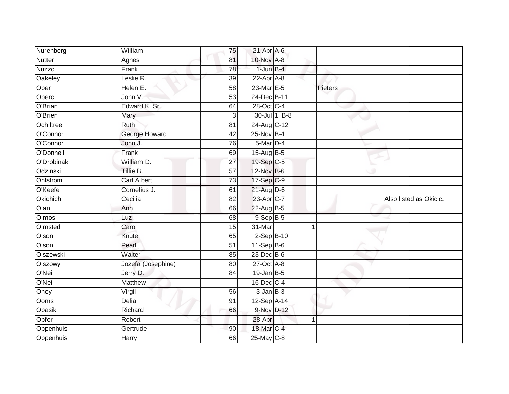| Nurenberg     | William            | 75              | $21-Apr$ A-6          |               |         |                        |
|---------------|--------------------|-----------------|-----------------------|---------------|---------|------------------------|
| <b>Nutter</b> | Agnes              | 81              | 10-Nov A-8            |               |         |                        |
| <b>Nuzzo</b>  | Frank              | 78              | $1$ -Jun $B-4$        |               |         |                        |
| Oakeley       | Leslie R.          | 39              | 22-Apr A-8            |               |         |                        |
| Ober          | Helen E.           | $\overline{58}$ | 23-Mar E-5            |               | Pieters |                        |
| Oberc         | John V.            | 53              | 24-Dec B-11           |               |         |                        |
| O'Brian       | Edward K. Sr.      | 64              | 28-Oct C-4            |               |         |                        |
| O'Brien       | Mary               | $\overline{3}$  |                       | 30-Jul 1, B-8 |         |                        |
| Ochiltree     | Ruth               | 81              | 24-Aug C-12           |               |         |                        |
| O'Connor      | George Howard      | 42              | 25-Nov B-4            |               |         |                        |
| O'Connor      | John J.            | 76              | 5-Mar D-4             |               |         |                        |
| O'Donnell     | Frank              | 69              | 15-Aug B-5            |               |         |                        |
| O'Drobinak    | William D.         | 27              | 19-Sep C-5            |               |         |                        |
| Odzinski      | Tillie B.          | 57              | 12-Nov B-6            |               |         |                        |
| Ohlstrom      | <b>Carl Albert</b> | 73              | 17-Sep C-9            |               |         |                        |
| O'Keefe       | Cornelius J.       | 61              | $21$ -Aug D-6         |               |         |                        |
| Okichich      | Cecilia            | $\overline{82}$ | 23-Apr <sub>C-7</sub> |               |         | Also listed as Okicic. |
| Olan          | Ann                | 66              | $22$ -Aug B-5         |               |         |                        |
| Olmos         | Luz                | 68              | $9-Sep B-5$           |               |         |                        |
| Olmsted       | Carol              | 15              | 31-Mar                |               | 1       |                        |
| Olson         | Knute              | 65              | $2-SepB-10$           |               |         |                        |
| Olson         | Pearl              | $\overline{51}$ | $11-SepB-6$           |               |         |                        |
| Olszewski     | Walter             | 85              | 23-Dec B-6            |               |         |                        |
| Olszowy       | Jozefa (Josephine) | 80              | 27-Oct A-8            |               |         |                        |
| O'Neil        | Jerry D.           | 84              | $19$ -Jan $B-5$       |               |         |                        |
| O'Neil        | <b>Matthew</b>     |                 | $16$ -Dec $C-4$       |               |         |                        |
| Oney          | Virgil             | 56              | $3$ -Jan $B-3$        |               |         |                        |
| Ooms          | <b>Delia</b>       | 91              | 12-Sep A-14           |               |         |                        |
| Opasik        | Richard            | 66              | 9-Nov D-12            |               |         |                        |
| Opfer         | Robert             |                 | 28-Apr                |               | 1       |                        |
| Oppenhuis     | Gertrude           | 90              | 18-Mar C-4            |               |         |                        |
| Oppenhuis     | Harry              | 66              | $25$ -May C-8         |               |         |                        |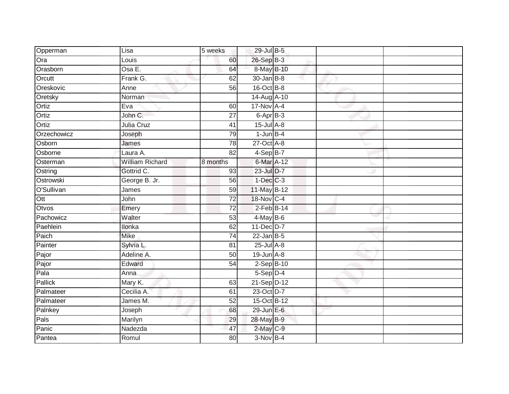| Opperman       | Lisa                   | 5 weeks         | 29-Jul B-5        |  |  |
|----------------|------------------------|-----------------|-------------------|--|--|
| Ora            | Louis                  | 60              | 26-Sep B-3        |  |  |
| Orasborn       | Osa E.                 | 64              | 8-May B-10        |  |  |
| Orcutt         | Frank G.               | 62              | $30 - Jan$ $B-8$  |  |  |
| Oreskovic      | Anne                   | 56              | 16-Oct B-8        |  |  |
| Oretsky        | Norman                 |                 | 14-Aug A-10       |  |  |
| Ortiz          | Eva                    | 60              | 17-Nov A-4        |  |  |
| Ortiz          | John C.                | 27              | 6-Apr B-3         |  |  |
| Ortiz          | Julia Cruz             | 41              | $15$ -Jul $A-8$   |  |  |
| Orzechowicz    | Joseph                 | 79              | $1$ -Jun $B-4$    |  |  |
| Osborn         | James                  | 78              | $27$ -Oct $A-8$   |  |  |
| Osborne        | Laura A.               | 82              | 4-Sep B-7         |  |  |
| Osterman       | <b>William Richard</b> | 8 months        | 6-Mar A-12        |  |  |
| Ostring        | Gottrid C.             | 93              | 23-Jul D-7        |  |  |
| Ostrowski      | George B. Jr.          | 56              | $1-Dec$ $C-3$     |  |  |
| O'Sullivan     | James                  | 59              | 11-May B-12       |  |  |
| Ott            | John                   | $\overline{72}$ | 18-Nov C-4        |  |  |
| Otvos          | Emery                  | $\overline{72}$ | $2$ -Feb $B-14$   |  |  |
| Pachowicz      | Walter                 | 53              | $4$ -May B-6      |  |  |
| Paehlein       | <b>Ilonka</b>          | 62              | 11-Dec D-7        |  |  |
| Paich          | <b>Mike</b>            | 74              | $22$ -Jan B-5     |  |  |
| Painter        | Sylvia L.              | 81              | 25-Jul A-8        |  |  |
| Pajor          | Adeline A.             | 50              | $19$ -Jun $A-8$   |  |  |
| Pajor          | Edward                 | 54              | $2-Sep$ B-10      |  |  |
| Pala           | Anna                   |                 | 5-Sep D-4         |  |  |
| <b>Pallick</b> | Mary K.                | 63              | 21-Sep D-12       |  |  |
| Palmateer      | Cecilia A.             | 61              | 23-Oct D-7        |  |  |
| Palmateer      | James M.               | 52              | 15-Oct B-12       |  |  |
| Palnkey        | Joseph                 | 68              | $29$ -Jun $E - 6$ |  |  |
| Pals           | Marilyn                | 29              | 28-May B-9        |  |  |
| Panic          | Nadezda                | 47              | 2-May C-9         |  |  |
| Pantea         | Romul                  | $\overline{80}$ | $3-Nov$ B-4       |  |  |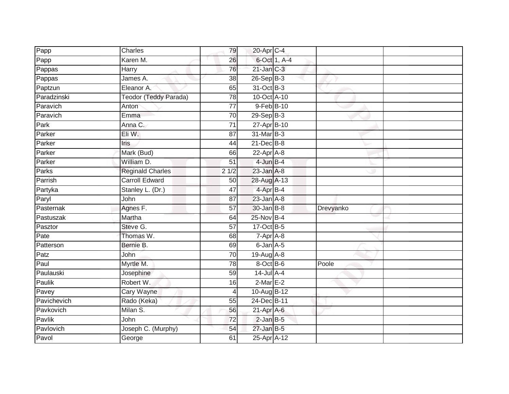| Papp        | Charles                 | 79                | 20-Apr C-4                  |              |           |
|-------------|-------------------------|-------------------|-----------------------------|--------------|-----------|
| Papp        | Karen M.                | 26                |                             | 6-Oct 1, A-4 |           |
| Pappas      | Harry                   | 76                | $21$ -Jan $C-3$             |              |           |
| Pappas      | James A.                | 38                | 26-Sep B-3                  |              |           |
| Paptzun     | Eleanor A.              | 65                | 31-Oct B-3                  |              |           |
| Paradzinski | Teodor (Teddy Parada)   | 78                | 10-Oct A-10                 |              |           |
| Paravich    | Anton                   | $\overline{77}$   | 9-Feb B-10                  |              |           |
| Paravich    | Emma                    | 70                | $29-Sep$ B-3                |              |           |
| Park        | Anna C.                 | 71                | 27-Apr B-10                 |              |           |
| Parker      | Eli W.                  | 87                | 31-Mar B-3                  |              |           |
| Parker      | <b>Iris</b>             | 44                | $21$ -Dec $B-8$             |              |           |
| Parker      | Mark (Bud)              | 66                | 22-Apr A-8                  |              |           |
| Parker      | William D.              | 51                | $4$ -Jun $B-4$              |              |           |
| Parks       | <b>Reginald Charles</b> | $\frac{1}{2}$ 1/2 | $23$ -Jan $A-8$             |              |           |
| Parrish     | <b>Carroll Edward</b>   | 50                | 28-Aug A-13                 |              |           |
| Partyka     | Stanley L. (Dr.)        | 47                | 4-Apr B-4                   |              |           |
| Paryl       | John                    | 87                | $23$ -Jan $\overline{A}$ -8 |              |           |
| Pasternak   | Agnes F.                | 57                | $30 - Jan$ $B-8$            |              | Drevyanko |
| Pastuszak   | Martha                  | 64                | 25-Nov B-4                  |              |           |
| Pasztor     | Steve G.                | $\overline{57}$   | 17-Oct B-5                  |              |           |
| Pate        | Thomas W.               | 68                | $7 - Apr$ $A-8$             |              |           |
| Patterson   | Bernie B.               | 69                | $6$ -Jan $A$ -5             |              |           |
| Patz        | John                    | 70                | $19$ -Aug $A$ -8            |              |           |
| Paul        | Myrtle M.               | $\overline{78}$   | 8-Oct B-6                   |              | Poole     |
| Paulauski   | Josephine               | 59                | $14$ -Jul A-4               |              |           |
| Paulik      | Robert W.               | 16                | $2$ -Mar $E-2$              |              |           |
| Pavey       | <b>Cary Wayne</b>       | 4                 | 10-Aug B-12                 |              |           |
| Pavichevich | Rado (Keka)             | 55                | 24-Dec B-11                 |              |           |
| Pavkovich   | Milan S.                | 56                | 21-Apr A-6                  |              |           |
| Pavlik      | John                    | $\overline{72}$   | $2$ -Jan $B$ -5             |              |           |
| Pavlovich   | Joseph C. (Murphy)      | 54                | $27$ -Jan B-5               |              |           |
| Pavol       | George                  | 61                | 25-Apr A-12                 |              |           |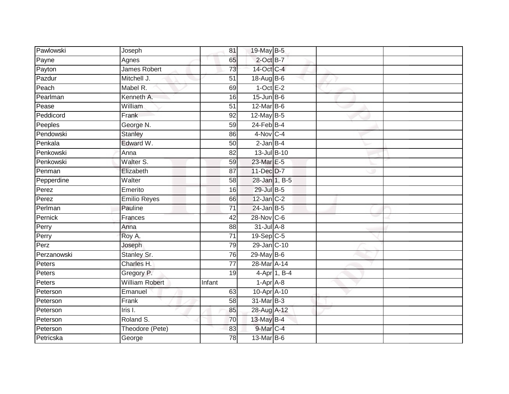| Pawlowski   | Joseph                | 81              | 19-May B-5       |              |  |
|-------------|-----------------------|-----------------|------------------|--------------|--|
| Payne       | Agnes                 | 65              | $2$ -Oct $B-7$   |              |  |
| Payton      | James Robert          | 73              | 14-Oct C-4       |              |  |
| Pazdur      | Mitchell J.           | 51              | 18-Aug B-6       |              |  |
| Peach       | Mabel R.              | 69              | $1-OctE-2$       |              |  |
| Pearlman    | Kenneth A.            | 16              | $15$ -Jun $B$ -6 |              |  |
| Pease       | William               | $\overline{51}$ | 12-Mar B-6       |              |  |
| Peddicord   | Frank                 | 92              | $12$ -May B-5    |              |  |
| Peeples     | George N.             | 59              | $24$ -Feb $B-4$  |              |  |
| Pendowski   | <b>Stanley</b>        | 86              | 4-Nov C-4        |              |  |
| Penkala     | Edward W.             | 50              | $2$ -Jan $B-4$   |              |  |
| Penkowski   | Anna                  | 82              | 13-Jul B-10      |              |  |
| Penkowski   | Walter S.             | 59              | 23-Mar E-5       |              |  |
| Penman      | Elizabeth             | 87              | 11-Dec D-7       |              |  |
| Pepperdine  | Walter                | 58              | 28-Jan 1, B-5    |              |  |
| Perez       | Emerito               | 16              | 29-Jul B-5       |              |  |
| Perez       | <b>Emilio Reyes</b>   | 66              | $12$ -Jan $C-2$  |              |  |
| Perlman     | Pauline               | $\overline{71}$ | $24$ -Jan B-5    |              |  |
| Pernick     | Frances               | 42              | 28-Nov C-6       |              |  |
| Perry       | Anna                  | 88              | $31$ -Jul $A-8$  |              |  |
| Perry       | Roy A.                | $\overline{71}$ | 19-Sep C-5       |              |  |
| Perz        | Joseph                | 79              | 29-Jan C-10      |              |  |
| Perzanowski | Stanley Sr.           | 76              | 29-May B-6       |              |  |
| Peters      | Charles H.            | 77              | 28-Mar A-14      |              |  |
| Peters      | Gregory P.            | 19              |                  | 4-Apr 1, B-4 |  |
| Peters      | <b>William Robert</b> | Infant          | $1-AprA-8$       |              |  |
| Peterson    | Emanuel               | 63              | 10-Apr A-10      |              |  |
| Peterson    | Frank                 | 58              | 31-Mar B-3       |              |  |
| Peterson    | $l$ ris I.            | 85              | 28-Aug A-12      |              |  |
| Peterson    | Roland S.             | 70              | 13-May B-4       |              |  |
| Peterson    | Theodore (Pete)       | 83              | 9-Mar C-4        |              |  |
| Petricska   | George                | $\overline{78}$ | 13-Mar B-6       |              |  |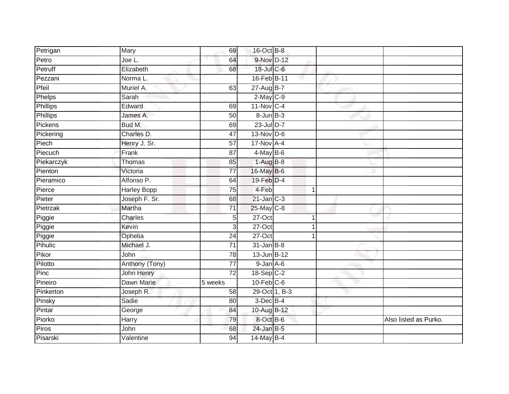| Petrigan        | Mary               | 69              | 16-Oct B-8              |   |                       |
|-----------------|--------------------|-----------------|-------------------------|---|-----------------------|
| Petro           | Joe L.             | 64              | 9-Nov D-12              |   |                       |
| Petruff         | Elizabeth          | 68              | 18-Jul C-6              |   |                       |
| Pezzani         | Norma L.           |                 | 16-Feb B-11             |   |                       |
| Pfeil           | Muriel A.          | 63              | 27-Aug B-7              |   |                       |
| Phelps          | Sarah              |                 | $2$ -May $C-9$          |   |                       |
| <b>Phillips</b> | Edward             | 69              | $11-Nov$ <sub>C-4</sub> |   |                       |
| Phillips        | James A.           | 50              | $8 - Jun$ $B-3$         |   |                       |
| Pickens         | Bud M.             | 69              | 23-Jul D-7              |   |                       |
| Pickering       | Charles D.         | 47              | $13-Nov$ D-6            |   |                       |
| Piech           | Henry J. Sr.       | 57              | $17-Nov$ A-4            |   |                       |
| Piecuch         | Frank              | $\overline{87}$ | $4$ -May B-6            |   |                       |
| Piekarczyk      | Thomas             | 85              | $1-AugB-8$              |   |                       |
| Pienton         | Victoria           | 77              | 16-May B-6              |   |                       |
| Pieramico       | Alfonso P.         | 64              | 19-Feb D-4              |   |                       |
| Pierce          | <b>Harley Bopp</b> | 75              | 4-Feb                   | 1 |                       |
| Pieter          | Joseph F. Sr.      | 68              | $21$ -Jan $C-3$         |   |                       |
| Pietrzak        | Martha             | $\overline{71}$ | 25-May C-8              |   |                       |
| Piggie          | Charles            | 5               | 27-Oct                  |   |                       |
| Piggie          | Kevin              | 3               | $27$ -Oct               |   |                       |
| Piggie          | Ophelia            | 24              | 27-Oct                  | 1 |                       |
| Pihulic         | Michael J.         | $\overline{71}$ | $31$ -Jan B-8           |   |                       |
| Pikor           | John               | 78              | 13-Jun B-12             |   |                       |
| Pilotto         | Anthony (Tony)     | $\overline{77}$ | $9 - Jan A - 6$         |   |                       |
| Pinc            | John Henry         | $\overline{72}$ | 18-Sep C-2              |   |                       |
| Pineiro         | Dawn Marie         | 5 weeks         | $10$ -Feb $C$ -6        |   |                       |
| Pinkerton       | Joseph R.          | 58              | 29-Oct 1, B-3           |   |                       |
| Pinsky          | Sadie              | 80              | $3$ -Dec $B$ -4         |   |                       |
| Pintar          | George             | 84              | 10-Aug B-12             |   |                       |
| Piorko          | Harry              | 79              | 8-Oct B-6               |   | Also listed as Purko. |
| Piros           | John               | 68              | 24-Jan B-5              |   |                       |
| Pisarski        | Valentine          | 94              | 14-May B-4              |   |                       |
|                 |                    |                 |                         |   |                       |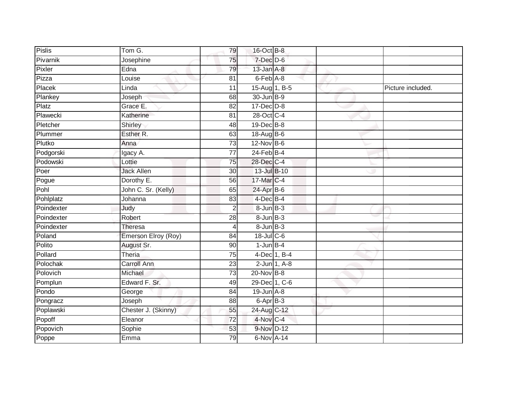| Pislis     | Tom G.              | 79              | 16-Oct B-8        |                 |                   |
|------------|---------------------|-----------------|-------------------|-----------------|-------------------|
| Pivarnik   | Josephine           | 75              | $7$ -Dec $D$ -6   |                 |                   |
| Pixler     | Edna                | 79              | 13-Jan A-8        |                 |                   |
| Pizza      | Louise              | 81              | 6-Feb A-8         |                 |                   |
| Placek     | Linda               | $\overline{11}$ | 15-Aug 1, B-5     |                 | Picture included. |
| Plankey    | Joseph              | 68              | 30-Jun B-9        |                 |                   |
| Platz      | Grace E.            | 82              | $17 - Dec$ $D-8$  |                 |                   |
| Plawecki   | Katherine           | 81              | 28-Oct C-4        |                 |                   |
| Pletcher   | Shirley             | 48              | $19$ -Dec $B$ -8  |                 |                   |
| Plummer    | Esther R.           | 63              | 18-Aug B-6        |                 |                   |
| Plutko     | Anna                | 73              | 12-Nov B-6        |                 |                   |
| Podgorski  | Igacy A.            | 77              | $24$ -Feb $B-4$   |                 |                   |
| Podowski   | Lottie              | 75              | 28-Dec C-4        |                 |                   |
| Poer       | <b>Jack Allen</b>   | 30              | 13-Jul B-10       |                 |                   |
| Pogue      | Dorothy E.          | 56              | 17-Mar C-4        |                 |                   |
| Pohl       | John C. Sr. (Kelly) | 65              | 24-Apr B-6        |                 |                   |
| Pohlplatz  | Johanna             | 83              | $4$ -Dec B-4      |                 |                   |
| Poindexter | Judy                | $\overline{2}$  | 8-Jun B-3         |                 |                   |
| Poindexter | Robert              | 28              | 8-Jun B-3         |                 |                   |
| Poindexter | Theresa             | $\overline{4}$  | $8 - Jun$ $B-3$   |                 |                   |
| Poland     | Emerson Elroy (Roy) | 84              | 18-Jul C-6        |                 |                   |
| Polito     | August Sr.          | 90              | $1$ -Jun $B-4$    |                 |                   |
| Pollard    | Theria              | 75              |                   | 4-Dec 1, B-4    |                   |
| Polochak   | <b>Carroll Ann</b>  | 23              |                   | $2$ -Jun 1, A-8 |                   |
| Polovich   | Michael             | $\overline{73}$ | 20-Nov B-8        |                 |                   |
| Pomplun    | Edward F. Sr.       | 49              | 29-Dec 1, C-6     |                 |                   |
| Pondo      | George              | 84              | $19$ -Jun $A - 8$ |                 |                   |
| Pongracz   | Joseph              | 88              | 6-Apr B-3         |                 |                   |
| Poplawski  | Chester J. (Skinny) | 55              | 24-Aug C-12       |                 |                   |
| Popoff     | Eleanor             | 72              | 4-Nov C-4         |                 |                   |
| Popovich   | Sophie              | 53              | 9-Nov D-12        |                 |                   |
| Poppe      | Emma                | 79              | 6-Nov A-14        |                 |                   |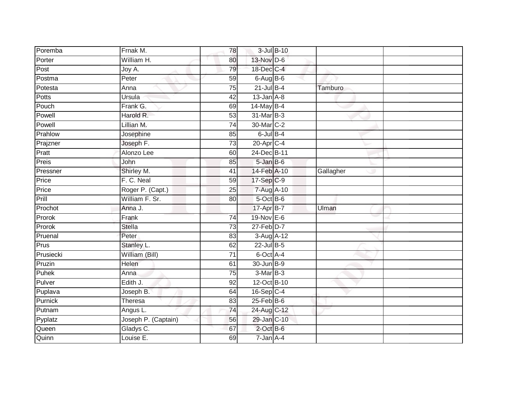| Poremba   | Frnak M.            | 78              | 3-Jul B-10        |           |  |
|-----------|---------------------|-----------------|-------------------|-----------|--|
| Porter    | William H.          | 80              | 13-Nov D-6        |           |  |
| Post      | Joy A.              | 79              | 18-Dec C-4        |           |  |
| Postma    | $P$ eter            | 59              | $6$ -Aug $B$ -6   |           |  |
| Potesta   | Anna                | $\overline{75}$ | $21$ -Jul $B-4$   | Tamburo   |  |
| Potts     | Ursula              | 42              | $13$ -Jan $A-8$   |           |  |
| Pouch     | Frank G.            | 69              | 14-May B-4        |           |  |
| Powell    | Harold R.           | 53              | 31-Mar B-3        |           |  |
| Powell    | Lillian M.          | 74              | 30-Mar C-2        |           |  |
| Prahlow   | Josephine           | 85              | $6$ -Jul $B-4$    |           |  |
| Prajzner  | Joseph F.           | 73              | 20-Apr C-4        |           |  |
| Pratt     | Alonzo Lee          | 60              | 24-Dec B-11       |           |  |
| Preis     | John                | 85              | $5 - Jan$ $B - 6$ |           |  |
| Pressner  | Shirley M.          | 41              | 14-Feb A-10       | Gallagher |  |
| Price     | F. C. Neal          | 59              | 17-Sep C-9        |           |  |
| Price     | Roger P. (Capt.)    | 25              | 7-Aug A-10        |           |  |
| Prill     | William F. Sr.      | 80              | $5$ -Oct $B$ -6   |           |  |
| Prochot   | Anna J.             |                 | 17-Apr B-7        | Ulman     |  |
| Prorok    | Frank               | $\overline{74}$ | 19-Nov E-6        |           |  |
| Prorok    | <b>Stella</b>       | $\overline{73}$ | $27$ -Feb $D-7$   |           |  |
| Pruenal   | Peter               | 83              | 3-Aug A-12        |           |  |
| Prus      | Stanley L.          | 62              | $22$ -Jul B-5     |           |  |
| Prusiecki | William (Bill)      | 71              | 6-Oct A-4         |           |  |
| Pruzin    | Helen               | 61              | 30-Jun B-9        |           |  |
| Puhek     | Anna                | 75              | $3-Mar$ B-3       |           |  |
| Pulver    | Edith J.            | 92              | 12-Oct B-10       |           |  |
| Puplava   | Joseph B.           | 64              | 16-Sep C-4        |           |  |
| Purnick   | Theresa             | 83              | $25$ -Feb $B$ -6  |           |  |
| Putnam    | Angus L.            | 74              | 24-Aug C-12       |           |  |
| Pyplatz   | Joseph P. (Captain) | 56              | 29-Jan C-10       |           |  |
| Queen     | Gladys C.           | 67              | $2$ -Oct B-6      |           |  |
| Quinn     | Louise E.           | 69              | $7 - Jan A - 4$   |           |  |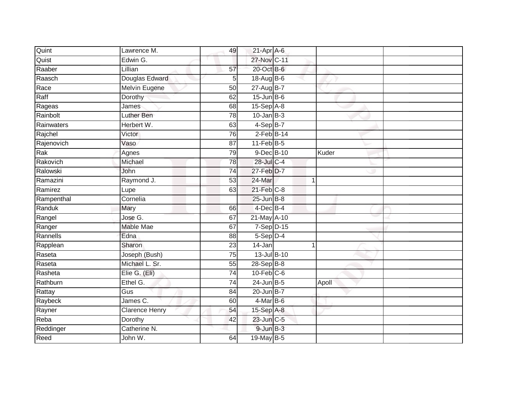| Quint      | Lawrence M.           | 49              | $21-Apr$ A-6     |       |  |
|------------|-----------------------|-----------------|------------------|-------|--|
| Quist      | Edwin G.              |                 | 27-Nov C-11      |       |  |
| Raaber     | Lillian               | 57              | 20-Oct B-6       |       |  |
| Raasch     | Douglas Edward        | 5 <sup>1</sup>  | 18-Aug B-6       |       |  |
| Race       | <b>Melvin Eugene</b>  | 50              | 27-Aug B-7       |       |  |
| Raff       | Dorothy               | 62              | $15$ -Jun $B$ -6 |       |  |
| Rageas     | James                 | 68              | 15-Sep A-8       |       |  |
| Rainbolt   | Luther Ben            | 78              | $10$ -Jan B-3    |       |  |
| Rainwaters | Herbert W.            | 63              | $4-SepB-7$       |       |  |
| Rajchel    | Victor                | 76              | $2$ -Feb $B-14$  |       |  |
| Rajenovich | Vaso                  | 87              | $11$ -Feb $B$ -5 |       |  |
| Rak        | Agnes                 | 79              | 9-Dec B-10       | Kuder |  |
| Rakovich   | Michael               | 78              | 28-Jul C-4       |       |  |
| Ralowski   | John                  | 74              | 27-Feb D-7       |       |  |
| Ramazini   | Raymond J.            | $\overline{53}$ | 24-Mar           | 1     |  |
| Ramirez    | Lupe                  | 63              | $21$ -Feb $C-8$  |       |  |
| Rampenthal | Cornelia              |                 | $25$ -Jun $B-8$  |       |  |
| Randuk     | Mary                  | 66              | $4$ -Dec B-4     |       |  |
| Rangel     | Jose G.               | 67              | 21-May A-10      |       |  |
| Ranger     | <b>Mable Mae</b>      | 67              | $7-Sep$ D-15     |       |  |
| Rannells   | Edna                  | 88              | 5-Sep D-4        |       |  |
| Rapplean   | Sharon                | 23              | $14 - Jan$       |       |  |
| Raseta     | Joseph (Bush)         | 75              | $13$ -Jul B-10   |       |  |
| Raseta     | Michael L. Sr.        | 55              | 28-Sep B-8       |       |  |
| Rasheta    | Elie G. (Eli)         | 74              | $10$ -Feb $C$ -6 |       |  |
| Rathburn   | Ethel G.              | $\overline{74}$ | $24$ -Jun B-5    | Apoll |  |
| Rattay     | Gus                   | $\overline{84}$ | 20-Jun B-7       |       |  |
| Raybeck    | James C.              | 60              | $4$ -Mar B-6     |       |  |
| Rayner     | <b>Clarence Henry</b> | 54              | 15-Sep A-8       |       |  |
| Reba       | Dorothy               | 42              | 23-Jun C-5       |       |  |
| Reddinger  | Catherine N.          |                 | $9$ -Jun $B-3$   |       |  |
| Reed       | John W.               | 64              | 19-May B-5       |       |  |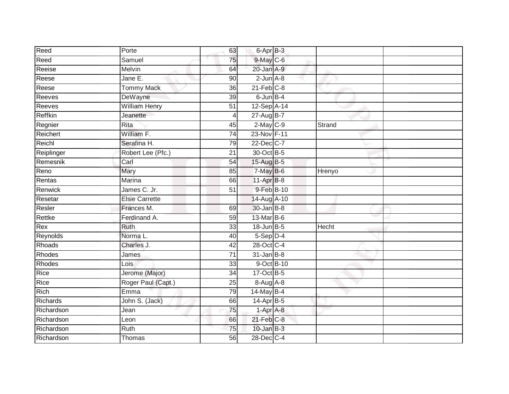| Reed       | Porte                 | 63              | $6 -$ Apr $B - 3$ |              |  |
|------------|-----------------------|-----------------|-------------------|--------------|--|
| Reed       | Samuel                | 75              | 9-May C-6         |              |  |
| Reeise     | Melvin                | 64              | 20-Jan A-9        |              |  |
| Reese      | Jane E.               | 90              | $2$ -Jun $A-8$    |              |  |
| Reese      | <b>Tommy Mack</b>     | $\overline{36}$ | $21$ -Feb $C-8$   |              |  |
| Reeves     | DeWayne               | 39              | $6$ -Jun $B-4$    |              |  |
| Reeves     | <b>William Henry</b>  | $\overline{51}$ | 12-Sep A-14       |              |  |
| Reffkin    | Jeanette              | 4               | 27-Aug B-7        |              |  |
| Regnier    | Rita                  | 45              | $2-May$ $C-9$     | Strand       |  |
| Reichert   | William F.            | 74              | 23-Nov F-11       |              |  |
| Reichl     | Serafina H.           | 79              | 22-Dec C-7        |              |  |
| Reiplinger | Robert Lee (Pfc.)     | 21              | 30-Oct B-5        |              |  |
| Remesnik   | Carl                  | 54              | 15-Aug B-5        |              |  |
| Reno       | Mary                  | 85              | $7$ -May $B$ -6   | Hrenyo       |  |
| Rentas     | Marina                | 66              | $11-AprB-8$       |              |  |
| Renwick    | James C. Jr.          | 51              | 9-Feb B-10        |              |  |
| Resetar    | <b>Elsie Carrette</b> |                 | 14-Aug A-10       |              |  |
| Resler     | Frances M.            | 69              | $30 - Jan$ $B-8$  |              |  |
| Rettke     | Ferdinand A.          | 59              | 13-Mar B-6        |              |  |
| Rex        | <b>Ruth</b>           | $\overline{33}$ | 18-Jun B-5        | <b>Hecht</b> |  |
| Reynolds   | Norma L.              | 40              | $5-Sep$ D-4       |              |  |
| Rhoads     | Charles J.            | 42              | 28-Oct C-4        |              |  |
| Rhodes     | James                 | 71              | $31$ -Jan B-8     |              |  |
| Rhodes     | Lois                  | 33              | 9-Oct B-10        |              |  |
| Rice       | Jerome (Major)        | 34              | 17-Oct B-5        |              |  |
| Rice       | Roger Paul (Capt.)    | 25              | 8-Aug A-8         |              |  |
| Rich       | Emma                  | 79              | 14-May B-4        |              |  |
| Richards   | John S. (Jack)        | 66              | 14-Apr B-5        |              |  |
| Richardson | Jean                  | 75              | 1-Apr A-8         |              |  |
| Richardson | Leon                  | 66              | $21$ -Feb $C-8$   |              |  |
| Richardson | Ruth                  | $\overline{75}$ | $10$ -Jan B-3     |              |  |
| Richardson | Thomas                | 56              | 28-Dec C-4        |              |  |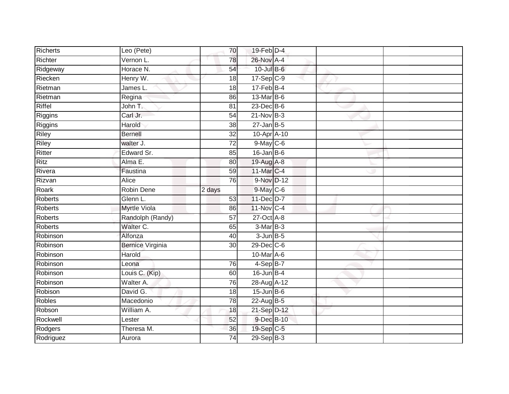| <b>Richerts</b> | Leo (Pete)              | 70              | $19$ -Feb $D-4$  |  |
|-----------------|-------------------------|-----------------|------------------|--|
| Richter         | Vernon L.               | 78              | 26-Nov A-4       |  |
| Ridgeway        | Horace N.               | 54              | 10-Jul B-6       |  |
| Riecken         | Henry W.                | 18              | $17-Sep$ $C-9$   |  |
| Rietman         | James L.                | $\overline{18}$ | $17$ -Feb $B$ -4 |  |
| Rietman         | Regina                  | 86              | 13-Mar B-6       |  |
| Riffel          | John T.                 | 81              | $23$ -Dec $B$ -6 |  |
| Riggins         | Carl Jr.                | 54              | $21$ -Nov $B-3$  |  |
| Riggins         | Harold                  | 38              | $27$ -Jan B-5    |  |
| <b>Riley</b>    | <b>Bernell</b>          | $\overline{32}$ | 10-Apr A-10      |  |
| Riley           | walter J.               | 72              | $9$ -May C-6     |  |
| Ritter          | Edward Sr.              | 85              | $16$ -Jan B-6    |  |
| Ritz            | Alma E.                 | 80              | 19-Aug A-8       |  |
| Rivera          | Faustina                | 59              | 11-Mar C-4       |  |
| Rizvan          | Alice                   | 76              | 9-Nov D-12       |  |
| Roark           | Robin Dene              | 2 days          | $9$ -May $C$ -6  |  |
| Roberts         | Glenn L.                | 53              | 11-Dec D-7       |  |
| <b>Roberts</b>  | <b>Myrtle Viola</b>     | 86              | 11-Nov C-4       |  |
| Roberts         | Randolph (Randy)        | 57              | 27-Oct A-8       |  |
| <b>Roberts</b>  | Walter C.               | 65              | $3-MarB-3$       |  |
| Robinson        | Alfonza                 | 40              | $3$ -Jun $B$ -5  |  |
| Robinson        | <b>Bernice Virginia</b> | $\overline{30}$ | $29$ -Dec $C$ -6 |  |
| Robinson        | Harold                  |                 | 10-Mar A-6       |  |
| Robinson        | Leona                   | 76              | $4-SepB-7$       |  |
| Robinson        | Louis C. (Kip)          | 60              | $16$ -Jun B-4    |  |
| Robinson        | Walter A.               | 76              | 28-Aug A-12      |  |
| Robison         | David G.                | 18              | $15$ -Jun B-6    |  |
| Robles          | Macedonio               | 78              | 22-Aug B-5       |  |
| Robson          | William A.              | 18              | 21-Sep D-12      |  |
| Rockwell        | Lester                  | 52              | 9-Dec B-10       |  |
| Rodgers         | Theresa M.              | 36              | 19-Sep C-5       |  |
| Rodriguez       | Aurora                  | $\overline{74}$ | 29-Sep B-3       |  |
|                 |                         |                 |                  |  |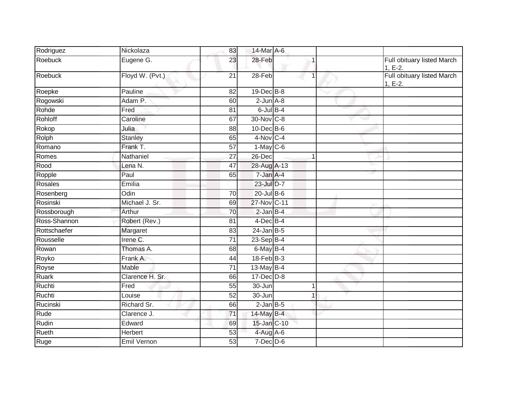| Rodriguez    | Nickolaza       | 83              | 14-Mar A-6       |              |                                         |
|--------------|-----------------|-----------------|------------------|--------------|-----------------------------------------|
| Roebuck      | Eugene G.       | 23              | $28 - Feb$       |              | Full obituary listed March<br>$1, E-2.$ |
| Roebuck      | Floyd W. (Pvt.) | $\overline{21}$ | $28-Feb$         |              | Full obituary listed March<br>$1, E-2.$ |
| Roepke       | Pauline         | 82              | 19-Dec B-8       |              |                                         |
| Rogowski     | Adam P.         | 60              | $2$ -Jun $A$ -8  |              |                                         |
| Rohde        | Fred            | $\overline{81}$ | $6$ -Jul $B-4$   |              |                                         |
| Rohloff      | Caroline        | 67              | 30-Nov C-8       |              |                                         |
| Rokop        | Julia           | 88              | $10$ -Dec $B$ -6 |              |                                         |
| Rolph        | Stanley         | 65              | $4-Nov$ C-4      |              |                                         |
| Romano       | Frank T.        | 57              | $1-May$ C-6      |              |                                         |
| Romes        | Nathaniel       | 27              | 26-Dec           | $\mathbf{1}$ |                                         |
| Rood         | Lena N.         | 47              | 28-Aug A-13      |              |                                         |
| Ropple       | Paul            | 65              | 7-Jan A-4        |              |                                         |
| Rosales      | Emilia          |                 | 23-Jul D-7       |              |                                         |
| Rosenberg    | Odin            | 70              | $20$ -Jul $B-6$  |              |                                         |
| Rosinski     | Michael J. Sr.  | 69              | 27-Nov C-11      |              |                                         |
| Rossborough  | Arthur          | 70              | $2$ -Jan B-4     |              |                                         |
| Ross-Shannon | Robert (Rev.)   | $\overline{81}$ | $4$ -Dec B-4     |              |                                         |
| Rottschaefer | Margaret        | 83              | $24$ -Jan B-5    |              |                                         |
| Rousselle    | Irene C.        | $\overline{71}$ | $23-Sep$ B-4     |              |                                         |
| Rowan        | Thomas A.       | 68              | 6-May B-4        |              |                                         |
| Royko        | Frank A.        | 44              | $18$ -Feb $B-3$  |              |                                         |
| Royse        | Mable           | 71              | 13-May B-4       |              |                                         |
| <b>Ruark</b> | Clarence H. Sr. | 66              | $17 - Dec$ $D-8$ |              |                                         |
| Ruchti       | Fred            | 55              | 30-Jun           | 1            |                                         |
| Ruchti       | Louise          | 52              | 30-Jun           | $\mathbf{1}$ |                                         |
| Rucinski     | Richard Sr.     | 66              | $2$ -Jan $B$ -5  |              |                                         |
| Rude         | Clarence J.     | 71              | 14-May B-4       |              |                                         |
| Rudin        | Edward          | 69              | 15-Jan C-10      |              |                                         |
| Rueth        | <b>Herbert</b>  | 53              | $4$ -Aug A-6     |              |                                         |
| Ruge         | Emil Vernon     | 53              | $7$ -Dec $D$ -6  |              |                                         |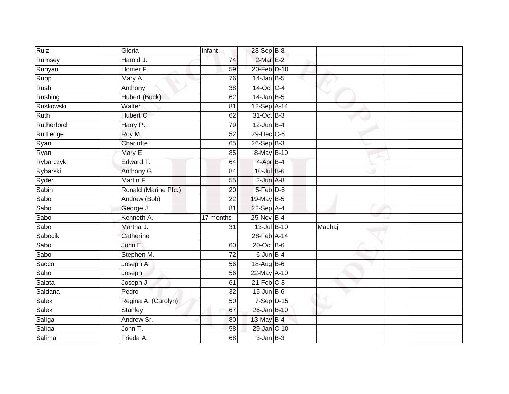| Ruiz        | Gloria               | Infant          | 28-Sep B-8       |        |  |
|-------------|----------------------|-----------------|------------------|--------|--|
| Rumsey      | Harold J.            | $\overline{74}$ | $2$ -Mar $E-2$   |        |  |
| Runyan      | Homer F.             | 59              | 20-Feb D-10      |        |  |
| Rupp        | Mary A.              | 76              | $14$ -Jan B-5    |        |  |
| <b>Rush</b> | Anthony              | $\overline{38}$ | 14-Oct C-4       |        |  |
| Rushing     | Hubert (Buck)        | 62              | $14$ -Jan B-5    |        |  |
| Ruskowski   | Walter               | 81              | 12-Sep A-14      |        |  |
| Ruth        | Hubert C.            | 62              | 31-Oct B-3       |        |  |
| Rutherford  | Harry P.             | 79              | $12$ -Jun B-4    |        |  |
| Ruttledge   | Roy M.               | 52              | 29-Dec C-6       |        |  |
| Ryan        | Charlotte            | 65              | $26-Sep$ B-3     |        |  |
| Ryan        | Mary E.              | 85              | 8-May B-10       |        |  |
| Rybarczyk   | Edward T.            | 64              | 4-Apr B-4        |        |  |
| Rybarski    | Anthony G.           | 84              | $10$ -Jul $B$ -6 |        |  |
| Ryder       | Martin F.            | $\overline{55}$ | $2$ -Jun $A-8$   |        |  |
| Sabin       | Ronald (Marine Pfc.) | 20              | 5-Feb D-6        |        |  |
| Sabo        | Andrew (Bob)         | $\overline{22}$ | 19-May B-5       |        |  |
| Sabo        | George J.            | 81              | $22-Sep$ A-4     |        |  |
| Sabo        | Kenneth A.           | 17 months       | 25-Nov B-4       |        |  |
| Sabo        | Martha J.            | 31              | 13-Jul B-10      | Machaj |  |
| Sabocik     | Catherine            |                 | 28-Feb A-14      |        |  |
| Sabol       | John E.              | 60              | 20-Oct B-6       |        |  |
| Sabol       | Stephen M.           | 72              | $6$ -Jun $B-4$   |        |  |
| Sacco       | Joseph A.            | 56              | 18-Aug B-6       |        |  |
| Saho        | Joseph               | 56              | 22-May A-10      |        |  |
| Salata      | Joseph J.            | 61              | $21$ -Feb $C-8$  |        |  |
| Saldana     | Pedro                | $\overline{32}$ | $15$ -Jun B-6    |        |  |
| Salek       | Regina A. (Carolyn)  | 50              | $7-Sep$ D-15     |        |  |
| Salek       | <b>Stanley</b>       | 67              | 26-Jan B-10      |        |  |
| Saliga      | Andrew Sr.           | 80              | 13-May B-4       |        |  |
| Saliga      | John T.              | 58              | 29-Jan C-10      |        |  |
| Salima      | Frieda A.            | 68              | $3$ -Jan $B-3$   |        |  |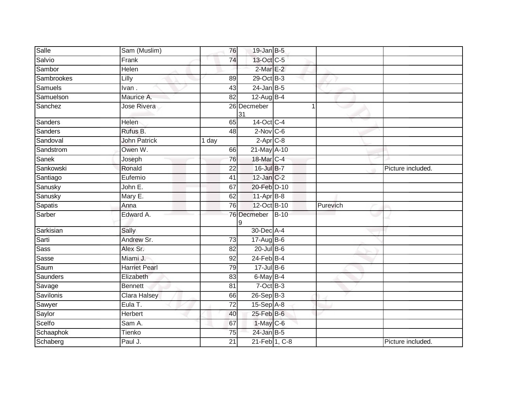| Sam (Muslim)         |                 |    |                                                                                  |                                                                                                                                                                                                                                                                                                                                                                                                                                                                    |                   |
|----------------------|-----------------|----|----------------------------------------------------------------------------------|--------------------------------------------------------------------------------------------------------------------------------------------------------------------------------------------------------------------------------------------------------------------------------------------------------------------------------------------------------------------------------------------------------------------------------------------------------------------|-------------------|
| Frank                |                 |    |                                                                                  |                                                                                                                                                                                                                                                                                                                                                                                                                                                                    |                   |
| Helen                |                 |    |                                                                                  |                                                                                                                                                                                                                                                                                                                                                                                                                                                                    |                   |
| Lilly                | 89              |    |                                                                                  |                                                                                                                                                                                                                                                                                                                                                                                                                                                                    |                   |
| Ivan.                | 43              |    |                                                                                  |                                                                                                                                                                                                                                                                                                                                                                                                                                                                    |                   |
| Maurice A.           |                 |    |                                                                                  |                                                                                                                                                                                                                                                                                                                                                                                                                                                                    |                   |
| Jose Rivera          |                 | 31 |                                                                                  |                                                                                                                                                                                                                                                                                                                                                                                                                                                                    |                   |
| Helen                |                 |    |                                                                                  |                                                                                                                                                                                                                                                                                                                                                                                                                                                                    |                   |
| Rufus B.             | 48              |    |                                                                                  |                                                                                                                                                                                                                                                                                                                                                                                                                                                                    |                   |
| <b>John Patrick</b>  | 1 day           |    |                                                                                  |                                                                                                                                                                                                                                                                                                                                                                                                                                                                    |                   |
| Owen W.              |                 |    |                                                                                  |                                                                                                                                                                                                                                                                                                                                                                                                                                                                    |                   |
| Joseph               |                 |    |                                                                                  |                                                                                                                                                                                                                                                                                                                                                                                                                                                                    |                   |
| Ronald               | 22              |    |                                                                                  |                                                                                                                                                                                                                                                                                                                                                                                                                                                                    | Picture included. |
| Eufemio              | 41              |    |                                                                                  |                                                                                                                                                                                                                                                                                                                                                                                                                                                                    |                   |
| John E.              | 67              |    |                                                                                  |                                                                                                                                                                                                                                                                                                                                                                                                                                                                    |                   |
| Mary E.              | 62              |    |                                                                                  |                                                                                                                                                                                                                                                                                                                                                                                                                                                                    |                   |
| Anna                 |                 |    |                                                                                  | Purevich                                                                                                                                                                                                                                                                                                                                                                                                                                                           |                   |
| Edward A.            |                 | 9  |                                                                                  |                                                                                                                                                                                                                                                                                                                                                                                                                                                                    |                   |
| Sally                |                 |    |                                                                                  |                                                                                                                                                                                                                                                                                                                                                                                                                                                                    |                   |
| Andrew Sr.           | 73              |    |                                                                                  |                                                                                                                                                                                                                                                                                                                                                                                                                                                                    |                   |
| Alex Sr.             | 82              |    |                                                                                  |                                                                                                                                                                                                                                                                                                                                                                                                                                                                    |                   |
| Miami J.             | 92              |    |                                                                                  |                                                                                                                                                                                                                                                                                                                                                                                                                                                                    |                   |
| <b>Harriet Pearl</b> |                 |    |                                                                                  |                                                                                                                                                                                                                                                                                                                                                                                                                                                                    |                   |
| Elizabeth            | 83              |    |                                                                                  |                                                                                                                                                                                                                                                                                                                                                                                                                                                                    |                   |
| <b>Bennett</b>       | 81              |    |                                                                                  |                                                                                                                                                                                                                                                                                                                                                                                                                                                                    |                   |
| Clara Halsey         |                 |    |                                                                                  |                                                                                                                                                                                                                                                                                                                                                                                                                                                                    |                   |
| Eula T.              | $\overline{72}$ |    |                                                                                  |                                                                                                                                                                                                                                                                                                                                                                                                                                                                    |                   |
| <b>Herbert</b>       | 40              |    |                                                                                  |                                                                                                                                                                                                                                                                                                                                                                                                                                                                    |                   |
| Sam A.               | 67              |    |                                                                                  |                                                                                                                                                                                                                                                                                                                                                                                                                                                                    |                   |
| Tienko               | 75              |    |                                                                                  |                                                                                                                                                                                                                                                                                                                                                                                                                                                                    |                   |
| Paul J.              | 21              |    |                                                                                  |                                                                                                                                                                                                                                                                                                                                                                                                                                                                    | Picture included. |
|                      |                 |    | 76<br>74<br>82<br>26 Decmeber<br>65<br>66<br>76<br>76<br>76 Decmeber<br>79<br>66 | $19$ -Jan B-5<br>13-Oct C-5<br>$2-MarE-2$<br>29-Oct B-3<br>$24$ -Jan B-5<br>$12$ -Aug B-4<br>14-Oct C-4<br>$2$ -Nov C-6<br>$2-Apr$ $C-8$<br>21-May A-10<br>18-Mar C-4<br>16-Jul B-7<br>12-Jan C-2<br>20-Feb D-10<br>$11-Apr$ B-8<br>12-Oct B-10<br>$B-10$<br>30-Dec A-4<br>17-Aug B-6<br>$20$ -Jul B-6<br>$24$ -Feb $B-4$<br>17-Jul B-6<br>6-May B-4<br>$7-Oct$ $B-3$<br>26-Sep B-3<br>$15-Sep$ $A-8$<br>25-Feb B-6<br>1-May C-6<br>$24$ -Jan B-5<br>21-Feb 1, C-8 |                   |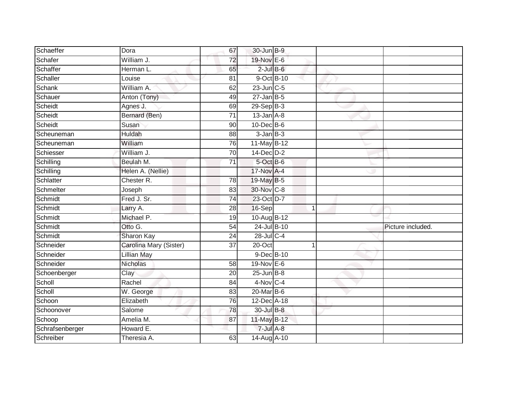| Schaeffer       | Dora                   | 67              | 30-Jun B-9             |              |                   |
|-----------------|------------------------|-----------------|------------------------|--------------|-------------------|
| Schafer         | William J.             | 72              | 19-Nov E-6             |              |                   |
| Schaffer        | Herman L.              | 65              | $2$ -Jul $B$ -6        |              |                   |
| Schaller        | Louise                 | 81              | 9-Oct B-10             |              |                   |
| Schank          | William A.             | 62              | $23$ -Jun $C-5$        |              |                   |
| Schauer         | Anton (Tony)           | 49              | $27 - Jan$ B-5         |              |                   |
| Scheidt         | Agnes J.               | 69              | $29-Sep$ B-3           |              |                   |
| Scheidt         | Bernard (Ben)          | 71              | $13$ -Jan $A-8$        |              |                   |
| Scheidt         | Susan                  | 90              | 10-Dec B-6             |              |                   |
| Scheuneman      | <b>Huldah</b>          | 88              | $3$ -Jan $B-3$         |              |                   |
| Scheuneman      | William                | 76              | 11-May B-12            |              |                   |
| Schiesser       | William J.             | $\overline{70}$ | $14$ -Dec $D-2$        |              |                   |
| Schilling       | Beulah M.              | 71              | 5-Oct B-6              |              |                   |
| Schilling       | Helen A. (Nellie)      |                 | 17-Nov A-4             |              |                   |
| Schlatter       | Chester R.             | 78              | 19-May B-5             |              |                   |
| Schmelter       | Joseph                 | 83              | 30-Nov C-8             |              |                   |
| Schmidt         | Fred J. Sr.            | $\overline{74}$ | 23-Oct D-7             |              |                   |
| Schmidt         | Larry A.               | 28              | 16-Sep                 | $\mathbf{1}$ |                   |
| Schmidt         | Michael P.             | 19              | 10-Aug B-12            |              |                   |
| Schmidt         | Otto G.                | 54              | 24-Jul B-10            |              | Picture included. |
| Schmidt         | Sharon Kay             | 24              | $28$ -Jul C-4          |              |                   |
| Schneider       | Carolina Mary (Sister) | $\overline{37}$ | $20$ -Oct              |              |                   |
| Schneider       | <b>Lillian May</b>     |                 | 9-Dec B-10             |              |                   |
| Schneider       | Nicholas               | 58              | $19-Nov$ E-6           |              |                   |
| Schoenberger    | Clay                   | 20              | $25$ -Jun $B-8$        |              |                   |
| Scholl          | Rachel                 | 84              | $4-Nov$ <sub>C-4</sub> |              |                   |
| Scholl          | W. George              | 83              | $20$ -Mar $B$ -6       |              |                   |
| Schoon          | Elizabeth              | 76              | 12-Dec A-18            |              |                   |
| Schoonover      | Salome                 | 78              | 30-Jul B-8             |              |                   |
| Schoop          | Amelia M.              | 87              | 11-May B-12            |              |                   |
| Schrafsenberger | Howard E.              |                 | 7-Jul A-8              |              |                   |
| Schreiber       | Theresia A.            | 63              | 14-Aug A-10            |              |                   |
|                 |                        |                 |                        |              |                   |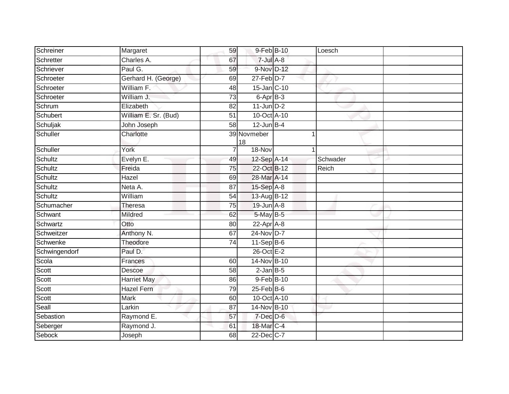| Schreiner     | Margaret             | 59              | 9-Feb B-10        | Loesch   |  |
|---------------|----------------------|-----------------|-------------------|----------|--|
| Schretter     | Charles A.           | 67              | $7 -$ Jul $A - 8$ |          |  |
| Schriever     | Paul G.              | 59              | 9-Nov D-12        |          |  |
| Schroeter     | Gerhard H. (George)  | 69              | $27$ -Feb $D-7$   |          |  |
| Schroeter     | William F.           | 48              | 15-Jan C-10       |          |  |
| Schroeter     | William J.           | 73              | 6-Apr B-3         |          |  |
| Schrum        | Elizabeth            | 82              | $11$ -Jun $D-2$   |          |  |
| Schubert      | William E. Sr. (Bud) | 51              | 10-Oct A-10       |          |  |
| Schuljak      | John Joseph          | 58              | $12$ -Jun B-4     |          |  |
| Schuller      | Charlotte            |                 | 39 Novmeber<br>18 |          |  |
| Schuller      | York                 |                 | 18-Nov            |          |  |
| Schultz       | Evelyn E.            | 49              | 12-Sep A-14       | Schwader |  |
| Schultz       | Freida               | 75              | 22-Oct B-12       | Reich    |  |
| Schultz       | Hazel                | 69              | 28-Mar A-14       |          |  |
| Schultz       | Neta A.              | $\overline{87}$ | 15-Sep A-8        |          |  |
| Schultz       | William              | 54              | 13-Aug B-12       |          |  |
| Schumacher    | Theresa              | 75              | $19$ -Jun $A-8$   |          |  |
| Schwant       | Mildred              | 62              | 5-May B-5         |          |  |
| Schwartz      | Otto                 | 80              | $22-Apr$ A-8      |          |  |
| Schweitzer    | Anthony N.           | 67              | 24-Nov D-7        |          |  |
| Schwenke      | Theodore             | 74              | $11-Sep$ B-6      |          |  |
| Schwingendorf | Paul D.              |                 | 26-Oct E-2        |          |  |
| Scola         | Frances              | 60              | 14-Nov B-10       |          |  |
| Scott         | Descoe               | 58              | $2$ -Jan $B$ -5   |          |  |
| Scott         | <b>Harriet May</b>   | 86              | 9-Feb B-10        |          |  |
| Scott         | <b>Hazel Fern</b>    | 79              | $25$ -Feb $B$ -6  |          |  |
| Scott         | <b>Mark</b>          | 60              | 10-Oct A-10       |          |  |
| Seall         | Larkin               | 87              | 14-Nov B-10       |          |  |
| Sebastion     | Raymond E.           | 57              | $7$ -Dec $D$ -6   |          |  |
| Seberger      | Raymond J.           | 61              | 18-Mar C-4        |          |  |
| Sebock        | Joseph               | 68              | 22-Dec C-7        |          |  |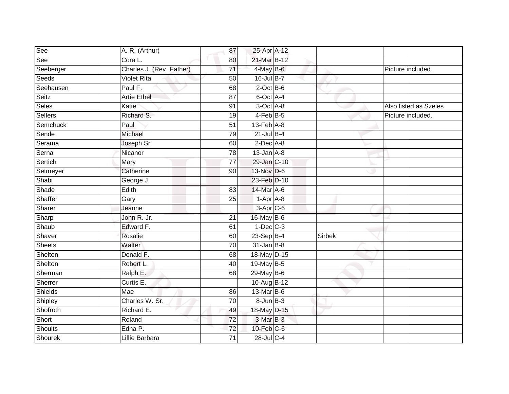| See            | A. R. (Arthur)           | 87              | 25-Apr A-12                 |               |                       |
|----------------|--------------------------|-----------------|-----------------------------|---------------|-----------------------|
| See            | Cora L.                  | 80              | 21-Mar B-12                 |               |                       |
| Seeberger      | Charles J. (Rev. Father) | $\overline{71}$ | 4-May B-6                   |               | Picture included.     |
| Seeds          | <b>Violet Rita</b>       | 50              | 16-Jul B-7                  |               |                       |
| Seehausen      | Paul F.                  | 68              | $2$ -Oct $B$ -6             |               |                       |
| Seitz          | <b>Artie Ethel</b>       | 87              | 6-Oct A-4                   |               |                       |
| Seles          | Katie                    | 91              | $3-Oct$ $A-8$               |               | Also listed as Szeles |
| Sellers        | Richard S.               | 19              | 4-Feb B-5                   |               | Picture included.     |
| Semchuck       | Paul                     | $\overline{51}$ | $13$ -Feb $\overline{A}$ -8 |               |                       |
| Sende          | Michael                  | 79              | $21$ -Jul B-4               |               |                       |
| Serama         | Joseph Sr.               | 60              | $2$ -Dec $A-8$              |               |                       |
| Serna          | Nicanor                  | 78              | $13$ -Jan $A-8$             |               |                       |
| Sertich        | Mary                     | $\overline{77}$ | 29-Jan C-10                 |               |                       |
| Setmeyer       | Catherine                | 90              | 13-Nov D-6                  |               |                       |
| Shabi          | George J.                |                 | 23-Feb D-10                 |               |                       |
| Shade          | Edith                    | 83              | 14-Mar A-6                  |               |                       |
| Shaffer        | Gary                     | $\overline{25}$ | $1-AprA-8$                  |               |                       |
| Sharer         | Jeanne                   |                 | $3-Apr$ $C-6$               |               |                       |
| Sharp          | John R. Jr.              | 21              | 16-May B-6                  |               |                       |
| Shaub          | Edward F.                | 61              | $1-Dec$ $C-3$               |               |                       |
| Shaver         | Rosalie                  | 60              | $23-Sep$ B-4                | <b>Sirbek</b> |                       |
| <b>Sheets</b>  | Walter                   | 70              | $31$ -Jan B-8               |               |                       |
| Shelton        | Donald F.                | 68              | 18-May D-15                 |               |                       |
| Shelton        | Robert L.                | 40              | 19-May B-5                  |               |                       |
| Sherman        | Ralph E.                 | 68              | 29-May B-6                  |               |                       |
| Sherrer        | Curtis E.                |                 | 10-Aug B-12                 |               |                       |
| Shields        | Mae                      | 86              | 13-Mar B-6                  |               |                       |
| Shipley        | Charles W. Sr.           | 70              | $8 - Jun$ $B-3$             |               |                       |
| Shofroth       | Richard E.               | 49              | 18-May D-15                 |               |                       |
| Short          | Roland                   | $\overline{72}$ | 3-Mar B-3                   |               |                       |
| <b>Shoults</b> | Edna P.                  | 72              | $10$ -Feb $C$ -6            |               |                       |
| Shourek        | Lillie Barbara           | $\overline{71}$ | 28-Jul C-4                  |               |                       |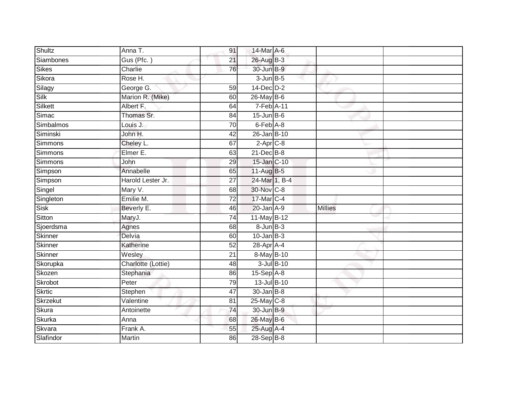| Shultz          | Anna T.            | 91              | 14-Mar A-6       |                |
|-----------------|--------------------|-----------------|------------------|----------------|
| Siambones       | Gus (Pfc.)         | 21              | 26-Aug B-3       |                |
| <b>Sikes</b>    | Charlie            | 76              | 30-Jun B-9       |                |
| Sikora          | Rose H.            |                 | $3$ -Jun $B$ -5  |                |
| Silagy          | George G.          | 59              | 14-Dec D-2       |                |
| Silk            | Marion R. (Mike)   | 60              | 26-May B-6       |                |
| Silkett         | Albert F.          | 64              | $7-Feb$ A-11     |                |
| Simac           | Thomas Sr.         | 84              | $15$ -Jun $B$ -6 |                |
| Simbalmos       | Louis J.           | 70              | 6-Feb A-8        |                |
| Siminski        | John H.            | 42              | 26-Jan B-10      |                |
| Simmons         | Cheley L.          | 67              | $2-Apr$ C-8      |                |
| Simmons         | Elmer E.           | 63              | $21$ -Dec $B-8$  |                |
| Simmons         | John               | 29              | 15-Jan C-10      |                |
| Simpson         | Annabelle          | 65              | 11-Aug B-5       |                |
| Simpson         | Harold Lester Jr.  | $\overline{27}$ | 24-Mar 1, B-4    |                |
| Singel          | Mary V.            | 68              | 30-Nov C-8       |                |
| Singleton       | Emilie M.          | $\overline{72}$ | 17-Mar C-4       |                |
| <b>Sisk</b>     | Beverly E.         | 46              | $20$ -Jan $A-9$  | <b>Millies</b> |
| Sitton          | MaryJ.             | 74              | 11-May B-12      |                |
| Sjoerdsma       | Agnes              | 68              | 8-Jun B-3        |                |
| <b>Skinner</b>  | Delvia             | 60              | $10$ -Jan $B-3$  |                |
| <b>Skinner</b>  | Katherine          | 52              | 28-Apr A-4       |                |
| Skinner         | Wesley             | $\overline{21}$ | 8-May B-10       |                |
| Skorupka        | Charlotte (Lottie) | 48              | $3$ -Jul $B$ -10 |                |
| Skozen          | Stephania          | 86              | $15-Sep$ A-8     |                |
| Skrobot         | Peter              | 79              | 13-Jul B-10      |                |
| <b>Skrtic</b>   | Stephen            | 47              | $30 - Jan$ $B-8$ |                |
| <b>Skrzekut</b> | Valentine          | 81              | 25-May C-8       |                |
| Skura           | Antoinette         | 74              | 30-Jun B-9       |                |
| Skurka          | Anna               | 68              | 26-May B-6       |                |
| Skvara          | Frank A.           | 55              | 25-Aug A-4       |                |
| Slafindor       | <b>Martin</b>      | 86              | 28-Sep B-8       |                |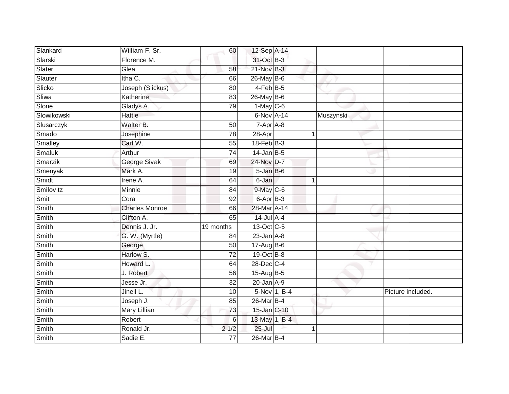| Slankard     | William F. Sr.        | 60              | 12-Sep A-14     |              |              |                   |
|--------------|-----------------------|-----------------|-----------------|--------------|--------------|-------------------|
| Slarski      | Florence M.           |                 | 31-Oct B-3      |              |              |                   |
| Slater       | Glea                  | 58              | $21$ -Nov $B-3$ |              |              |                   |
| Slauter      | Itha C.               | 66              | 26-May B-6      |              |              |                   |
| Slicko       | Joseph (Slickus)      | $\overline{80}$ | $4$ -Feb B-5    |              |              |                   |
| Sliwa        | Katherine             | 83              | 26-May B-6      |              |              |                   |
| Slone        | Gladys A.             | 79              | $1-May$ C-6     |              |              |                   |
| Slowikowski  | <b>Hattie</b>         |                 | 6-Nov A-14      |              | Muszynski    |                   |
| Slusarczyk   | Walter B.             | 50              | 7-Apr A-8       |              |              |                   |
| Smado        | Josephine             | 78              | 28-Apr          |              |              |                   |
| Smalley      | Carl W.               | 55              | $18$ -Feb $B-3$ |              |              |                   |
| Smaluk       | Arthur                | 74              | $14$ -Jan B-5   |              |              |                   |
| Smarzik      | George Sivak          | 69              | 24-Nov D-7      |              |              |                   |
| Smenyak      | Mark A.               | 19              | $5 - JanB - 6$  |              |              |                   |
| Smidt        | Irene A.              | 64              | 6-Jan           |              | $\mathbf{1}$ |                   |
| Smilovitz    | Minnie                | 84              | $9$ -May $C$ -6 |              |              |                   |
| Smit         | Cora                  | 92              | 6-Apr B-3       |              |              |                   |
| Smith        | <b>Charles Monroe</b> | 66              | 28-Mar A-14     |              |              |                   |
| Smith        | Clifton A.            | 65              | $14$ -Jul A-4   |              |              |                   |
| Smith        | Dennis J. Jr.         | 19 months       | 13-Oct C-5      |              |              |                   |
| Smith        | G. W. (Myrtle)        | 84              | $23$ -Jan $A-8$ |              |              |                   |
| Smith        | George                | 50              | $17 - Aug$ B-6  |              |              |                   |
| Smith        | Harlow S.             | $\overline{72}$ | 19-Oct B-8      |              |              |                   |
| Smith        | Howard L.             | 64              | 28-Dec C-4      |              |              |                   |
| Smith        | J. Robert             | 56              | $15$ -AugB-5    |              |              |                   |
| Smith        | Jesse Jr.             | 32              | $20$ -Jan $A-9$ |              |              |                   |
| Smith        | Jinell L.             | 10              |                 | 5-Nov 1, B-4 |              | Picture included. |
| Smith        | Joseph J.             | 85              | 26-Mar B-4      |              |              |                   |
| Smith        | Mary Lillian          | 73              | 15-Jan C-10     |              |              |                   |
| Smith        | Robert                | 6               | 13-May 1, B-4   |              |              |                   |
| Smith        | Ronald Jr.            | 21/2            | 25-Jul          |              |              |                   |
| <b>Smith</b> | Sadie E.              | $\overline{77}$ | 26-Mar B-4      |              |              |                   |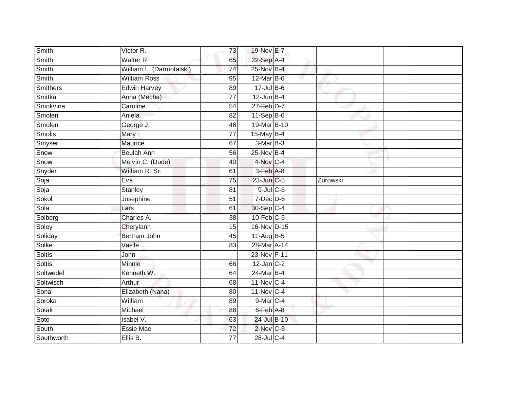| Maurice           | 67                                                                                                                                                                                                                                                          |                                                                                                                         |                                                                                                                                                                                                                                                                                                                                                                                                                                                                                                                   |  |
|-------------------|-------------------------------------------------------------------------------------------------------------------------------------------------------------------------------------------------------------------------------------------------------------|-------------------------------------------------------------------------------------------------------------------------|-------------------------------------------------------------------------------------------------------------------------------------------------------------------------------------------------------------------------------------------------------------------------------------------------------------------------------------------------------------------------------------------------------------------------------------------------------------------------------------------------------------------|--|
| <b>Beulah Ann</b> | 56                                                                                                                                                                                                                                                          |                                                                                                                         |                                                                                                                                                                                                                                                                                                                                                                                                                                                                                                                   |  |
| Melvin C. (Dude)  | 40                                                                                                                                                                                                                                                          |                                                                                                                         |                                                                                                                                                                                                                                                                                                                                                                                                                                                                                                                   |  |
| William R. Sr.    | 61                                                                                                                                                                                                                                                          |                                                                                                                         |                                                                                                                                                                                                                                                                                                                                                                                                                                                                                                                   |  |
| Eva               | $\overline{75}$                                                                                                                                                                                                                                             |                                                                                                                         | Zurowski                                                                                                                                                                                                                                                                                                                                                                                                                                                                                                          |  |
| <b>Stanley</b>    | 81                                                                                                                                                                                                                                                          |                                                                                                                         |                                                                                                                                                                                                                                                                                                                                                                                                                                                                                                                   |  |
| Josephine         | $\overline{51}$                                                                                                                                                                                                                                             |                                                                                                                         |                                                                                                                                                                                                                                                                                                                                                                                                                                                                                                                   |  |
| Lars              | 61                                                                                                                                                                                                                                                          |                                                                                                                         |                                                                                                                                                                                                                                                                                                                                                                                                                                                                                                                   |  |
| Charles A.        | 38                                                                                                                                                                                                                                                          |                                                                                                                         |                                                                                                                                                                                                                                                                                                                                                                                                                                                                                                                   |  |
| Cherylann         | 15                                                                                                                                                                                                                                                          |                                                                                                                         |                                                                                                                                                                                                                                                                                                                                                                                                                                                                                                                   |  |
| Bertram John      | 45                                                                                                                                                                                                                                                          |                                                                                                                         |                                                                                                                                                                                                                                                                                                                                                                                                                                                                                                                   |  |
| Vasile            | 83                                                                                                                                                                                                                                                          |                                                                                                                         |                                                                                                                                                                                                                                                                                                                                                                                                                                                                                                                   |  |
| John              |                                                                                                                                                                                                                                                             |                                                                                                                         |                                                                                                                                                                                                                                                                                                                                                                                                                                                                                                                   |  |
| Minnie            | 66                                                                                                                                                                                                                                                          |                                                                                                                         |                                                                                                                                                                                                                                                                                                                                                                                                                                                                                                                   |  |
| Kenneth W.        | 64                                                                                                                                                                                                                                                          |                                                                                                                         |                                                                                                                                                                                                                                                                                                                                                                                                                                                                                                                   |  |
| Arthur            | 68                                                                                                                                                                                                                                                          |                                                                                                                         |                                                                                                                                                                                                                                                                                                                                                                                                                                                                                                                   |  |
|                   | 80                                                                                                                                                                                                                                                          |                                                                                                                         |                                                                                                                                                                                                                                                                                                                                                                                                                                                                                                                   |  |
| William           |                                                                                                                                                                                                                                                             |                                                                                                                         |                                                                                                                                                                                                                                                                                                                                                                                                                                                                                                                   |  |
|                   |                                                                                                                                                                                                                                                             |                                                                                                                         |                                                                                                                                                                                                                                                                                                                                                                                                                                                                                                                   |  |
|                   |                                                                                                                                                                                                                                                             |                                                                                                                         |                                                                                                                                                                                                                                                                                                                                                                                                                                                                                                                   |  |
|                   |                                                                                                                                                                                                                                                             |                                                                                                                         |                                                                                                                                                                                                                                                                                                                                                                                                                                                                                                                   |  |
|                   | $\overline{77}$                                                                                                                                                                                                                                             |                                                                                                                         |                                                                                                                                                                                                                                                                                                                                                                                                                                                                                                                   |  |
|                   | $\overline{\text{Victor}}$ R.<br>Walter R.<br>William L. (Darmofalski)<br><b>William Ross</b><br><b>Edwin Harvey</b><br>Anna (Mecha)<br>Caroline<br>Aniela<br>George J.<br>Mary<br>Elizabeth (Nana)<br>Michael<br>Isabel V.<br><b>Essie Mae</b><br>Ellis B. | 73<br>65<br>$\overline{74}$<br>95<br>89<br>$\overline{77}$<br>54<br>82<br>46<br>$\overline{77}$<br>89<br>88<br>63<br>72 | 19-Nov E-7<br>22-Sep A-4<br>25-Nov B-4<br>$12$ -Mar $B$ -6<br>$17 -$ Jul B-6<br>$12$ -Jun B-4<br>27-Feb D-7<br>$11-Sep$ B-6<br>19-Mar B-10<br>15-May B-4<br>3-Mar B-3<br>25-Nov B-4<br>4-Nov C-4<br>$3-Feb$ $A-8$<br>23-Jun C-5<br>$9$ -Jul $C$ -6<br>$7$ -Dec $D-6$<br>30-Sep C-4<br>$10$ -Feb $C$ -6<br>16-Nov D-15<br>11-Aug $B-5$<br>28-Mar A-14<br>23-Nov F-11<br>$12$ -Jan $C-2$<br>24-Mar B-4<br>11-Nov C-4<br>$11-Nov$ <sub>C-4</sub><br>9-Mar C-4<br>6-Feb A-8<br>24-Jul B-10<br>2-Nov C-6<br>28-Jul C-4 |  |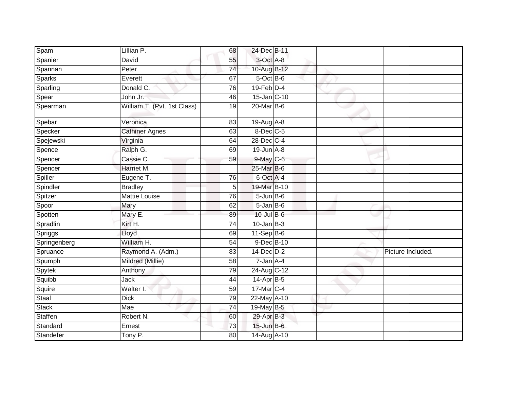| Spam          | Lillian P.                  | 68              | 24-Dec B-11                |  |                   |
|---------------|-----------------------------|-----------------|----------------------------|--|-------------------|
| Spanier       | David                       | 55              | 3-Oct A-8                  |  |                   |
| Spannan       | Peter                       | 74              | 10-Aug B-12                |  |                   |
| <b>Sparks</b> | Everett                     | 67              | $5$ -Oct $\overline{B}$ -6 |  |                   |
| Sparling      | Donald C.                   | 76              | $19$ -Feb $D-4$            |  |                   |
| Spear         | John Jr:                    | 46              | 15-Jan C-10                |  |                   |
| Spearman      | William T. (Pvt. 1st Class) | 19              | 20-Mar B-6                 |  |                   |
| Spebar        | Veronica                    | 83              | $19$ -Aug $A$ -8           |  |                   |
| Specker       | <b>Cathiner Agnes</b>       | 63              | $8$ -Dec $C$ -5            |  |                   |
| Spejewski     | Virginia                    | 64              | 28-Dec C-4                 |  |                   |
| Spence        | Ralph G.                    | 69              | $19$ -Jun $A - 8$          |  |                   |
| Spencer       | Cassie C.                   | 59              | 9-May C-6                  |  |                   |
| Spencer       | Harriet M.                  |                 | 25-Mar B-6                 |  |                   |
| Spiller       | Eugene T.                   | 76              | 6-Oct A-4                  |  |                   |
| Spindler      | <b>Bradley</b>              | 5               | 19-Mar B-10                |  |                   |
| Spitzer       | Mattie Louise               | 76              | $5$ -Jun $B$ -6            |  |                   |
| Spoor         | Mary                        | 62              | $5 - Jan$ $B - 6$          |  |                   |
| Spotten       | Mary E.                     | 89              | 10-Jul B-6                 |  |                   |
| Spradlin      | Kirt H.                     | 74              | $10$ -Jan B-3              |  |                   |
| Spriggs       | Lloyd                       | 69              | $11-Sep$ B-6               |  |                   |
| Springenberg  | William H.                  | 54              | 9-Dec B-10                 |  |                   |
| Spruance      | Raymond A. (Adm.)           | 83              | $14$ -Dec $D-2$            |  | Picture Included. |
| Spumph        | Mildred (Millie)            | $\overline{58}$ | $7 - Jan A - 4$            |  |                   |
| Spytek        | Anthony                     | 79              | 24-Aug C-12                |  |                   |
| Squibb        | Jack                        | 44              | 14-Apr B-5                 |  |                   |
| Squire        | Walter I.                   | 59              | 17-Mar C-4                 |  |                   |
| Staal         | <b>Dick</b>                 | 79              | 22-May A-10                |  |                   |
| <b>Stack</b>  | Mae                         | $\overline{74}$ | 19-May B-5                 |  |                   |
| Staffen       | Robert N.                   | 60              | 29-Apr B-3                 |  |                   |
| Standard      | Ernest                      | 73              | $15$ -Jun $B$ -6           |  |                   |
| Standefer     | Tony P.                     | 80              | 14-Aug A-10                |  |                   |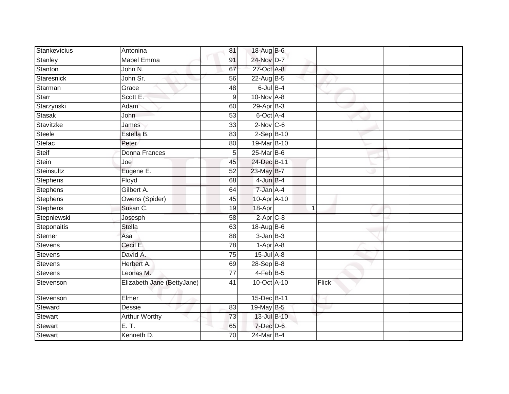| Stankevicius      | Antonina                   | 81               | 18-Aug B-6                          |       |  |
|-------------------|----------------------------|------------------|-------------------------------------|-------|--|
| Stanley           | <b>Mabel Emma</b>          | 91               | 24-Nov D-7                          |       |  |
| <b>Stanton</b>    | John N.                    | 67               | 27-Oct A-8                          |       |  |
| <b>Staresnick</b> | John Sr.                   | 56               | $22$ -AugB-5                        |       |  |
| Starman           | Grace                      | 48               | $6$ -Jul $B-4$                      |       |  |
| <b>Starr</b>      | Scott E:                   | $\boldsymbol{9}$ | 10-Nov A-8                          |       |  |
| Starzynski        | Adam                       | 60               | $29-Apr$ B-3                        |       |  |
| <b>Stasak</b>     | John                       | 53               | 6-Oct A-4                           |       |  |
| Stavitzke         | James                      | 33               | $2$ -Nov $C$ -6                     |       |  |
| <b>Steele</b>     | Estella B.                 | $\overline{83}$  | $2-Sep$ B-10                        |       |  |
| Stefac            | Peter                      | 80               | 19-Mar B-10                         |       |  |
| Steif             | Donna Frances              | 5                | $25$ -Mar $B$ -6                    |       |  |
| Stein             | Joe                        | 45               | 24-Dec B-11                         |       |  |
| Steinsultz        | Eugene E.                  | 52               | 23-May B-7                          |       |  |
| <b>Stephens</b>   | Floyd                      | 68               | $4$ -Jun $B-4$                      |       |  |
| <b>Stephens</b>   | Gilbert A.                 | 64               | 7-Jan A-4                           |       |  |
| Stephens          | Owens (Spider)             | 45               | 10-Apr A-10                         |       |  |
| Stephens          | Susan C.                   | 19               | 18-Apr                              | 1     |  |
| Stepniewski       | Josesph                    | 58               | $2$ -Apr $C$ -8                     |       |  |
| Steponaitis       | <b>Stella</b>              | 63               | 18-Aug B-6                          |       |  |
| Sterner           | Asa                        | 88               | $3$ -Jan $B$ -3                     |       |  |
| <b>Stevens</b>    | Cecil E.                   | 78               | $1-\overline{Apr}$ $\overline{A-8}$ |       |  |
| Stevens           | David A.                   | $\overline{75}$  | $15$ -Jul A-8                       |       |  |
| Stevens           | Herbert A.                 | 69               | $28-SepB-8$                         |       |  |
| <b>Stevens</b>    | Leonas M.                  | 77               | $4-FebB-5$                          |       |  |
| Stevenson         | Elizabeth Jane (BettyJane) | 41               | 10-Oct A-10                         | Flick |  |
| Stevenson         | Elmer                      |                  | 15-Dec B-11                         |       |  |
| Steward           | Dessie                     | 83               | 19-May B-5                          |       |  |
| <b>Stewart</b>    | <b>Arthur Worthy</b>       | 73               | 13-Jul B-10                         |       |  |
| Stewart           | E. T.                      | 65               | $7$ -Dec $D$ -6                     |       |  |
| <b>Stewart</b>    | Kenneth D.                 | 70               | 24-Mar B-4                          |       |  |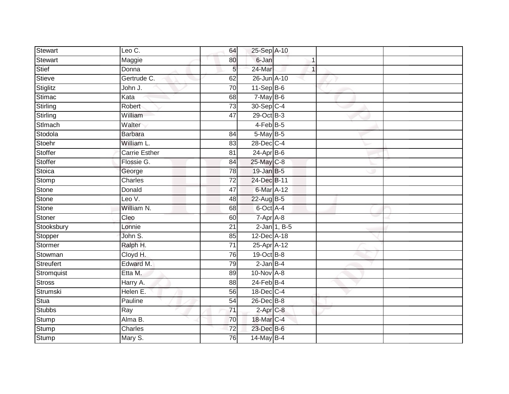| Stewart         | Leo C.               | 64              | 25-Sep A-10     |                 |  |
|-----------------|----------------------|-----------------|-----------------|-----------------|--|
| <b>Stewart</b>  | Maggie               | 80              | 6-Jan           |                 |  |
| Stief           | Donna                | 5               | 24-Mar          |                 |  |
| Stieve          | Gertrude C.          | 62              | 26-Jun A-10     |                 |  |
| Stiglitz        | John J.              | $\overline{70}$ | $11-Sep$ B-6    |                 |  |
| Stimac          | Kata                 | 68              | $7$ -May $B$ -6 |                 |  |
| <b>Stirling</b> | Robert               | $\overline{73}$ | 30-Sep C-4      |                 |  |
| Stirling        | William              | 47              | 29-Oct B-3      |                 |  |
| Stlmach         | Walter               |                 | $4-Feb$ B-5     |                 |  |
| Stodola         | <b>Barbara</b>       | 84              | 5-May B-5       |                 |  |
| Stoehr          | William L.           | 83              | 28-Dec C-4      |                 |  |
| Stoffer         | <b>Carrie Esther</b> | 81              | $24-Apr$ B-6    |                 |  |
| Stoffer         | Flossie G.           | 84              | 25-May C-8      |                 |  |
| Stoica          | George               | $\overline{78}$ | 19-Jan B-5      |                 |  |
| Stomp           | Charles              | 72              | 24-Dec B-11     |                 |  |
| Stone           | Donald               | $\overline{47}$ | 6-Mar A-12      |                 |  |
| Stone           | Leo V.               | 48              | 22-Aug B-5      |                 |  |
| <b>Stone</b>    | William N.           | 68              | 6-Oct A-4       |                 |  |
| Stoner          | Cleo                 | 60              | $7 - Apr$ $A-8$ |                 |  |
| Stooksbury      | Lonnie               | $\overline{21}$ |                 | $2$ -Jan 1, B-5 |  |
| Stopper         | John S.              | 85              | 12-Dec A-18     |                 |  |
| Stormer         | Ralph H.             | $\overline{71}$ | 25-Apr A-12     |                 |  |
| Stowman         | Cloyd H.             | 76              | $19-Oct$ B-8    |                 |  |
| Streufert       | Edward M.            | 79              | $2$ -Jan $B-4$  |                 |  |
| Stromquist      | Etta M.              | 89              | 10-Nov A-8      |                 |  |
| <b>Stross</b>   | Harry A.             | 88              | $24$ -Feb $B-4$ |                 |  |
| Strumski        | Helen E.             | 56              | 18-Dec C-4      |                 |  |
| Stua            | Pauline              | 54              | 26-Dec B-8      |                 |  |
| <b>Stubbs</b>   | Ray                  | $\overline{71}$ | $2$ -Apr $C$ -8 |                 |  |
| <b>Stump</b>    | Alma B.              | 70              | 18-Mar C-4      |                 |  |
| Stump           | Charles              | 72              | 23-Dec B-6      |                 |  |
| <b>Stump</b>    | Mary S.              | 76              | $14$ -May B-4   |                 |  |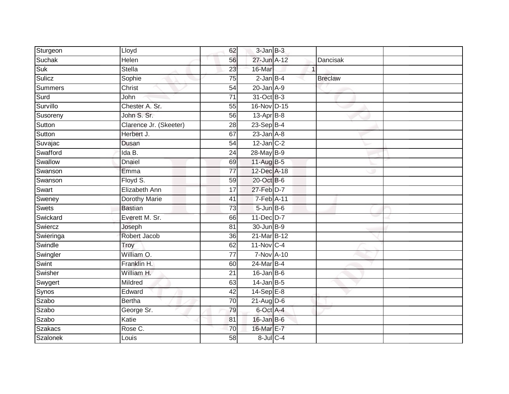| Sturgeon        | Lloyd                  | 62              | $3 - Jan$ $B-3$         |              |                |  |
|-----------------|------------------------|-----------------|-------------------------|--------------|----------------|--|
| Suchak          | Helen                  | 56              | 27-Jun A-12             |              | Dancisak       |  |
| Suk             | <b>Stella</b>          | $\overline{23}$ | 16-Mar                  | $\mathbf{1}$ |                |  |
| Sulicz          | Sophie                 | 75              | $2$ -Jan $B-4$          |              | <b>Breclaw</b> |  |
| Summers         | Christ                 | $\overline{54}$ | $20$ -Jan $A-9$         |              |                |  |
| Surd            | John                   | $\overline{71}$ | 31-Oct B-3              |              |                |  |
| Survillo        | Chester A. Sr.         | $\overline{55}$ | 16-Nov D-15             |              |                |  |
| Susoreny        | John S. Sr.            | 56              | $13-Apr$ B-8            |              |                |  |
| Sutton          | Clarence Jr. (Skeeter) | 28              | 23-Sep B-4              |              |                |  |
| Sutton          | Herbert J.             | 67              | $23$ -Jan $A-8$         |              |                |  |
| Suvajac         | Dusan                  | 54              | $12$ -Jan C-2           |              |                |  |
| Swafford        | Ida B.                 | 24              | 28-May B-9              |              |                |  |
| Swallow         | Dnaiel                 | 69              | 11-Aug B-5              |              |                |  |
| Swanson         | Emma                   | 77              | 12-Dec A-18             |              |                |  |
| Swanson         | Floyd S.               | 59              | 20-Oct B-6              |              |                |  |
| Swart           | Elizabeth Ann          | 17              | 27-Feb D-7              |              |                |  |
| Sweney          | <b>Dorothy Marie</b>   | 41              | 7-Feb A-11              |              |                |  |
| Swets           | <b>Bastian</b>         | 73              | $5 - Jun$ B-6           |              |                |  |
| Swickard        | Everett M. Sr.         | 66              | 11-Dec D-7              |              |                |  |
| Swiercz         | Joseph                 | 81              | 30-Jun B-9              |              |                |  |
| Swieringa       | Robert Jacob           | 36              | 21-Mar B-12             |              |                |  |
| Swindle         | Troy                   | 62              | $11-Nov$ <sub>C-4</sub> |              |                |  |
| Swingler        | William O.             | 77              | <b>7-Nov A-10</b>       |              |                |  |
| Swint           | Franklin H.            | 60              | 24-Mar B-4              |              |                |  |
| Swisher         | William H.             | 21              | $16$ -Jan $B$ -6        |              |                |  |
| Swygert         | Mildred                | 63              | $14$ -Jan B-5           |              |                |  |
| Synos           | Edward                 | $\overline{42}$ | $14-Sep$ E-8            |              |                |  |
| Szabo           | <b>Bertha</b>          | 70              | $21$ -Aug $D-6$         |              |                |  |
| Szabo           | George Sr.             | 79              | 6-Oct A-4               |              |                |  |
| Szabo           | Katie                  | 81              | 16-Jan B-6              |              |                |  |
| Szakacs         | Rose C.                | 70              | 16-Mar E-7              |              |                |  |
| <b>Szalonek</b> | Louis                  | $\overline{58}$ | $8$ -Jul $C$ -4         |              |                |  |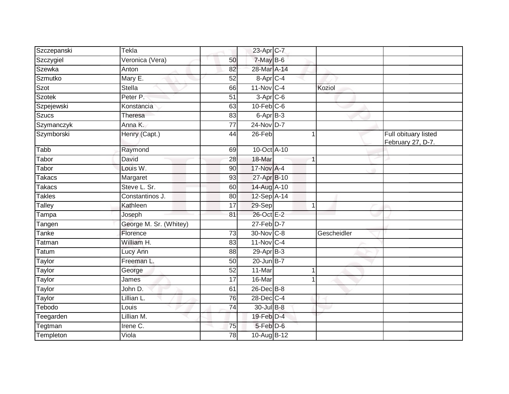| Szczepanski   | Tekla                  |                 | 23-Apr C-7              |              |             |                                           |
|---------------|------------------------|-----------------|-------------------------|--------------|-------------|-------------------------------------------|
| Szczygiel     | Veronica (Vera)        | 50              | $7$ -May $B$ -6         |              |             |                                           |
| Szewka        | Anton                  | 82              | 28-Mar A-14             |              |             |                                           |
| Szmutko       | Mary E.                | 52              | 8-Apr C-4               |              |             |                                           |
| Szot          | <b>Stella</b>          | 66              | $11-Nov$ <sub>C-4</sub> |              | Koziol      |                                           |
| <b>Szotek</b> | Peter P.               | 51              | $3-Apr$ <sub>C-6</sub>  |              |             |                                           |
| Szpejewski    | Konstancia             | 63              | $10$ -Feb $C$ -6        |              |             |                                           |
| Szucs         | Theresa                | 83              | 6-Apr <sub>B-3</sub>    |              |             |                                           |
| Szymanczyk    | Anna K.                | 77              | 24-Nov D-7              |              |             |                                           |
| Szymborski    | Henry (Capt.)          | 44              | 26-Feb                  |              |             | Full obituary listed<br>February 27, D-7. |
| Tabb          | Raymond                | 69              | 10-Oct A-10             |              |             |                                           |
| Tabor         | David                  | 28              | 18-Mar                  |              |             |                                           |
| Tabor         | Louis W.               | 90              | 17-Nov A-4              |              |             |                                           |
| Takacs        | Margaret               | 93              | 27-Apr B-10             |              |             |                                           |
| <b>Takacs</b> | Steve L. Sr.           | 60              | 14-Aug A-10             |              |             |                                           |
| <b>Takles</b> | Constantinos J.        | 80              | 12-Sep A-14             |              |             |                                           |
| Talley        | Kathleen               | 17              | 29-Sep                  | $\mathbf{1}$ |             |                                           |
| Tampa         | Joseph                 | 81              | 26-Oct E-2              |              |             |                                           |
| Tangen        | George M. Sr. (Whitey) |                 | 27-Feb D-7              |              |             |                                           |
| <b>Tanke</b>  | Florence               | 73              | 30-Nov C-8              |              | Gescheidler |                                           |
| Tatman        | William H.             | 83              | $11-Nov$ <sub>C-4</sub> |              |             |                                           |
| Tatum         | Lucy Ann               | 88              | $29$ -Apr $B-3$         |              |             |                                           |
| Taylor        | Freeman L.             | 50              | 20-Jun B-7              |              |             |                                           |
| Taylor        | George                 | 52              | 11-Mar                  | $\mathbf 1$  |             |                                           |
| <b>Taylor</b> | James                  | $\overline{17}$ | 16-Mar                  |              |             |                                           |
| Taylor        | John D.                | 61              | 26-Dec B-8              |              |             |                                           |
| Taylor        | Lillian L.             | 76              | 28-Dec C-4              |              |             |                                           |
| Tebodo        | Louis                  | 74              | 30-Jul B-8              |              |             |                                           |
| Teegarden     | Lillian M.             |                 | 19-Feb D-4              |              |             |                                           |
| Tegtman       | Irene C.               | 75              | 5-Feb D-6               |              |             |                                           |
| Templeton     | $\overline{Viola}$     | 78              | 10-Aug B-12             |              |             |                                           |
|               |                        |                 |                         |              |             |                                           |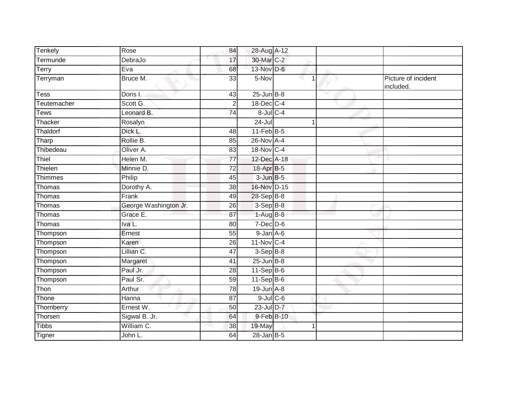| Tenkely      | Rose                  | 84              | 28-Aug A-12        |   |                                  |
|--------------|-----------------------|-----------------|--------------------|---|----------------------------------|
| Termunde     | DebraJo               | 17              | 30-Mar C-2         |   |                                  |
| Terry        | Eva                   | 68              | 13-Nov D-6         |   |                                  |
| Terryman     | Bruce M.              | 33              | 5-Nov              | 1 | Picture of incident<br>included. |
| Tess         | Doris I.              | 43              | $25$ -Jun $B-8$    |   |                                  |
| Teutemacher  | Scott G.              | $\overline{2}$  | 18-Dec C-4         |   |                                  |
| Tews         | Leonard B.            | 74              | $8$ -Jul $C$ -4    |   |                                  |
| Thacker      | Rosalyn               |                 | $24 -$ Jul         | 1 |                                  |
| Thaldorf     | Dick L.               | 48              | $11$ -Feb $B$ -5   |   |                                  |
| Tharp        | Rollie B.             | 85              | 26-Nov A-4         |   |                                  |
| Thibedeau    | Oliver A.             | 83              | 18-Nov C-4         |   |                                  |
| Thiel        | Helen M.              | $\overline{77}$ | 12-Dec A-18        |   |                                  |
| Thielen      | Minnie D.             | $\overline{72}$ | 18-Apr B-5         |   |                                  |
| Thimmes      | Philip                | 45              | $3 - Jun$ $B - 5$  |   |                                  |
| Thomas       | Dorothy A.            | 38              | 16-Nov D-15        |   |                                  |
| Thomas       | Frank                 | 49              | 28-Sep B-8         |   |                                  |
| Thomas       | George Washington Jr. | 26              | $3-Sep$ B-8        |   |                                  |
| Thomas       | Grace E.              | 87              | $1-AugB-8$         |   |                                  |
| Thomas       | Iva L.                | 80              | $7-Dec$ D-6        |   |                                  |
| Thompson     | Ernest                | 55              | $9$ -Jan $A$ -6    |   |                                  |
| Thompson     | Karen                 | 26              | 11-Nov C-4         |   |                                  |
| Thompson     | Lillian C.            | 47              | $3-Sep$ $B-8$      |   |                                  |
| Thompson     | Margaret              | 41              | $25$ -Jun $B-8$    |   |                                  |
| Thompson     | Paul Jr.              | 28              | $11-\text{Sep}B-6$ |   |                                  |
| Thompson     | Paul Sr.              | 59              | $11-Sep$ B-6       |   |                                  |
| Thon         | Arthur                | 78              | $19$ -Jun $A - 8$  |   |                                  |
| Thone        | Hanna                 | 87              | $9$ -Jul $C$ -6    |   |                                  |
| Thornberry   | Ernest W.             | 50              | $23$ -Jul $D-7$    |   |                                  |
| Thorsen      | Sigwal B. Jr.         | 64              | 9-Feb B-10         |   |                                  |
| <b>Tibbs</b> | William C.            | 38              | 19-May             |   |                                  |
| Tigner       | John L.               | 64              | $28$ -Jan B-5      |   |                                  |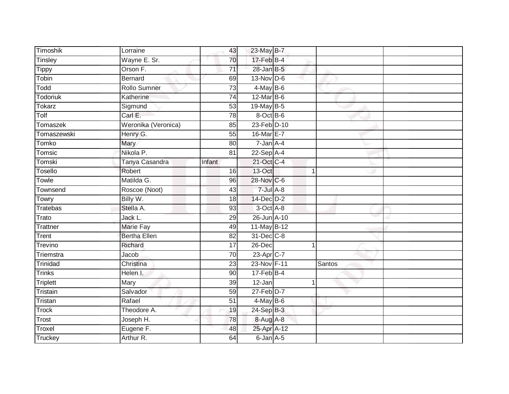| Timoshik        | Lorraine            | 43              | 23-May B-7      |   |        |
|-----------------|---------------------|-----------------|-----------------|---|--------|
| Tinsley         | Wayne E. Sr.        | 70              | 17-Feb B-4      |   |        |
| <b>Tippy</b>    | Orson F.            | $\overline{71}$ | 28-Jan B-5      |   |        |
| Tobin           | <b>Bernard</b>      | 69              | $13-Nov$ D-6    |   |        |
| Todd            | <b>Rollo Sumner</b> | $\overline{73}$ | $4$ -May B-6    |   |        |
| Todoriuk        | Katherine           | 74              | $12$ -Mar B-6   |   |        |
| <b>Tokarz</b>   | Sigmund             | 53              | $19$ -May B-5   |   |        |
| Tolf            | Carl E.             | 78              | 8-Oct B-6       |   |        |
| <b>Tomaszek</b> | Weronika (Veronica) | 85              | 23-Feb D-10     |   |        |
| Tomaszewski     | Henry G.            | $\overline{55}$ | 16-Mar E-7      |   |        |
| Tomko           | Mary                | 80              | $7 - Jan A - 4$ |   |        |
| Tomsic          | Nikola P.           | 81              | $22-Sep$ A-4    |   |        |
| Tomski          | Tanya Casandra      | Infant          | 21-Oct C-4      |   |        |
| Tosello         | Robert              | 16              | 13-Oct          | 1 |        |
| Towle           | Matilda G.          | 96              | 28-Nov C-6      |   |        |
| Townsend        | Roscoe (Noot)       | 43              | $7$ -Jul $A$ -8 |   |        |
| Towry           | Billy W.            | 18              | 14-Dec D-2      |   |        |
| Tratebas        | Stella A.           | 93              | 3-Oct A-8       |   |        |
| Trato           | Jack L.             | 29              | 26-Jun A-10     |   |        |
| Trattner        | <b>Marie Fay</b>    | 49              | 11-May B-12     |   |        |
| Trent           | <b>Bertha Ellen</b> | 82              | 31-Dec C-8      |   |        |
| Trevino         | Richard             | 17              | 26-Dec          |   |        |
| Triemstra       | Jacob               | 70              | 23-Apr C-7      |   |        |
| Trinidad        | Christina           | 23              | 23-Nov F-11     |   | Santos |
| <b>Trinks</b>   | Helen I.            | 90              | $17-FebB-4$     |   |        |
| <b>Triplett</b> | Mary                | 39              | 12-Jan          |   |        |
| Tristain        | Salvador            | 59              | $27$ -Feb $D-7$ |   |        |
| Tristan         | Rafael              | 51              | $4$ -May B-6    |   |        |
| <b>Trock</b>    | Theodore A.         | 19              | 24-Sep B-3      |   |        |
| Trost           | Joseph H.           | 78              | 8-Aug A-8       |   |        |
| Troxel          | Eugene F.           | 48              | 25-Apr A-12     |   |        |
| Truckey         | Arthur R.           | 64              | $6$ -Jan $A$ -5 |   |        |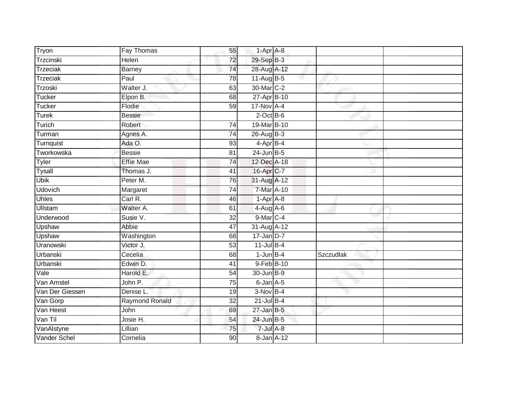| Tryon           | <b>Fay Thomas</b>     | 55              | $1-AprA-8$      |           |  |
|-----------------|-----------------------|-----------------|-----------------|-----------|--|
| Trzcinski       | <b>Helen</b>          | 72              | 29-Sep B-3      |           |  |
| <b>Trzeciak</b> | <b>Barney</b>         | 74              | 28-Aug A-12     |           |  |
| <b>Trzeciak</b> | Paul                  | 78              | 11-Aug $B-5$    |           |  |
| Trzoski         | Walter J.             | 63              | 30-Mar C-2      |           |  |
| Tucker          | Elpon B.              | 68              | 27-Apr B-10     |           |  |
| Tucker          | Flodie                | $\overline{59}$ | 17-Nov A-4      |           |  |
| <b>Turek</b>    | <b>Bessie</b>         |                 | $2$ -Oct $B$ -6 |           |  |
| Turich          | Robert                | $\overline{74}$ | 19-Mar B-10     |           |  |
| Turman          | Agnes A.              | 74              | 26-Aug B-3      |           |  |
| Turnquist       | Ada O.                | 93              | 4-Apr B-4       |           |  |
| Tworkowska      | <b>Bessie</b>         | 81              | $24$ -Jun $B-5$ |           |  |
| <b>Tyler</b>    | <b>Effie Mae</b>      | 74              | 12-Dec A-18     |           |  |
| <b>Tysall</b>   | Thomas J.             | 41              | 16-Apr C-7      |           |  |
| <b>Ubik</b>     | Peter M.              | 76              | 31-Aug A-12     |           |  |
| <b>Udovich</b>  | Margaret              | 74              | 7-Mar A-10      |           |  |
| <b>Uhles</b>    | $Carl R$ .            | 46              | $1-Apr$ A-8     |           |  |
| <b>Ullstam</b>  | Walter A.             | 61              | 4-Aug A-6       |           |  |
| Underwood       | Susie V.              | 32              | 9-Mar C-4       |           |  |
| Upshaw          | Abbie                 | 47              | 31-Aug A-12     |           |  |
| Upshaw          | Washington            | 68              | $17$ -Jan D-7   |           |  |
| Uranowski       | Victor J.             | 53              | $11$ -Jul B-4   |           |  |
| Urbanski        | Cecelia               | 68              | $1$ -Jun $B-4$  | Szczudlak |  |
| Urbanski        | Edwin D.              | 41              | 9-Feb B-10      |           |  |
| Vale            | Harold E.             | 54              | 30-Jun B-9      |           |  |
| Van Amstel      | John P.               | 75              | $6$ -Jan $A$ -5 |           |  |
| Van Der Giessen | Denise L.             | 19              | $3-Nov$ B-4     |           |  |
| Van Gorp        | <b>Raymond Ronald</b> | 32              | $21$ -Jul B-4   |           |  |
| Van Heest       | John                  | 69              | $27$ -Jan B-5   |           |  |
| Van Til         | Josie H.              | 54              | 24-Jun B-5      |           |  |
| VanAlstyne      | Lillian               | 75              | $7$ -Jul $A-8$  |           |  |
| Vander Schel    | Cornelia              | $\overline{90}$ | 8-Jan A-12      |           |  |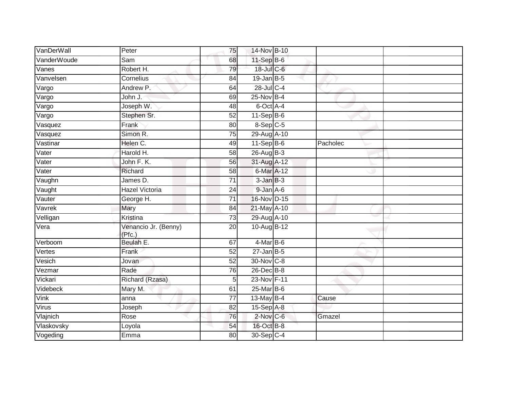| VanDerWall                 | Peter                          | 75              | 14-Nov B-10      |          |  |
|----------------------------|--------------------------------|-----------------|------------------|----------|--|
| VanderWoude                | Sam                            | 68              | 11-Sep B-6       |          |  |
| Vanes                      | Robert H.                      | 79              | 18-Jul C-6       |          |  |
| Vanvelsen                  | Cornelius                      | 84              | $19$ -Jan B-5    |          |  |
| $\overline{\text{V}}$ argo | Andrew P.                      | 64              | $28$ -Jul C-4    |          |  |
| $\overline{\text{V}}$ argo | John J.                        | 69              | 25-Nov B-4       |          |  |
| Vargo                      | Joseph W.                      | 48              | 6-Oct A-4        |          |  |
| Vargo                      | Stephen Sr.                    | 52              | $11-Sep$ B-6     |          |  |
| Vasquez                    | Frank                          | 80              | $8-Sep$ $C-5$    |          |  |
| Vasquez                    | Simon R.                       | $\overline{75}$ | 29-Aug A-10      |          |  |
| Vastinar                   | Helen C.                       | 49              | $11-Sep$ B-6     | Pacholec |  |
| Vater                      | Harold H.                      | 58              | $26$ -AugB-3     |          |  |
| Vater                      | John F. K.                     | 56              | 31-Aug A-12      |          |  |
| Vater                      | Richard                        | 58              | 6-Mar A-12       |          |  |
| Vaughn                     | James D.                       | $\overline{71}$ | $3$ -Jan $B-3$   |          |  |
| Vaught                     | <b>Hazel Victoria</b>          | 24              | $9$ -Jan $A$ -6  |          |  |
| Vauter                     | George H.                      | $\overline{71}$ | 16-Nov D-15      |          |  |
| Vavrek                     | Mary                           | 84              | $21$ -May $A-10$ |          |  |
| Velligan                   | Kristina                       | 73              | 29-Aug A-10      |          |  |
| Vera                       | Venancio Jr. (Benny)<br>(Pfc.) | 20              | 10-Aug B-12      |          |  |
| Verboom                    | Beulah E.                      | 67              | 4-Mar B-6        |          |  |
| Vertes                     | Frank                          | 52              | $27$ -Jan B-5    |          |  |
| Vesich                     | Jovan                          | 52              | 30-Nov C-8       |          |  |
| Vezmar                     | Rade                           | 76              | 26-Dec B-8       |          |  |
| Vickari                    | Richard (Rzasa)                | 5               | 23-Nov F-11      |          |  |
| Videbeck                   | Mary M.                        | 61              | 25-Mar B-6       |          |  |
| Vink                       | anna                           | $\overline{77}$ | $13$ -May B-4    | Cause    |  |
| Virus                      | Joseph                         | 82              | 15-Sep A-8       |          |  |
| Vlajnich                   | Rose                           | 76              | 2-Nov C-6        | Gmazel   |  |
| Vlaskovsky                 | Loyola                         | 54              | 16-Oct B-8       |          |  |
| Vogeding                   | Emma                           | 80              | 30-Sep C-4       |          |  |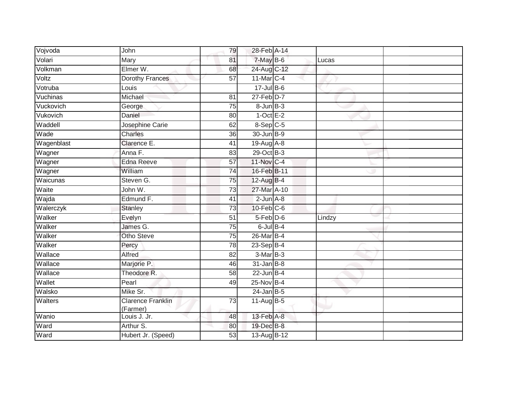| Vojvoda    | John                                 | 79              | 28-Feb A-14       |        |  |
|------------|--------------------------------------|-----------------|-------------------|--------|--|
| Volari     | Mary                                 | 81              | $7$ -May $B$ -6   | Lucas  |  |
| Volkman    | Elmer W.                             | 68              | 24-Aug C-12       |        |  |
| Voltz      | Dorothy Frances                      | 57              | 11-Mar C-4        |        |  |
| Votruba    | Louis                                |                 | $17 -$ Jul B-6    |        |  |
| Vuchinas   | Michael                              | $\overline{81}$ | $27$ -Feb $D-7$   |        |  |
| Vuckovich  | George                               | 75              | $8 - Jun$ $B - 3$ |        |  |
| Vukovich   | Daniel                               | 80              | $1-Oct$ E-2       |        |  |
| Waddell    | Josephine Carie                      | 62              | 8-Sep C-5         |        |  |
| Wade       | <b>Charles</b>                       | $\overline{36}$ | 30-Jun B-9        |        |  |
| Wagenblast | Clarence E.                          | 41              | 19-Aug A-8        |        |  |
| Wagner     | Anna F.                              | 83              | 29-Oct B-3        |        |  |
| Wagner     | Edna Reeve                           | 57              | 11-Nov C-4        |        |  |
| Wagner     | William                              | $\overline{74}$ | 16-Feb B-11       |        |  |
| Waicunas   | Steven G.                            | $\overline{75}$ | 12-Aug B-4        |        |  |
| Waite      | John W.                              | 73              | 27-Mar A-10       |        |  |
| Wajda      | Edmund F.                            | 41              | $2$ -Jun $A-8$    |        |  |
| Walerczyk  | <b>Stanley</b>                       | $\overline{73}$ | $10$ -Feb $C$ -6  |        |  |
| Walker     | Evelyn                               | 51              | 5-Feb D-6         | Lindzy |  |
| Walker     | James G.                             | 75              | $6$ -Jul $B-4$    |        |  |
| Walker     | Otho Steve                           | 75              | 26-Mar B-4        |        |  |
| Walker     | Percy                                | 78              | $23-Sep$ B-4      |        |  |
| Wallace    | Alfred                               | 82              | 3-Mar B-3         |        |  |
| Wallace    | Marjorie P.                          | 46              | $31$ -Jan $B-8$   |        |  |
| Wallace    | Theodore R.                          | 58              | $22$ -Jun B-4     |        |  |
| Wallet     | Pearl                                | 49              | 25-Nov B-4        |        |  |
| Walsko     | Mike Sr.                             |                 | $24$ -Jan B-5     |        |  |
| Walters    | <b>Clarence Franklin</b><br>(Farmer) | $\overline{73}$ | 11-Aug $B-5$      |        |  |
| Wanio      | Louis J. Jr.                         | 48              | 13-Feb A-8        |        |  |
| Ward       | Arthur S.                            | 80              | 19-Dec B-8        |        |  |
| Ward       | Hubert Jr. (Speed)                   | 53              | 13-Aug B-12       |        |  |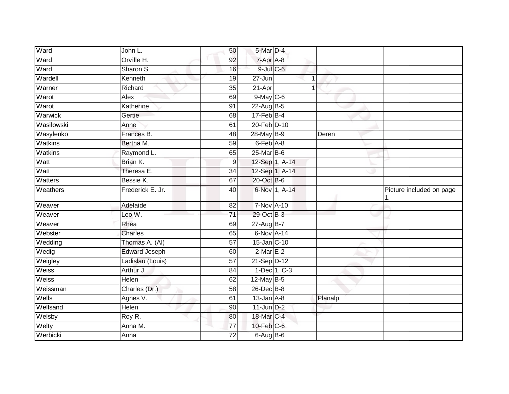| Ward         | John L.          | 50              | 5-Mar D-4         |               |         |                          |
|--------------|------------------|-----------------|-------------------|---------------|---------|--------------------------|
| Ward         | Orville H.       | 92              | 7-Apr A-8         |               |         |                          |
| Ward         | Sharon S.        | 16              | $9$ -Jul $C$ -6   |               |         |                          |
| Wardell      | Kenneth          | 19              | 27-Jun            | 1             |         |                          |
| Warner       | Richard          | 35              | 21-Apr            | $\mathbf 1$   |         |                          |
| Warot        | Alex             | 69              | $9$ -May $C$ -6   |               |         |                          |
| Warot        | Katherine        | 91              | $22$ -AugB-5      |               |         |                          |
| Warwick      | Gertie           | 68              | $17$ -Feb $B$ -4  |               |         |                          |
| Wasilowski   | Anne             | 61              | 20-Feb D-10       |               |         |                          |
| Wasylenko    | Frances B.       | 48              | 28-May B-9        |               | Deren   |                          |
| Watkins      | Bertha M.        | 59              | $6$ -Feb $A$ -8   |               |         |                          |
| Watkins      | Raymond L.       | 65              | $25$ -Mar $B$ -6  |               |         |                          |
| Watt         | Brian K.         | 9               | 12-Sep 1, A-14    |               |         |                          |
| Watt         | Theresa E.       | 34              | 12-Sep 1, A-14    |               |         |                          |
| Watters      | Bessie K.        | 67              | 20-Oct B-6        |               |         |                          |
| Weathers     | Frederick E. Jr. | 40              |                   | 6-Nov 1, A-14 |         | Picture included on page |
| Weaver       | Adelaide         | 82              | <b>7-Nov A-10</b> |               |         |                          |
| Weaver       | Leo W.           | $\overline{71}$ | 29-Oct B-3        |               |         |                          |
| Weaver       | Rhea             | 69              | $27 - Aug$ B-7    |               |         |                          |
| Webster      | <b>Charles</b>   | 65              | 6-Nov A-14        |               |         |                          |
| Wedding      | Thomas A. (AI)   | 57              | 15-Jan C-10       |               |         |                          |
| Wedig        | Edward Joseph    | 60              | $2$ -Mar $E-2$    |               |         |                          |
| Weigley      | Ladislau (Louis) | $\overline{57}$ | 21-Sep D-12       |               |         |                          |
| Weiss        | Arthur J.        | 84              |                   | 1-Dec 1, C-3  |         |                          |
| <b>Weiss</b> | <b>Helen</b>     | 62              | $12$ -May B-5     |               |         |                          |
| Weissman     | Charles (Dr.)    | 58              | 26-Dec B-8        |               |         |                          |
| Wells        | Agnes V.         | 61              | $13$ -Jan $A-8$   |               | Planalp |                          |
| Wellsand     | Helen            | 90              | $11$ -Jun $D-2$   |               |         |                          |
| Welsby       | Roy R.           | 80              | 18-Mar C-4        |               |         |                          |
| Welty        | Anna M.          | 77              | $10$ -Feb $C$ -6  |               |         |                          |
| Werbicki     | Anna             | 72              | 6-Aug B-6         |               |         |                          |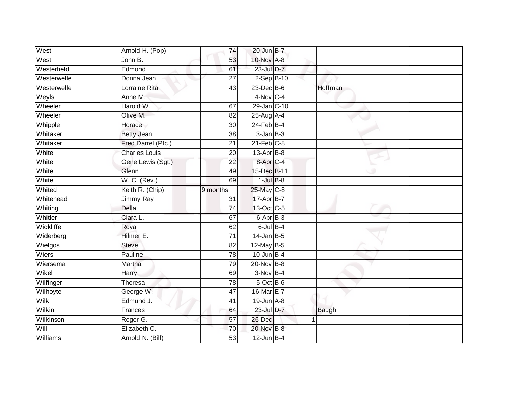| West        | Arnold H. (Pop)      | 74              | 20-Jun B-7           |   |         |  |
|-------------|----------------------|-----------------|----------------------|---|---------|--|
| West        | John B.              | 53              | 10-Nov A-8           |   |         |  |
| Westerfield | Edmond               | 61              | $23$ -Jul $D-7$      |   |         |  |
| Westerwelle | Donna Jean           | 27              | $2-Sep$ B-10         |   |         |  |
| Westerwelle | Lorraine Rita        | $\overline{43}$ | $23$ -Dec $B-6$      |   | Hoffman |  |
| Weyls       | Anne M.              |                 | 4-Nov C-4            |   |         |  |
| Wheeler     | Harold W.            | 67              | 29-Jan C-10          |   |         |  |
| Wheeler     | Olive M.             | 82              | 25-Aug A-4           |   |         |  |
| Whipple     | Horace               | 30              | $24$ -Feb $B-4$      |   |         |  |
| Whitaker    | <b>Betty Jean</b>    | 38              | $3$ -Jan $B-3$       |   |         |  |
| Whitaker    | Fred Darrel (Pfc.)   | 21              | $21$ -Feb $C-8$      |   |         |  |
| White       | <b>Charles Louis</b> | 20              | $13$ -Apr $B$ -8     |   |         |  |
| White       | Gene Lewis (Sgt.)    | 22              | 8-Apr <sub>C-4</sub> |   |         |  |
| White       | Glenn                | 49              | 15-Dec B-11          |   |         |  |
| White       | W. C. (Rev.)         | 69              | $1$ -Jul $B-8$       |   |         |  |
| Whited      | Keith R. (Chip)      | 9 months        | 25-May C-8           |   |         |  |
| Whitehead   | Jimmy Ray            | $\overline{31}$ | 17-Apr B-7           |   |         |  |
| Whiting     | Della                | 74              | 13-Oct C-5           |   |         |  |
| Whitler     | Clara L.             | 67              | $6$ -Apr $B$ -3      |   |         |  |
| Wickliffe   | Royal                | 62              | $6$ -Jul $B-4$       |   |         |  |
| Widerberg   | Hilmer E.            | $\overline{71}$ | $14$ -Jan B-5        |   |         |  |
| Wielgos     | <b>Steve</b>         | 82              | 12-May B-5           |   |         |  |
| Wiers       | Pauline              | 78              | $10$ -Jun $B-4$      |   |         |  |
| Wiersema    | Martha               | 79              | 20-Nov B-8           |   |         |  |
| Wikel       | Harry                | 69              | $3-Nov$ B-4          |   |         |  |
| Wilfinger   | <b>Theresa</b>       | 78              | 5-Oct B-6            |   |         |  |
| Wilhoyte    | George W.            | 47              | 16-Mar E-7           |   |         |  |
| Wilk        | Edmund J.            | 41              | $19$ -Jun $A-8$      |   |         |  |
| Wilkin      | Frances              | 64              | 23-Jul D-7           |   | Baugh   |  |
| Wilkinson   | Roger G.             | 57              | 26-Dec               | 1 |         |  |
| Will        | Elizabeth C.         | $\overline{70}$ | 20-Nov B-8           |   |         |  |
| Williams    | Arnold N. (Bill)     | 53              | $12$ -Jun B-4        |   |         |  |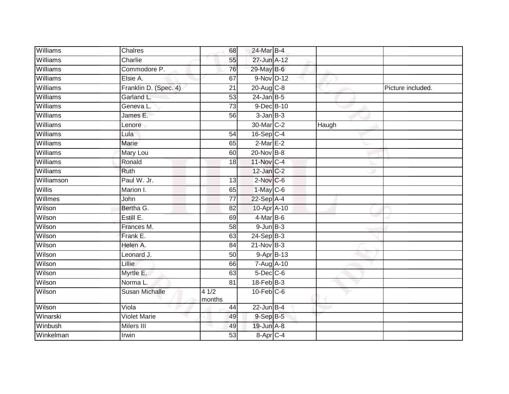| Williams   | Chalres               | 68              | 24-Mar B-4       |       |                   |
|------------|-----------------------|-----------------|------------------|-------|-------------------|
| Williams   | Charlie               | 55              | 27-Jun A-12      |       |                   |
| Williams   | Commodore P.          | 76              | 29-May B-6       |       |                   |
| Williams   | Elsie A.              | 67              | 9-Nov D-12       |       |                   |
| Williams   | Franklin D. (Spec. 4) | $\overline{21}$ | $20$ -Aug $C-8$  |       | Picture included. |
| Williams   | Garland L.            | 53              | $24$ -Jan B-5    |       |                   |
| Williams   | Geneva L.             | 73              | 9-Dec B-10       |       |                   |
| Williams   | James E.              | 56              | $3$ -Jan $B-3$   |       |                   |
| Williams   | Lenore                |                 | 30-Mar C-2       | Haugh |                   |
| Williams   | Lula                  | 54              | $16-Sep$ C-4     |       |                   |
| Williams   | Marie                 | 65              | $2$ -Mar $E-2$   |       |                   |
| Williams   | Mary Lou              | 60              | 20-Nov B-8       |       |                   |
| Williams   | Ronald                | 18              | 11-Nov C-4       |       |                   |
| Williams   | <b>Ruth</b>           |                 | $12$ -Jan $C-2$  |       |                   |
| Williamson | Paul W. Jr.           | 13              | $2$ -Nov $C$ -6  |       |                   |
| Willis     | Marion I.             | 65              | $1-May$ C-6      |       |                   |
| Willmes    | John                  | $\overline{77}$ | $22-Sep$ A-4     |       |                   |
| Wilson     | Bertha G.             | 82              | 10-Apr A-10      |       |                   |
| Wilson     | Estill E.             | 69              | 4-Mar B-6        |       |                   |
| Wilson     | Frances M.            | $\overline{58}$ | $9$ -Jun $B-3$   |       |                   |
| Wilson     | Frank E.              | 63              | $24-Sep$ B-3     |       |                   |
| Wilson     | Helen A.              | 84              | $21$ -Nov $B-3$  |       |                   |
| Wilson     | Leonard J.            | 50              | 9-Apr B-13       |       |                   |
| Wilson     | Lillie                | 66              | 7-Aug A-10       |       |                   |
| Wilson     | Myrtle E.             | 63              | $5$ -Dec $C$ -6  |       |                   |
| Wilson     | Norma L.              | 81              | $18$ -Feb $B-3$  |       |                   |
| Wilson     | <b>Susan Michalle</b> | 41/2<br>months  | $10$ -Feb $C$ -6 |       |                   |
| Wilson     | Viola                 | 44              | $22$ -Jun B-4    |       |                   |
| Winarski   | <b>Violet Marie</b>   | 49              | $9-$ Sep $B-5$   |       |                   |
| Winbush    | Milers III            | 49              | 19-Jun A-8       |       |                   |
| Winkelman  | Irwin                 | 53              | 8-Apr C-4        |       |                   |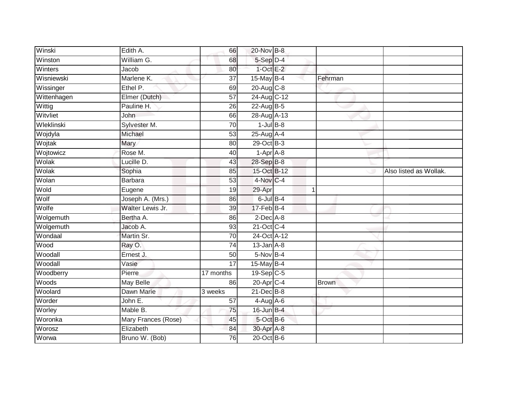| Winski      | Edith A.            | 66              | 20-Nov B-8                |              |                        |
|-------------|---------------------|-----------------|---------------------------|--------------|------------------------|
| Winston     | William G.          | 68              | 5-Sep D-4                 |              |                        |
| Winters     | Jacob               | 80              | $1$ -Oct $E-2$            |              |                        |
| Wisniewski  | Marlene K.          | $\overline{37}$ | 15-May B-4                | Fehrman      |                        |
| Wissinger   | Ethel P.            | 69              | 20-Aug C-8                |              |                        |
| Wittenhagen | Elmer (Dutch)       | 57              | 24-Aug C-12               |              |                        |
| Wittig      | Pauline H.          | 26              | 22-Aug B-5                |              |                        |
| Witvliet    | John                | 66              | 28-Aug A-13               |              |                        |
| Wleklinski  | Sylvester M.        | $\overline{70}$ | $1$ -Jul $B-8$            |              |                        |
| Wojdyla     | Michael             | 53              | 25-Aug A-4                |              |                        |
| Wojtak      | Mary                | 80              | 29-Oct B-3                |              |                        |
| Wojtowicz   | Rose M.             | 40              | $1-Apr$ A-8               |              |                        |
| Wolak       | Lucille D.          | 43              | 28-Sep B-8                |              |                        |
| Wolak       | Sophia              | 85              | 15-Oct B-12               |              | Also listed as Wollak. |
| Wolan       | <b>Barbara</b>      | 53              | 4-Nov C-4                 |              |                        |
| Wold        | Eugene              | 19              | 29-Apr                    | 1            |                        |
| Wolf        | Joseph A. (Mrs.)    | 86              | $6$ -Jul $B-4$            |              |                        |
| Wolfe       | Walter Lewis Jr.    | 39              | $17$ -Feb $B$ -4          |              |                        |
| Wolgemuth   | Bertha A.           | 86              | $2$ -Dec $A-8$            |              |                        |
| Wolgemuth   | Jacob A.            | 93              | 21-Oct C-4                |              |                        |
| Wondaal     | Martin Sr.          | 70              | 24-Oct A-12               |              |                        |
| Wood        | Ray O.              | 74              | $13$ -Jan $A-8$           |              |                        |
| Woodall     | Ernest J.           | 50              | 5-Nov B-4                 |              |                        |
| Woodall     | Vasie               | $\overline{17}$ | 15-May B-4                |              |                        |
| Woodberry   | Pierre              | 17 months       | $19-Sep$ <sub>C-5</sub>   |              |                        |
| Woods       | <b>May Belle</b>    | 86              | $20 - Apr$ <sub>C-4</sub> | <b>Brown</b> |                        |
| Woolard     | Dawn Marie          | 3 weeks         | $21$ -Dec $B-8$           |              |                        |
| Worder      | John E.             | 57              | $4-Aug$ A-6               |              |                        |
| Worley      | Mable B.            | 75              | 16-Jun B-4                |              |                        |
| Woronka     | Mary Frances (Rose) | 45              | 5-Oct B-6                 |              |                        |
| Worosz      | Elizabeth           | 84              | 30-Apr A-8                |              |                        |
| Worwa       | Bruno W. (Bob)      | 76              | $20$ -Oct B-6             |              |                        |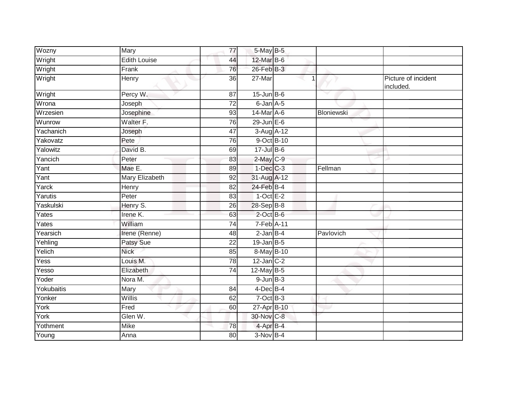| Wozny      | Mary                | 77              | 5-May B-5                  |   |            |                                  |
|------------|---------------------|-----------------|----------------------------|---|------------|----------------------------------|
| Wright     | <b>Edith Louise</b> | 44              | 12-Mar B-6                 |   |            |                                  |
| Wright     | Frank               | 76              | 26-Feb B-3                 |   |            |                                  |
| Wright     | Henry               | 36              | 27-Mar                     | 1 |            | Picture of incident<br>included. |
| Wright     | Percy W.            | 87              | $15$ -Jun B-6              |   |            |                                  |
| Wrona      | Joseph              | $\overline{72}$ | 6-Jan A-5                  |   |            |                                  |
| Wrzesien   | Josephine           | 93              | 14-Mar A-6                 |   | Bloniewski |                                  |
| Wunrow     | Walter F.           | 76              | $29$ -Jun $E-6$            |   |            |                                  |
| Yachanich  | Joseph              | 47              | 3-Aug A-12                 |   |            |                                  |
| Yakovatz   | Pete                | 76              | 9-Oct B-10                 |   |            |                                  |
| Yalowitz   | David B.            | 69              | $17 -$ Jul B-6             |   |            |                                  |
| Yancich    | Peter               | 83              | $2$ -May $C-9$             |   |            |                                  |
| Yant       | Mae E.              | 89              | $1-Dec$ $C-3$              |   | Fellman    |                                  |
| Yant       | Mary Elizabeth      | 92              | 31-Aug A-12                |   |            |                                  |
| Yarck      | Henry               | 82              | 24-Feb B-4                 |   |            |                                  |
| Yarutis    | Peter               | 83              | $1-OctE-2$                 |   |            |                                  |
| Yaskulski  | Henry S.            | 26              | 28-Sep B-8                 |   |            |                                  |
| Yates      | Irene K.            | 63              | $2$ -Oct $B$ -6            |   |            |                                  |
| Yates      | William             | 74              | 7-Feb A-11                 |   |            |                                  |
| Yearsich   | Irene (Renne)       | 48              | $2$ -Jan $B-4$             |   | Pavlovich  |                                  |
| Yehling    | Patsy Sue           | 22              | $19$ -Jan B-5              |   |            |                                  |
| Yelich     | <b>Nick</b>         | 85              | 8-May B-10                 |   |            |                                  |
| Yess       | Louis M.            | 78              | $12$ -Jan C-2              |   |            |                                  |
| Yesso      | Elizabeth           | 74              | 12-May B-5                 |   |            |                                  |
| Yoder      | Nora M.             |                 | $9$ -Jun $B-3$             |   |            |                                  |
| Yokubaitis | Mary                | 84              | 4-Dec B-4                  |   |            |                                  |
| Yonker     | Willis              | 62              | $7$ -Oct $\overline{B}$ -3 |   |            |                                  |
| York       | Fred                | 60              | 27-Apr B-10                |   |            |                                  |
| York       | Glen W.             |                 | 30-Nov C-8                 |   |            |                                  |
| Yothment   | Mike                | 78              | 4-Apr B-4                  |   |            |                                  |
| Young      | Anna                | 80              | 3-Nov B-4                  |   |            |                                  |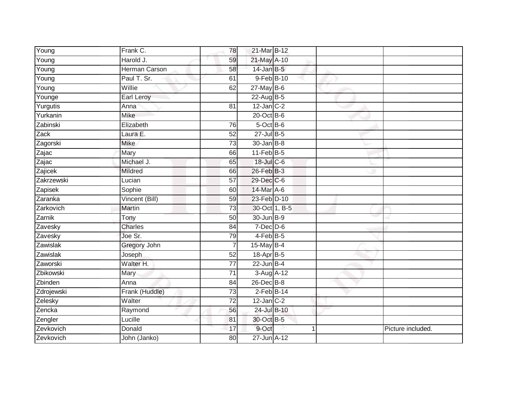| Young           | Frank C.             | 78              | 21-Mar B-12      |  |                   |
|-----------------|----------------------|-----------------|------------------|--|-------------------|
| Young           | Harold J.            | 59              | 21-May A-10      |  |                   |
| Young           | <b>Herman Carson</b> | 58              | $14$ -Jan B-5    |  |                   |
| Young           | Paul T. Sr.          | 61              | 9-Feb B-10       |  |                   |
| Young           | Willie               | 62              | $27$ -May B-6    |  |                   |
| Younge          | Earl Leroy           |                 | 22-Aug B-5       |  |                   |
| Yurgutis        | Anna                 | 81              | $12$ -Jan C-2    |  |                   |
| Yurkanin        | <b>Mike</b>          |                 | $20$ -Oct B-6    |  |                   |
| Zabinski        | Elizabeth            | 76              | $5$ -Oct $B$ -6  |  |                   |
| Zack            | Laura E.             | 52              | $27$ -Jul B-5    |  |                   |
| Zagorski        | <b>Mike</b>          | 73              | $30 - Jan$ $B-8$ |  |                   |
| Zajac           | Mary                 | 66              | $11$ -Feb $B$ -5 |  |                   |
| Zajac           | Michael J.           | 65              | 18-Jul C-6       |  |                   |
| Zajicek         | Mildred              | 66              | 26-Feb B-3       |  |                   |
| Zakrzewski      | Lucian               | $\overline{57}$ | 29-Dec C-6       |  |                   |
| Zapisek         | Sophie               | 60              | $14$ -Mar A-6    |  |                   |
| Zaranka         | Vincent (Bill)       | 59              | 23-Feb D-10      |  |                   |
| Zarkovich       | Martin               | 73              | 30-Oct 1, B-5    |  |                   |
| Zarnik          | Tony                 | 50              | 30-Jun B-9       |  |                   |
| Zavesky         | <b>Charles</b>       | 84              | $7$ -Dec $D-6$   |  |                   |
| Zavesky         | Joe Sr.              | 79              | $4$ -Feb B-5     |  |                   |
| <b>Zawislak</b> | Gregory John         | 7               | 15-May B-4       |  |                   |
| Zawislak        | Joseph               | 52              | 18-Apr B-5       |  |                   |
| Zaworski        | Walter H.            | 77              | $22$ -Jun B-4    |  |                   |
| Zbikowski       | Mary                 | 71              | $3-Aug$ A-12     |  |                   |
| Zbinden         | Anna                 | 84              | 26-Dec B-8       |  |                   |
| Zdrojewski      | Frank (Huddle)       | $\overline{73}$ | $2$ -Feb $B$ -14 |  |                   |
| Zelesky         | Walter               | $\overline{72}$ | $12$ -Jan $C-2$  |  |                   |
| Zencka          | Raymond              | 56              | 24-Jul B-10      |  |                   |
| Zengler         | Lucille              | 81              | 30-Oct B-5       |  |                   |
| Zevkovich       | Donald               | 17              | 9-Oct            |  | Picture included. |
| Zevkovich       | John (Janko)         | $\overline{80}$ | 27-Jun A-12      |  |                   |